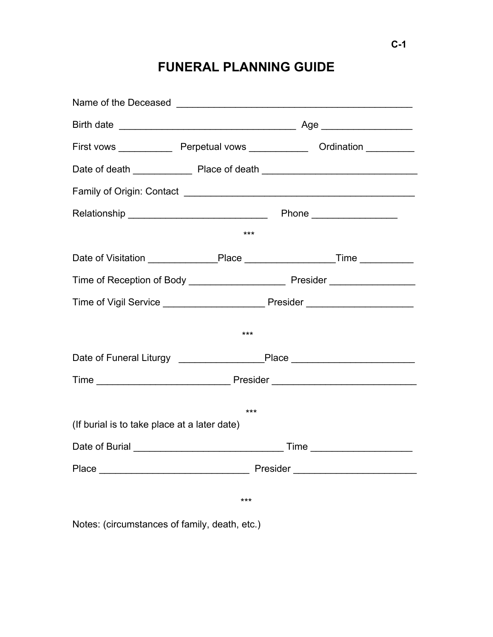# **FUNERAL PLANNING GUIDE**

|                                                                                                                |     | First vows _______________ Perpetual vows _______________ Ordination __________ |  |  |
|----------------------------------------------------------------------------------------------------------------|-----|---------------------------------------------------------------------------------|--|--|
|                                                                                                                |     |                                                                                 |  |  |
|                                                                                                                |     |                                                                                 |  |  |
|                                                                                                                |     |                                                                                 |  |  |
|                                                                                                                | *** |                                                                                 |  |  |
|                                                                                                                |     |                                                                                 |  |  |
|                                                                                                                |     |                                                                                 |  |  |
|                                                                                                                |     |                                                                                 |  |  |
|                                                                                                                | *** |                                                                                 |  |  |
|                                                                                                                |     |                                                                                 |  |  |
|                                                                                                                |     |                                                                                 |  |  |
|                                                                                                                | *** |                                                                                 |  |  |
| (If burial is to take place at a later date)                                                                   |     |                                                                                 |  |  |
|                                                                                                                |     |                                                                                 |  |  |
| Place Place Presider Presider Presider Presider Presider President President President President President Pre |     |                                                                                 |  |  |
|                                                                                                                | *** |                                                                                 |  |  |
|                                                                                                                |     |                                                                                 |  |  |

Notes: (circumstances of family, death, etc.)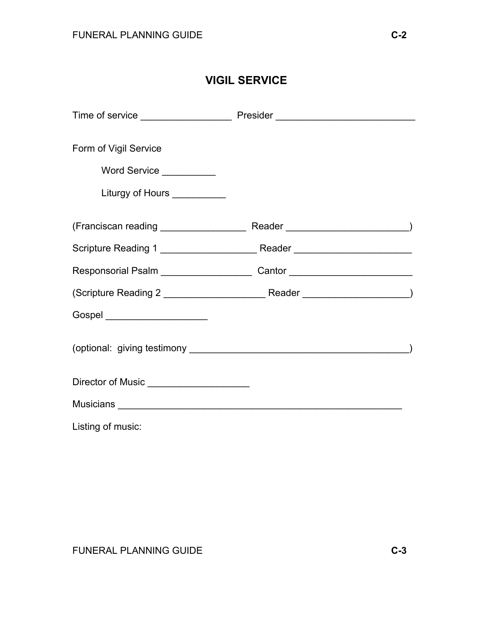| Form of Vigil Service<br>Word Service __________<br>Liturgy of Hours ____________ |                                                                                  |
|-----------------------------------------------------------------------------------|----------------------------------------------------------------------------------|
|                                                                                   |                                                                                  |
|                                                                                   |                                                                                  |
|                                                                                   | Responsorial Psalm __________________________Cantor ____________________________ |
|                                                                                   |                                                                                  |
| Gospel ______________________                                                     |                                                                                  |
|                                                                                   |                                                                                  |
| Director of Music ______________________                                          |                                                                                  |
|                                                                                   |                                                                                  |
| Listing of music:                                                                 |                                                                                  |

# **VIGIL SERVICE**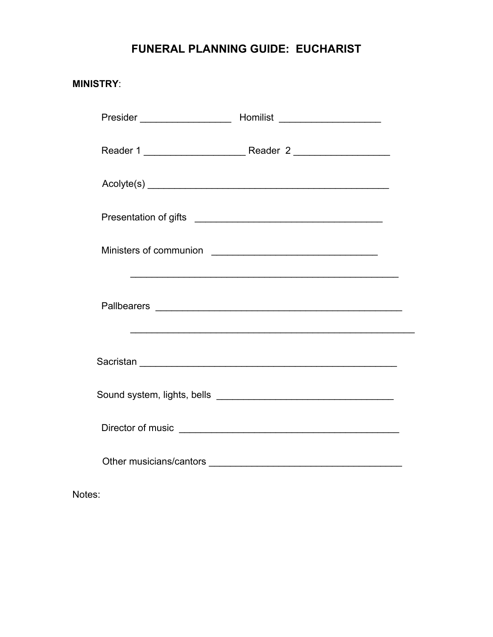# FUNERAL PLANNING GUIDE: EUCHARIST

| <b>MINISTRY:</b> |  |  |  |  |
|------------------|--|--|--|--|
|                  |  |  |  |  |
|                  |  |  |  |  |
|                  |  |  |  |  |
|                  |  |  |  |  |
|                  |  |  |  |  |
|                  |  |  |  |  |
|                  |  |  |  |  |
|                  |  |  |  |  |
|                  |  |  |  |  |
|                  |  |  |  |  |

Notes: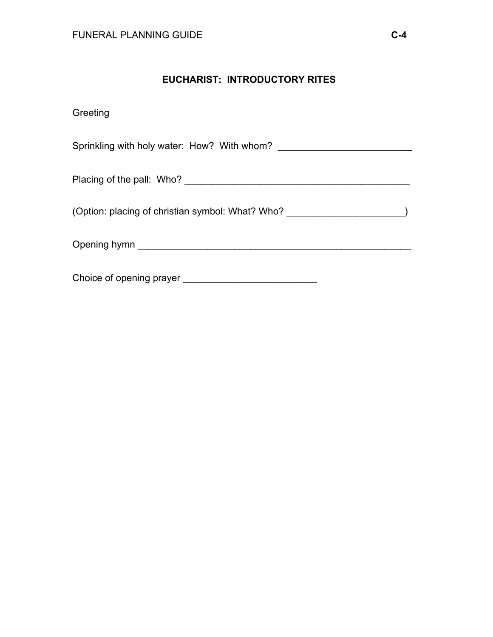## **EUCHARIST: INTRODUCTORY RITES**

#### **Greeting**

Sprinkling with holy water: How? With whom? \_\_\_\_\_\_\_\_\_\_\_\_\_\_\_\_\_\_\_\_\_\_\_\_\_

Placing of the pall: Who? \_\_\_\_\_\_\_\_\_\_\_\_\_\_\_\_\_\_\_\_\_\_\_\_\_\_\_\_\_\_\_\_\_\_\_\_\_\_\_\_\_\_

(Option: placing of christian symbol: What? Who? \_\_\_\_\_\_\_\_\_\_\_\_\_\_\_\_\_\_\_\_\_\_)

Opening hymn \_\_\_\_\_\_\_\_\_\_\_\_\_\_\_\_\_\_\_\_\_\_\_\_\_\_\_\_\_\_\_\_\_\_\_\_\_\_\_\_\_\_\_\_\_\_\_\_\_\_\_

Choice of opening prayer \_\_\_\_\_\_\_\_\_\_\_\_\_\_\_\_\_\_\_\_\_\_\_\_\_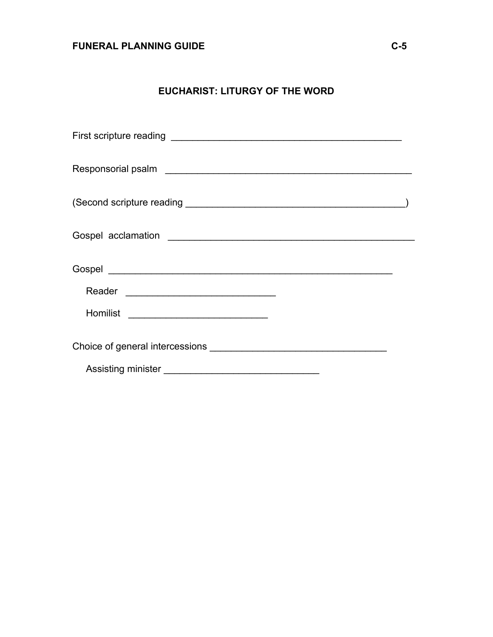## **FUNERAL PLANNING GUIDE** C-5

## **EUCHARIST: LITURGY OF THE WORD**

| Homilist ____________________________ |  |
|---------------------------------------|--|
|                                       |  |
|                                       |  |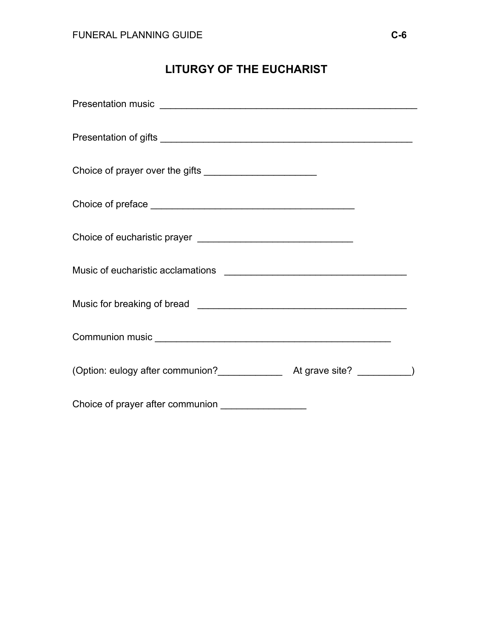# **LITURGY OF THE EUCHARIST**

| Choice of prayer after communion _____________________ |
|--------------------------------------------------------|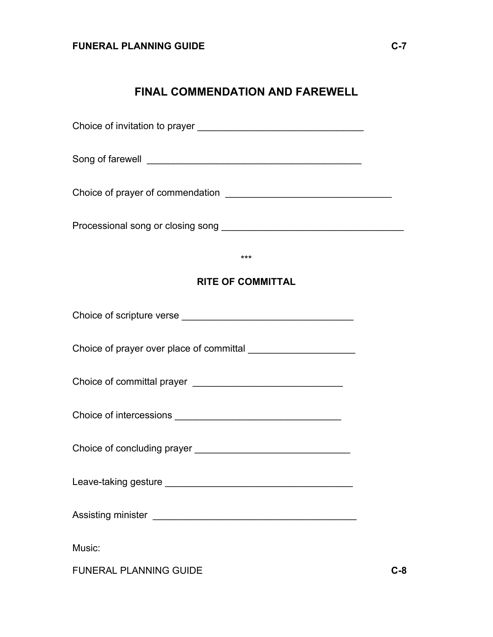# **FINAL COMMENDATION AND FAREWELL**

| ***                           |       |
|-------------------------------|-------|
| <b>RITE OF COMMITTAL</b>      |       |
|                               |       |
|                               |       |
|                               |       |
|                               |       |
|                               |       |
|                               |       |
|                               |       |
| Music:                        |       |
| <b>FUNERAL PLANNING GUIDE</b> | $C-8$ |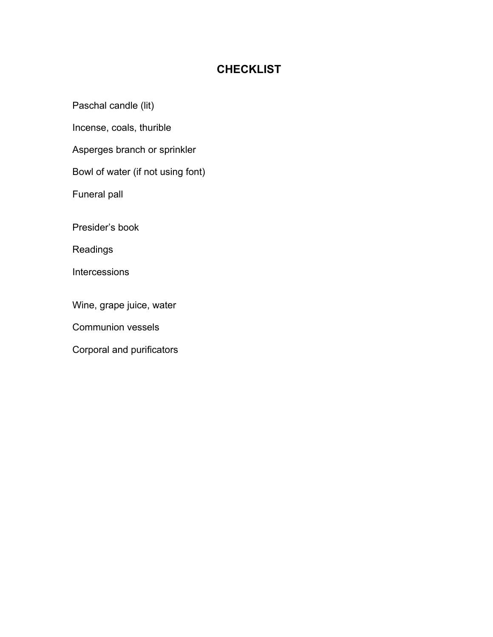# **CHECKLIST**

Paschal candle (lit)

Incense, coals, thurible

Asperges branch or sprinkler

Bowl of water (if not using font)

Funeral pall

Presider's book

Readings

**Intercessions** 

Wine, grape juice, water

Communion vessels

Corporal and purificators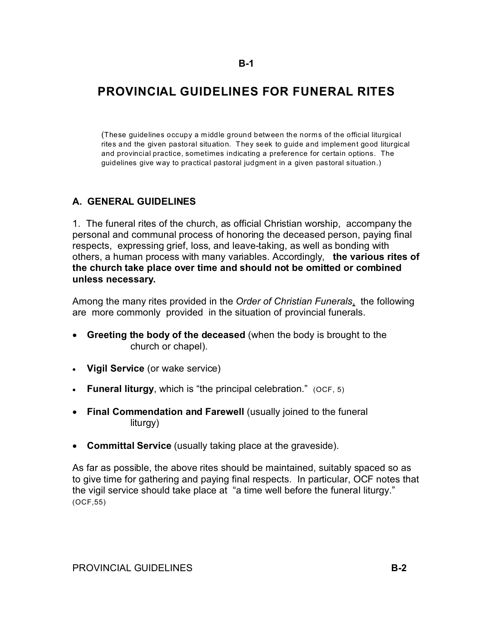#### **B-1**

# **PROVINCIAL GUIDELINES FOR FUNERAL RITES**

(These guidelines occupy a m iddle ground between the norms of the official liturgical rites and the given pastoral situation. They seek to guide and implement good liturgical and provincial practice, sometimes indicating a preference for certain options. The guidelines give way to practical pastoral judgment in a given pastoral situation.)

#### **A. GENERAL GUIDELINES**

1. The funeral rites of the church, as official Christian worship, accompany the personal and communal process of honoring the deceased person, paying final respects, expressing grief, loss, and leave-taking, as well as bonding with others, a human process with many variables. Accordingly, **the various rites of the church take place over time and should not be omitted or combined unless necessary.** 

Among the many rites provided in the *Order of Christian Funerals*, the following are more commonly provided in the situation of provincial funerals.

**Greeting the body of the deceased** (when the body is brought to the church or chapel).

**Vigil Service** (or wake service)

**Funeral liturgy**, which is "the principal celebration." (OCF, 5)

**Final Commendation and Farewell** (usually joined to the funeral liturgy)

**Committal Service** (usually taking place at the graveside).

As far as possible, the above rites should be maintained, suitably spaced so as to give time for gathering and paying final respects. In particular, OCF notes that the vigil service should take place at "a time well before the funeral liturgy." (OCF,55)

PROVINCIAL GUIDELINES **B-2**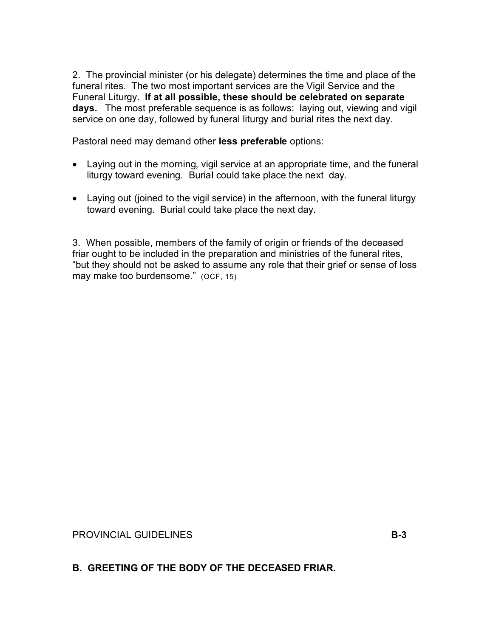2. The provincial minister (or his delegate) determines the time and place of the funeral rites. The two most important services are the Vigil Service and the Funeral Liturgy. **If at all possible, these should be celebrated on separate days.** The most preferable sequence is as follows: laying out, viewing and vigil service on one day, followed by funeral liturgy and burial rites the next day.

Pastoral need may demand other **less preferable** options:

Laying out in the morning, vigil service at an appropriate time, and the funeral liturgy toward evening. Burial could take place the next day.

Laying out (joined to the vigil service) in the afternoon, with the funeral liturgy toward evening. Burial could take place the next day.

3. When possible, members of the family of origin or friends of the deceased friar ought to be included in the preparation and ministries of the funeral rites, "but they should not be asked to assume any role that their grief or sense of loss may make too burdensome." (OCF, 15)

PROVINCIAL GUIDELINES **B-3**

#### **B. GREETING OF THE BODY OF THE DECEASED FRIAR.**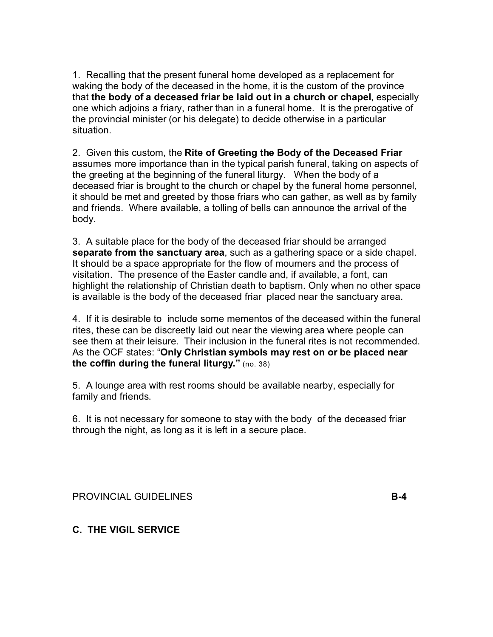1. Recalling that the present funeral home developed as a replacement for waking the body of the deceased in the home, it is the custom of the province that **the body of a deceased friar be laid out in a church or chapel**, especially one which adjoins a friary, rather than in a funeral home. It is the prerogative of the provincial minister (or his delegate) to decide otherwise in a particular situation.

2. Given this custom, the **Rite of Greeting the Body of the Deceased Friar** assumes more importance than in the typical parish funeral, taking on aspects of the greeting at the beginning of the funeral liturgy. When the body of a deceased friar is brought to the church or chapel by the funeral home personnel, it should be met and greeted by those friars who can gather, as well as by family and friends. Where available, a tolling of bells can announce the arrival of the body.

3. A suitable place for the body of the deceased friar should be arranged **separate from the sanctuary area**, such as a gathering space or a side chapel. It should be a space appropriate for the flow of mourners and the process of visitation. The presence of the Easter candle and, if available, a font, can highlight the relationship of Christian death to baptism. Only when no other space is available is the body of the deceased friar placed near the sanctuary area.

4. If it is desirable to include some mementos of the deceased within the funeral rites, these can be discreetly laid out near the viewing area where people can see them at their leisure. Their inclusion in the funeral rites is not recommended. As the OCF states: "**Only Christian symbols may rest on or be placed near the coffin during the funeral liturgy."** (no. 38)

5. A lounge area with rest rooms should be available nearby, especially for family and friends.

6. It is not necessary for someone to stay with the body of the deceased friar through the night, as long as it is left in a secure place.

PROVINCIAL GUIDELINES **B-4**

## **C. THE VIGIL SERVICE**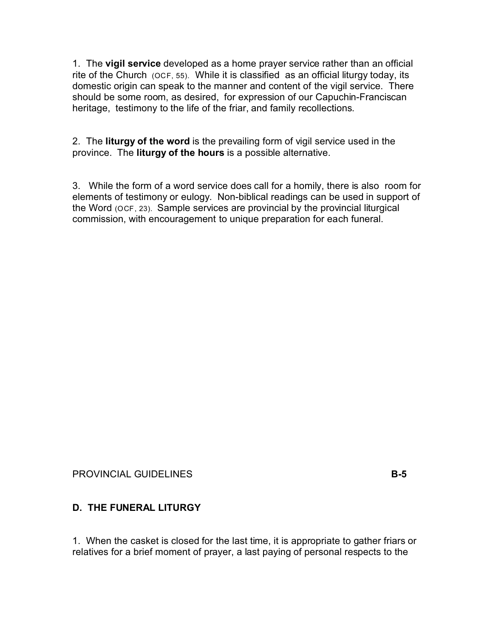1. The **vigil service** developed as a home prayer service rather than an official rite of the Church (OCF, 55). While it is classified as an official liturgy today, its domestic origin can speak to the manner and content of the vigil service. There should be some room, as desired, for expression of our Capuchin-Franciscan heritage, testimony to the life of the friar, and family recollections.

2. The **liturgy of the word** is the prevailing form of vigil service used in the province. The **liturgy of the hours** is a possible alternative.

3. While the form of a word service does call for a homily, there is also room for elements of testimony or eulogy. Non-biblical readings can be used in support of the Word (OCF, 23). Sample services are provincial by the provincial liturgical commission, with encouragement to unique preparation for each funeral.

#### PROVINCIAL GUIDELINES **B-5**

## **D. THE FUNERAL LITURGY**

1. When the casket is closed for the last time, it is appropriate to gather friars or relatives for a brief moment of prayer, a last paying of personal respects to the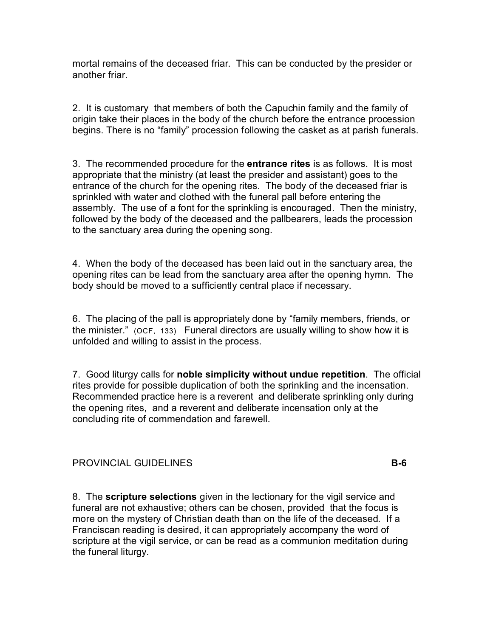mortal remains of the deceased friar. This can be conducted by the presider or another friar.

2. It is customary that members of both the Capuchin family and the family of origin take their places in the body of the church before the entrance procession begins. There is no "family" procession following the casket as at parish funerals.

3. The recommended procedure for the **entrance rites** is as follows. It is most appropriate that the ministry (at least the presider and assistant) goes to the entrance of the church for the opening rites. The body of the deceased friar is sprinkled with water and clothed with the funeral pall before entering the assembly. The use of a font for the sprinkling is encouraged. Then the ministry, followed by the body of the deceased and the pallbearers, leads the procession to the sanctuary area during the opening song.

4. When the body of the deceased has been laid out in the sanctuary area, the opening rites can be lead from the sanctuary area after the opening hymn. The body should be moved to a sufficiently central place if necessary.

6. The placing of the pall is appropriately done by "family members, friends, or the minister." (OCF, 133) Funeral directors are usually willing to show how it is unfolded and willing to assist in the process.

7. Good liturgy calls for **noble simplicity without undue repetition**. The official rites provide for possible duplication of both the sprinkling and the incensation. Recommended practice here is a reverent and deliberate sprinkling only during the opening rites, and a reverent and deliberate incensation only at the concluding rite of commendation and farewell.

#### PROVINCIAL GUIDELINES **B-6**

8. The **scripture selections** given in the lectionary for the vigil service and funeral are not exhaustive; others can be chosen, provided that the focus is more on the mystery of Christian death than on the life of the deceased. If a Franciscan reading is desired, it can appropriately accompany the word of scripture at the vigil service, or can be read as a communion meditation during the funeral liturgy.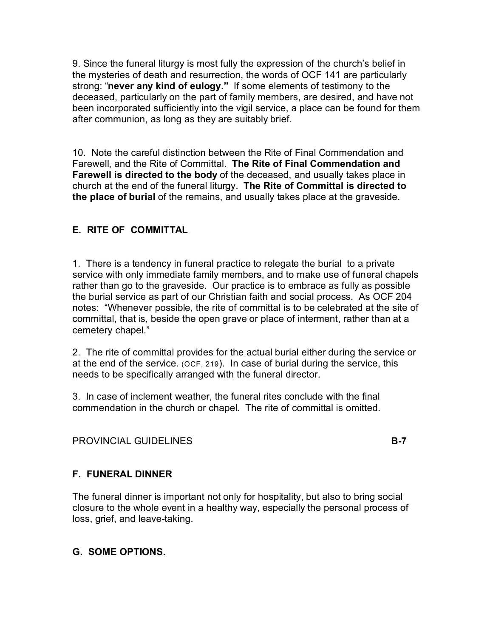9. Since the funeral liturgy is most fully the expression of the church's belief in the mysteries of death and resurrection, the words of OCF 141 are particularly strong: "**never any kind of eulogy."** If some elements of testimony to the deceased, particularly on the part of family members, are desired, and have not been incorporated sufficiently into the vigil service, a place can be found for them after communion, as long as they are suitably brief.

10. Note the careful distinction between the Rite of Final Commendation and Farewell, and the Rite of Committal. **The Rite of Final Commendation and Farewell is directed to the body** of the deceased, and usually takes place in church at the end of the funeral liturgy. **The Rite of Committal is directed to the place of burial** of the remains, and usually takes place at the graveside.

## **E. RITE OF COMMITTAL**

1. There is a tendency in funeral practice to relegate the burial to a private service with only immediate family members, and to make use of funeral chapels rather than go to the graveside. Our practice is to embrace as fully as possible the burial service as part of our Christian faith and social process. As OCF 204 notes: "Whenever possible, the rite of committal is to be celebrated at the site of committal, that is, beside the open grave or place of interment, rather than at a cemetery chapel."

2. The rite of committal provides for the actual burial either during the service or at the end of the service. (OCF, 219). In case of burial during the service, this needs to be specifically arranged with the funeral director.

3. In case of inclement weather, the funeral rites conclude with the final commendation in the church or chapel. The rite of committal is omitted.

## PROVINCIAL GUIDELINES **B-7**

## **F. FUNERAL DINNER**

The funeral dinner is important not only for hospitality, but also to bring social closure to the whole event in a healthy way, especially the personal process of loss, grief, and leave-taking.

## **G. SOME OPTIONS.**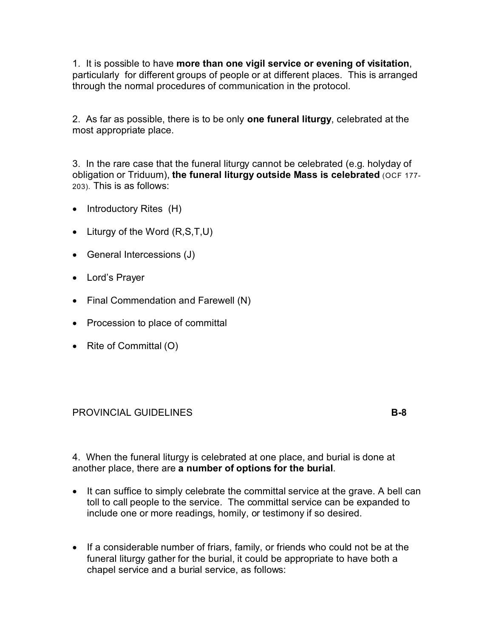1. It is possible to have **more than one vigil service or evening of visitation**, particularly for different groups of people or at different places. This is arranged through the normal procedures of communication in the protocol.

2. As far as possible, there is to be only **one funeral liturgy**, celebrated at the most appropriate place.

3. In the rare case that the funeral liturgy cannot be celebrated (e.g. holyday of obligation or Triduum), **the funeral liturgy outside Mass is celebrated** (OCF 177- 203). This is as follows:

Introductory Rites (H)

Liturgy of the Word (R,S,T,U)

General Intercessions (J)

Lord's Prayer

Final Commendation and Farewell (N)

Procession to place of committal

Rite of Committal (O)

PROVINCIAL GUIDELINES **B-8**

4. When the funeral liturgy is celebrated at one place, and burial is done at another place, there are **a number of options for the burial**.

It can suffice to simply celebrate the committal service at the grave. A bell can toll to call people to the service. The committal service can be expanded to include one or more readings, homily, or testimony if so desired.

If a considerable number of friars, family, or friends who could not be at the funeral liturgy gather for the burial, it could be appropriate to have both a chapel service and a burial service, as follows: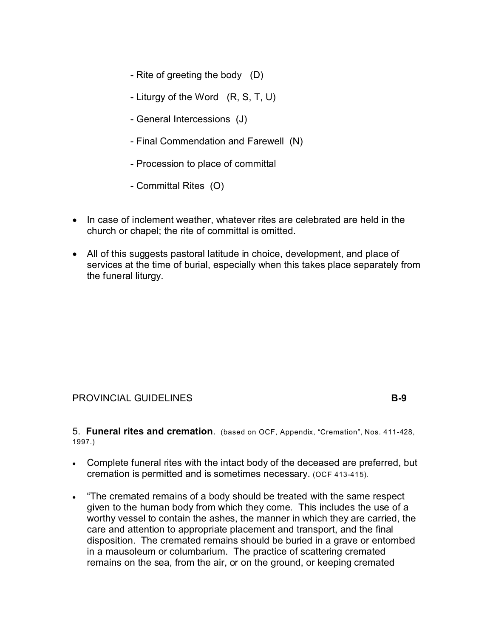- Rite of greeting the body (D)
- Liturgy of the Word (R, S, T, U)
- General Intercessions (J)
- Final Commendation and Farewell (N)
- Procession to place of committal
- Committal Rites (O)

In case of inclement weather, whatever rites are celebrated are held in the church or chapel; the rite of committal is omitted.

All of this suggests pastoral latitude in choice, development, and place of services at the time of burial, especially when this takes place separately from the funeral liturgy.

#### PROVINCIAL GUIDELINES **B-9**

5. **Funeral rites and cremation**. (based on OCF, Appendix, "Cremation", Nos. 411-428, 1997.)

Complete funeral rites with the intact body of the deceased are preferred, but cremation is permitted and is sometimes necessary. (OCF 413-415).

"The cremated remains of a body should be treated with the same respect given to the human body from which they come. This includes the use of a worthy vessel to contain the ashes, the manner in which they are carried, the care and attention to appropriate placement and transport, and the final disposition. The cremated remains should be buried in a grave or entombed in a mausoleum or columbarium. The practice of scattering cremated remains on the sea, from the air, or on the ground, or keeping cremated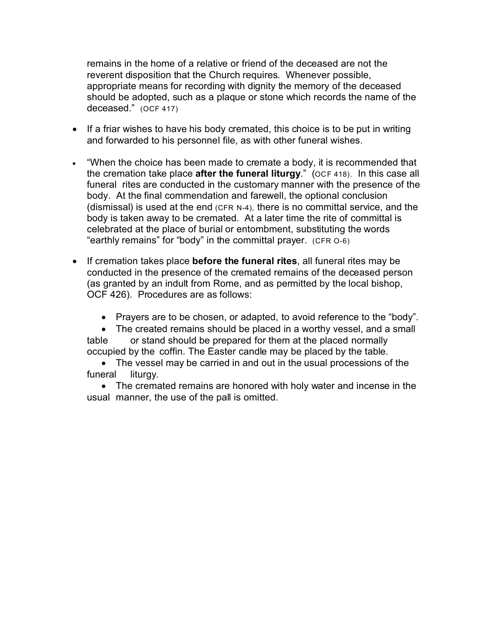remains in the home of a relative or friend of the deceased are not the reverent disposition that the Church requires. Whenever possible, appropriate means for recording with dignity the memory of the deceased should be adopted, such as a plaque or stone which records the name of the deceased." (OCF 417)

If a friar wishes to have his body cremated, this choice is to be put in writing and forwarded to his personnel file, as with other funeral wishes.

"When the choice has been made to cremate a body, it is recommended that the cremation take place **after the funeral liturgy**." (OCF 418). In this case all funeral rites are conducted in the customary manner with the presence of the body. At the final commendation and farewell, the optional conclusion (dismissal) is used at the end (CFR N-4), there is no committal service, and the body is taken away to be cremated. At a later time the rite of committal is celebrated at the place of burial or entombment, substituting the words "earthly remains" for "body" in the committal prayer. (CFR O-6)

If cremation takes place **before the funeral rites**, all funeral rites may be conducted in the presence of the cremated remains of the deceased person (as granted by an indult from Rome, and as permitted by the local bishop, OCF 426). Procedures are as follows:

Prayers are to be chosen, or adapted, to avoid reference to the "body". The created remains should be placed in a worthy vessel, and a small table or stand should be prepared for them at the placed normally

occupied by the coffin. The Easter candle may be placed by the table. The vessel may be carried in and out in the usual processions of the

#### funeral liturgy.

The cremated remains are honored with holy water and incense in the usual manner, the use of the pall is omitted.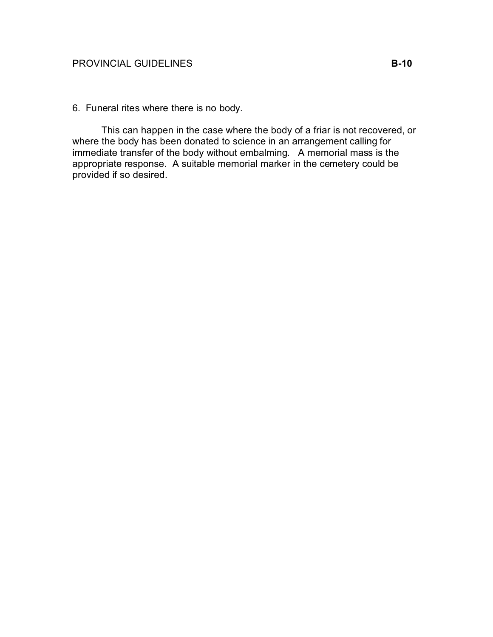## **PROVINCIAL GUIDELINES B-10**

6. Funeral rites where there is no body.

This can happen in the case where the body of a friar is not recovered, or where the body has been donated to science in an arrangement calling for immediate transfer of the body without embalming. A memorial mass is the appropriate response. A suitable memorial marker in the cemetery could be provided if so desired.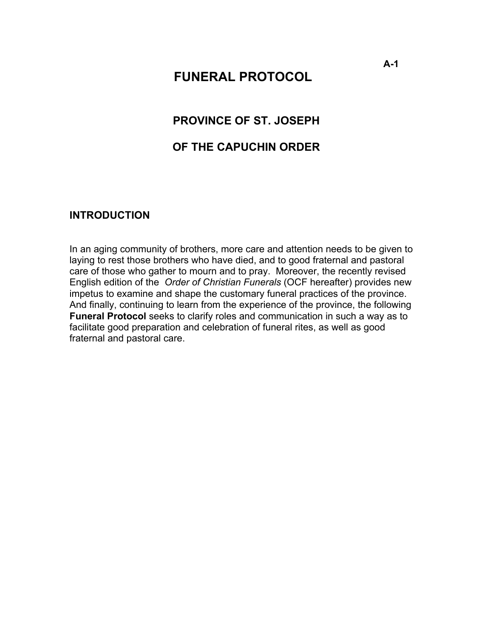# **FUNERAL PROTOCOL**

## **PROVINCE OF ST. JOSEPH**

## **OF THE CAPUCHIN ORDER**

#### **INTRODUCTION**

In an aging community of brothers, more care and attention needs to be given to laying to rest those brothers who have died, and to good fraternal and pastoral care of those who gather to mourn and to pray. Moreover, the recently revised English edition of the *Order of Christian Funerals* (OCF hereafter) provides new impetus to examine and shape the customary funeral practices of the province. And finally, continuing to learn from the experience of the province, the following **Funeral Protocol** seeks to clarify roles and communication in such a way as to facilitate good preparation and celebration of funeral rites, as well as good fraternal and pastoral care.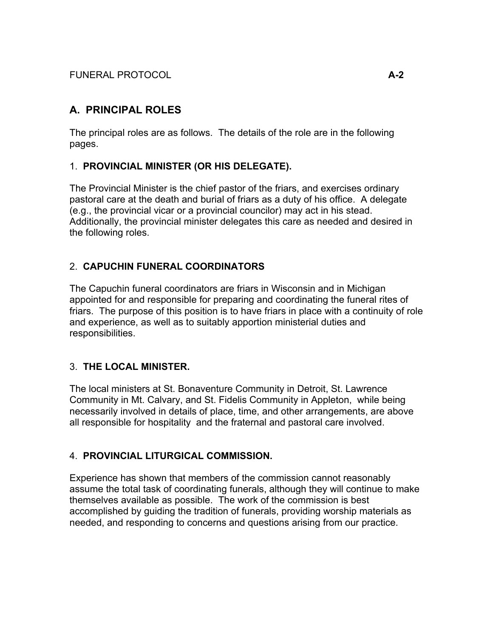# **A. PRINCIPAL ROLES**

The principal roles are as follows. The details of the role are in the following pages.

## 1. **PROVINCIAL MINISTER (OR HIS DELEGATE).**

The Provincial Minister is the chief pastor of the friars, and exercises ordinary pastoral care at the death and burial of friars as a duty of his office. A delegate (e.g., the provincial vicar or a provincial councilor) may act in his stead. Additionally, the provincial minister delegates this care as needed and desired in the following roles.

## 2. **CAPUCHIN FUNERAL COORDINATORS**

The Capuchin funeral coordinators are friars in Wisconsin and in Michigan appointed for and responsible for preparing and coordinating the funeral rites of friars. The purpose of this position is to have friars in place with a continuity of role and experience, as well as to suitably apportion ministerial duties and responsibilities.

## 3. **THE LOCAL MINISTER.**

The local ministers at St. Bonaventure Community in Detroit, St. Lawrence Community in Mt. Calvary, and St. Fidelis Community in Appleton, while being necessarily involved in details of place, time, and other arrangements, are above all responsible for hospitality and the fraternal and pastoral care involved.

## 4. **PROVINCIAL LITURGICAL COMMISSION.**

Experience has shown that members of the commission cannot reasonably assume the total task of coordinating funerals, although they will continue to make themselves available as possible. The work of the commission is best accomplished by guiding the tradition of funerals, providing worship materials as needed, and responding to concerns and questions arising from our practice.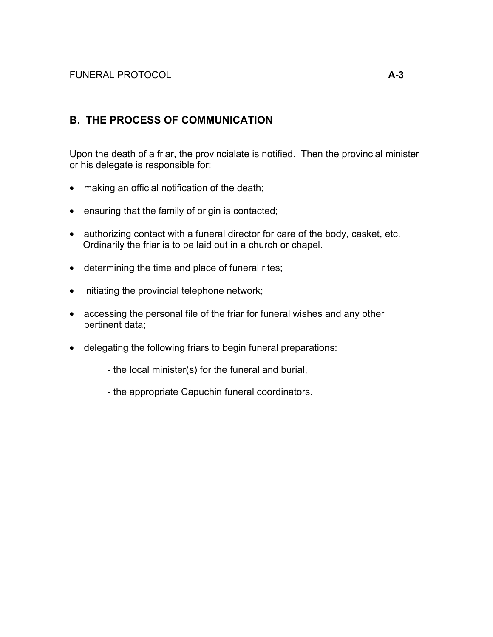## **B. THE PROCESS OF COMMUNICATION**

Upon the death of a friar, the provincialate is notified. Then the provincial minister or his delegate is responsible for:

- making an official notification of the death;
- ensuring that the family of origin is contacted;
- authorizing contact with a funeral director for care of the body, casket, etc. Ordinarily the friar is to be laid out in a church or chapel.
- determining the time and place of funeral rites;
- initiating the provincial telephone network;
- accessing the personal file of the friar for funeral wishes and any other pertinent data;
- delegating the following friars to begin funeral preparations:
	- the local minister(s) for the funeral and burial,
	- the appropriate Capuchin funeral coordinators.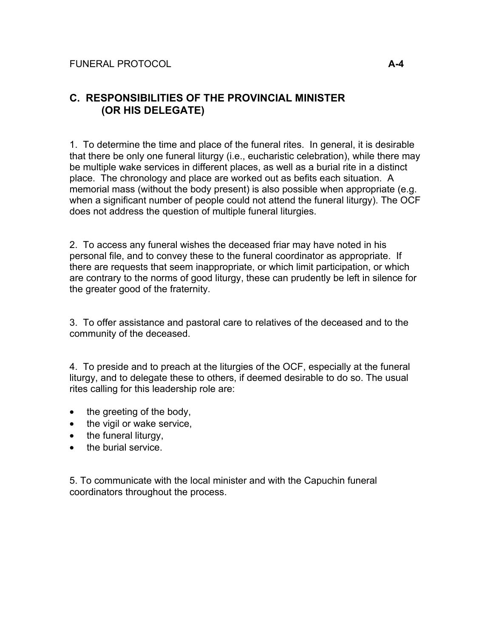## **C. RESPONSIBILITIES OF THE PROVINCIAL MINISTER (OR HIS DELEGATE)**

1. To determine the time and place of the funeral rites. In general, it is desirable that there be only one funeral liturgy (i.e., eucharistic celebration), while there may be multiple wake services in different places, as well as a burial rite in a distinct place. The chronology and place are worked out as befits each situation. A memorial mass (without the body present) is also possible when appropriate (e.g. when a significant number of people could not attend the funeral liturgy). The OCF does not address the question of multiple funeral liturgies.

2. To access any funeral wishes the deceased friar may have noted in his personal file, and to convey these to the funeral coordinator as appropriate. If there are requests that seem inappropriate, or which limit participation, or which are contrary to the norms of good liturgy, these can prudently be left in silence for the greater good of the fraternity.

3. To offer assistance and pastoral care to relatives of the deceased and to the community of the deceased.

4. To preside and to preach at the liturgies of the OCF, especially at the funeral liturgy, and to delegate these to others, if deemed desirable to do so. The usual rites calling for this leadership role are:

- the greeting of the body,
- the vigil or wake service,
- the funeral liturgy,
- the burial service.

5. To communicate with the local minister and with the Capuchin funeral coordinators throughout the process.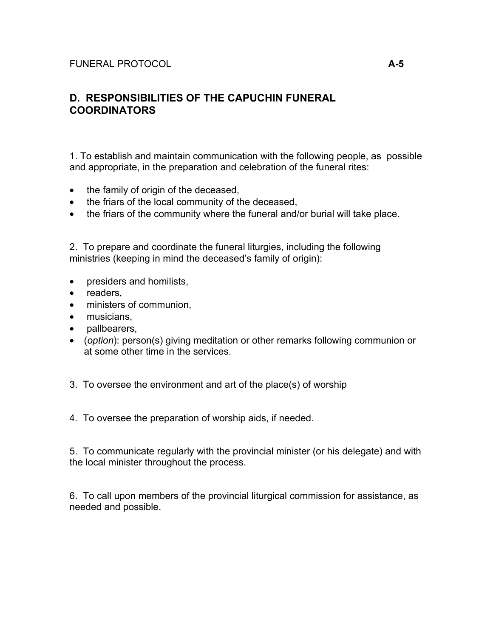## **D. RESPONSIBILITIES OF THE CAPUCHIN FUNERAL COORDINATORS**

1. To establish and maintain communication with the following people, as possible and appropriate, in the preparation and celebration of the funeral rites:

- the family of origin of the deceased,
- the friars of the local community of the deceased,
- the friars of the community where the funeral and/or burial will take place.

2. To prepare and coordinate the funeral liturgies, including the following ministries (keeping in mind the deceased's family of origin):

- presiders and homilists,
- readers.
- ministers of communion,
- musicians,
- pallbearers,
- (*option*): person(s) giving meditation or other remarks following communion or at some other time in the services.
- 3. To oversee the environment and art of the place(s) of worship
- 4. To oversee the preparation of worship aids, if needed.

5. To communicate regularly with the provincial minister (or his delegate) and with the local minister throughout the process.

6. To call upon members of the provincial liturgical commission for assistance, as needed and possible.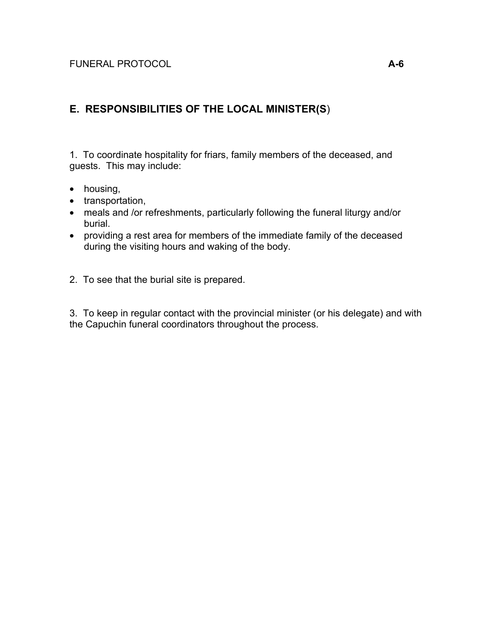FUNERAL PROTOCOL **A-6** 

## **E. RESPONSIBILITIES OF THE LOCAL MINISTER(S**)

1. To coordinate hospitality for friars, family members of the deceased, and guests. This may include:

- housing,
- transportation,
- meals and /or refreshments, particularly following the funeral liturgy and/or burial.
- providing a rest area for members of the immediate family of the deceased during the visiting hours and waking of the body.
- 2. To see that the burial site is prepared.

3. To keep in regular contact with the provincial minister (or his delegate) and with the Capuchin funeral coordinators throughout the process.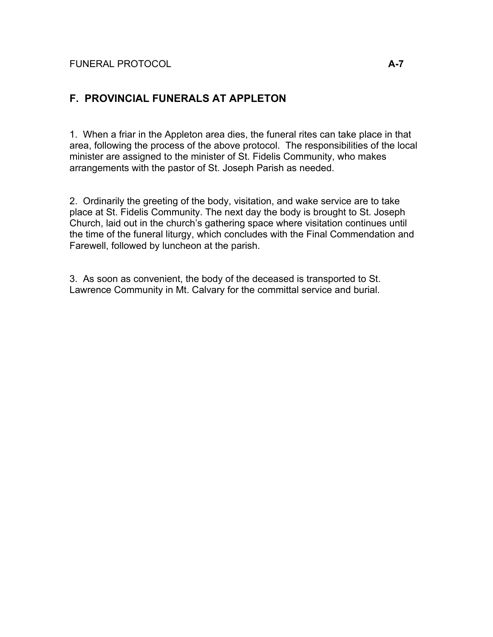## **F. PROVINCIAL FUNERALS AT APPLETON**

1. When a friar in the Appleton area dies, the funeral rites can take place in that area, following the process of the above protocol. The responsibilities of the local minister are assigned to the minister of St. Fidelis Community, who makes arrangements with the pastor of St. Joseph Parish as needed.

2. Ordinarily the greeting of the body, visitation, and wake service are to take place at St. Fidelis Community. The next day the body is brought to St. Joseph Church, laid out in the church's gathering space where visitation continues until the time of the funeral liturgy, which concludes with the Final Commendation and Farewell, followed by luncheon at the parish.

3. As soon as convenient, the body of the deceased is transported to St. Lawrence Community in Mt. Calvary for the committal service and burial.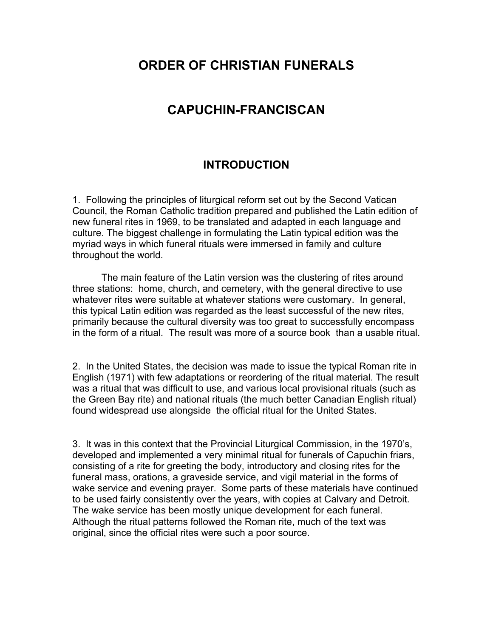# **ORDER OF CHRISTIAN FUNERALS**

# **CAPUCHIN-FRANCISCAN**

## **INTRODUCTION**

1. Following the principles of liturgical reform set out by the Second Vatican Council, the Roman Catholic tradition prepared and published the Latin edition of new funeral rites in 1969, to be translated and adapted in each language and culture. The biggest challenge in formulating the Latin typical edition was the myriad ways in which funeral rituals were immersed in family and culture throughout the world.

 The main feature of the Latin version was the clustering of rites around three stations: home, church, and cemetery, with the general directive to use whatever rites were suitable at whatever stations were customary. In general, this typical Latin edition was regarded as the least successful of the new rites, primarily because the cultural diversity was too great to successfully encompass in the form of a ritual. The result was more of a source book than a usable ritual.

2. In the United States, the decision was made to issue the typical Roman rite in English (1971) with few adaptations or reordering of the ritual material. The result was a ritual that was difficult to use, and various local provisional rituals (such as the Green Bay rite) and national rituals (the much better Canadian English ritual) found widespread use alongside the official ritual for the United States.

3. It was in this context that the Provincial Liturgical Commission, in the 1970's, developed and implemented a very minimal ritual for funerals of Capuchin friars, consisting of a rite for greeting the body, introductory and closing rites for the funeral mass, orations, a graveside service, and vigil material in the forms of wake service and evening prayer. Some parts of these materials have continued to be used fairly consistently over the years, with copies at Calvary and Detroit. The wake service has been mostly unique development for each funeral. Although the ritual patterns followed the Roman rite, much of the text was original, since the official rites were such a poor source.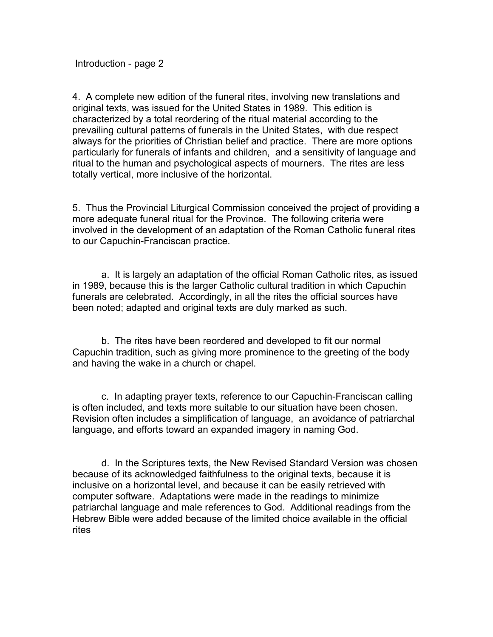Introduction - page 2

4. A complete new edition of the funeral rites, involving new translations and original texts, was issued for the United States in 1989. This edition is characterized by a total reordering of the ritual material according to the prevailing cultural patterns of funerals in the United States, with due respect always for the priorities of Christian belief and practice. There are more options particularly for funerals of infants and children, and a sensitivity of language and ritual to the human and psychological aspects of mourners. The rites are less totally vertical, more inclusive of the horizontal.

5. Thus the Provincial Liturgical Commission conceived the project of providing a more adequate funeral ritual for the Province. The following criteria were involved in the development of an adaptation of the Roman Catholic funeral rites to our Capuchin-Franciscan practice.

 a. It is largely an adaptation of the official Roman Catholic rites, as issued in 1989, because this is the larger Catholic cultural tradition in which Capuchin funerals are celebrated. Accordingly, in all the rites the official sources have been noted; adapted and original texts are duly marked as such.

 b. The rites have been reordered and developed to fit our normal Capuchin tradition, such as giving more prominence to the greeting of the body and having the wake in a church or chapel.

 c. In adapting prayer texts, reference to our Capuchin-Franciscan calling is often included, and texts more suitable to our situation have been chosen. Revision often includes a simplification of language, an avoidance of patriarchal language, and efforts toward an expanded imagery in naming God.

 d. In the Scriptures texts, the New Revised Standard Version was chosen because of its acknowledged faithfulness to the original texts, because it is inclusive on a horizontal level, and because it can be easily retrieved with computer software. Adaptations were made in the readings to minimize patriarchal language and male references to God. Additional readings from the Hebrew Bible were added because of the limited choice available in the official rites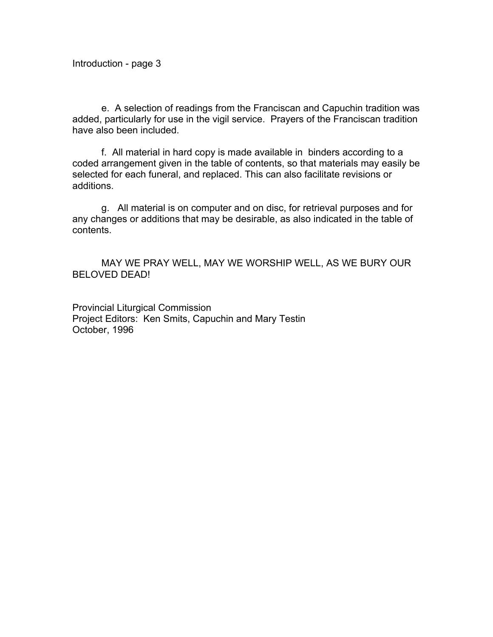Introduction - page 3

 e. A selection of readings from the Franciscan and Capuchin tradition was added, particularly for use in the vigil service. Prayers of the Franciscan tradition have also been included.

 f. All material in hard copy is made available in binders according to a coded arrangement given in the table of contents, so that materials may easily be selected for each funeral, and replaced. This can also facilitate revisions or additions.

 g. All material is on computer and on disc, for retrieval purposes and for any changes or additions that may be desirable, as also indicated in the table of contents.

 MAY WE PRAY WELL, MAY WE WORSHIP WELL, AS WE BURY OUR BELOVED DEAD!

Provincial Liturgical Commission Project Editors: Ken Smits, Capuchin and Mary Testin October, 1996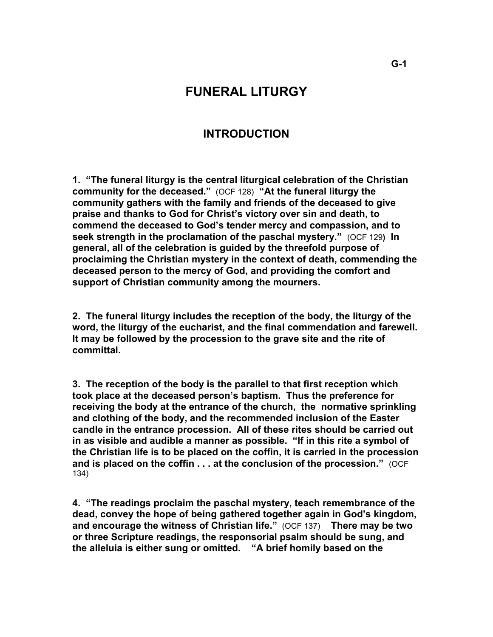## **FUNERAL LITURGY**

## **INTRODUCTION**

**1. "The funeral liturgy is the central liturgical celebration of the Christian community for the deceased."** (OCF 128) **"At the funeral liturgy the community gathers with the family and friends of the deceased to give praise and thanks to God for Christ's victory over sin and death, to commend the deceased to God's tender mercy and compassion, and to seek strength in the proclamation of the paschal mystery."** (OCF 129**) In general, all of the celebration is guided by the threefold purpose of proclaiming the Christian mystery in the context of death, commending the deceased person to the mercy of God, and providing the comfort and support of Christian community among the mourners.** 

**2. The funeral liturgy includes the reception of the body, the liturgy of the word, the liturgy of the eucharist, and the final commendation and farewell. It may be followed by the procession to the grave site and the rite of committal.** 

**3. The reception of the body is the parallel to that first reception which took place at the deceased person's baptism. Thus the preference for receiving the body at the entrance of the church, the normative sprinkling and clothing of the body, and the recommended inclusion of the Easter candle in the entrance procession. All of these rites should be carried out in as visible and audible a manner as possible. "If in this rite a symbol of the Christian life is to be placed on the coffin, it is carried in the procession and is placed on the coffin . . . at the conclusion of the procession."** (OCF 134)

**4. "The readings proclaim the paschal mystery, teach remembrance of the dead, convey the hope of being gathered together again in God's kingdom, and encourage the witness of Christian life."** (OCF 137) **There may be two or three Scripture readings, the responsorial psalm should be sung, and the alleluia is either sung or omitted. "A brief homily based on the**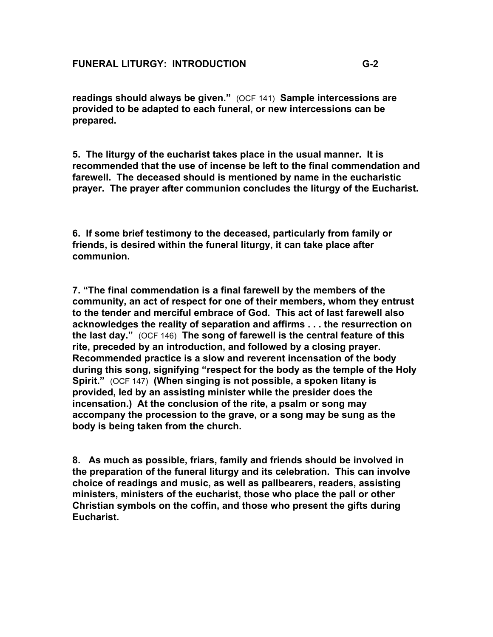**readings should always be given."** (OCF 141) **Sample intercessions are provided to be adapted to each funeral, or new intercessions can be prepared.** 

**5. The liturgy of the eucharist takes place in the usual manner. It is recommended that the use of incense be left to the final commendation and farewell. The deceased should is mentioned by name in the eucharistic prayer. The prayer after communion concludes the liturgy of the Eucharist.** 

**6. If some brief testimony to the deceased, particularly from family or friends, is desired within the funeral liturgy, it can take place after communion.** 

**7. "The final commendation is a final farewell by the members of the community, an act of respect for one of their members, whom they entrust to the tender and merciful embrace of God. This act of last farewell also acknowledges the reality of separation and affirms . . . the resurrection on the last day."** (OCF 146) **The song of farewell is the central feature of this rite, preceded by an introduction, and followed by a closing prayer. Recommended practice is a slow and reverent incensation of the body during this song, signifying "respect for the body as the temple of the Holy Spirit."** (OCF 147) **(When singing is not possible, a spoken litany is provided, led by an assisting minister while the presider does the incensation.) At the conclusion of the rite, a psalm or song may accompany the procession to the grave, or a song may be sung as the body is being taken from the church.** 

**8. As much as possible, friars, family and friends should be involved in the preparation of the funeral liturgy and its celebration. This can involve choice of readings and music, as well as pallbearers, readers, assisting ministers, ministers of the eucharist, those who place the pall or other Christian symbols on the coffin, and those who present the gifts during Eucharist.**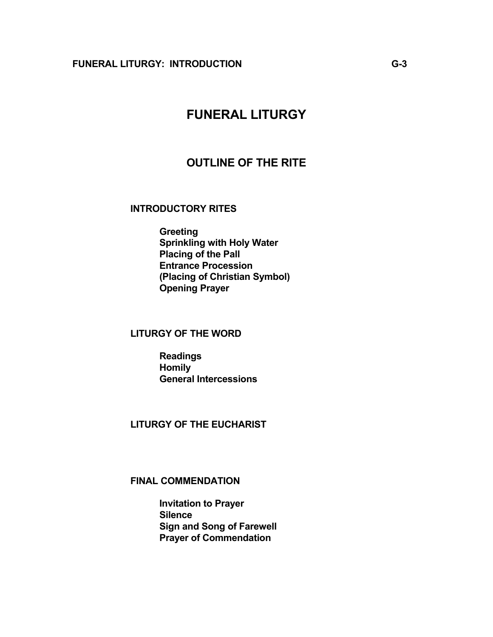## **FUNERAL LITURGY: INTRODUCTION G-3**

# **FUNERAL LITURGY**

## **OUTLINE OF THE RITE**

#### **INTRODUCTORY RITES**

 **Greeting Sprinkling with Holy Water Placing of the Pall Entrance Procession (Placing of Christian Symbol) Opening Prayer** 

#### **LITURGY OF THE WORD**

 **Readings Homily General Intercessions** 

#### **LITURGY OF THE EUCHARIST**

#### **FINAL COMMENDATION**

 **Invitation to Prayer Silence Sign and Song of Farewell Prayer of Commendation**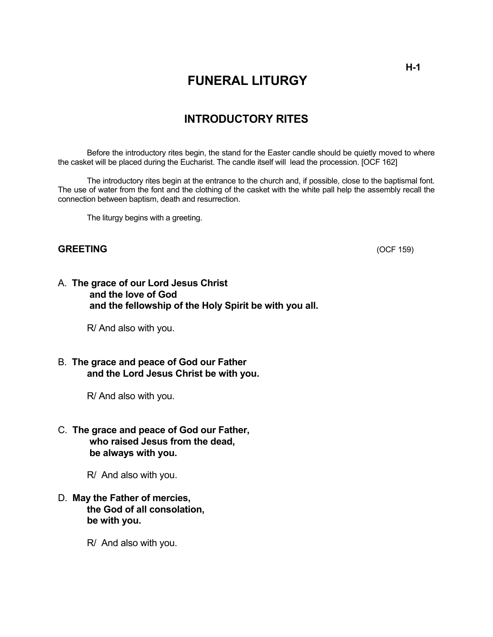# **FUNERAL LITURGY**

## **INTRODUCTORY RITES**

 Before the introductory rites begin, the stand for the Easter candle should be quietly moved to where the casket will be placed during the Eucharist. The candle itself will lead the procession. [OCF 162]

 The introductory rites begin at the entrance to the church and, if possible, close to the baptismal font. The use of water from the font and the clothing of the casket with the white pall help the assembly recall the connection between baptism, death and resurrection.

The liturgy begins with a greeting.

#### **GREETING** (OCF 159)

#### A. **The grace of our Lord Jesus Christ and the love of God and the fellowship of the Holy Spirit be with you all.**

R/ And also with you.

#### B. **The grace and peace of God our Father and the Lord Jesus Christ be with you.**

R/ And also with you.

#### C. **The grace and peace of God our Father, who raised Jesus from the dead, be always with you.**

R/ And also with you.

#### D. **May the Father of mercies, the God of all consolation, be with you.**

R/ And also with you.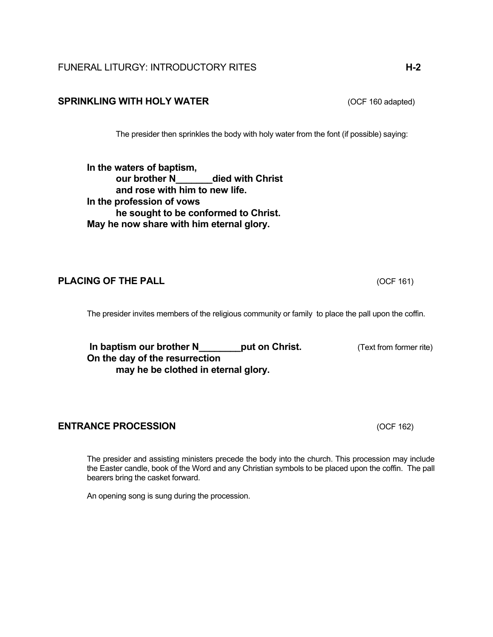## FUNERAL LITURGY: INTRODUCTORY RITES **H-2**

## **SPRINKLING WITH HOLY WATER** (OCF 160 adapted)

The presider then sprinkles the body with holy water from the font (if possible) saying:

 **In the waters of baptism, our brother N\_\_\_\_\_\_\_died with Christ and rose with him to new life. In the profession of vows he sought to be conformed to Christ. May he now share with him eternal glory.** 

**PLACING OF THE PALL** (OCF 161)

The presider invites members of the religious community or family to place the pall upon the coffin.

**In baptism our brother N\_\_\_\_\_\_\_\_\_put on Christ.** Text from former rite)  **On the day of the resurrection may he be clothed in eternal glory.** 

## **ENTRANCE PROCESSION** (OCF 162)

 The presider and assisting ministers precede the body into the church. This procession may include the Easter candle, book of the Word and any Christian symbols to be placed upon the coffin. The pall bearers bring the casket forward.

An opening song is sung during the procession.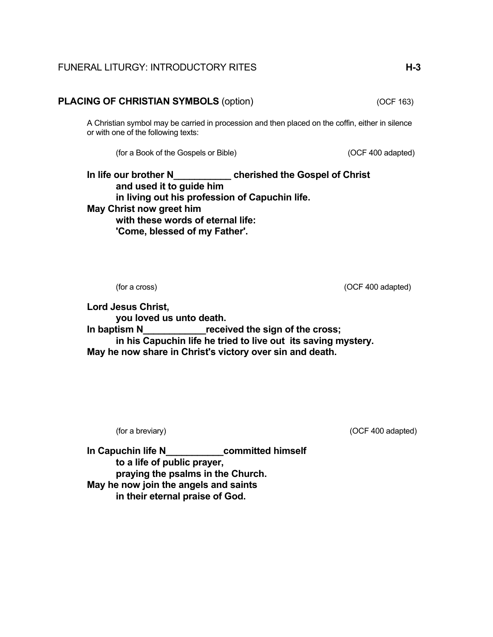#### **PLACING OF CHRISTIAN SYMBOLS** (option) (OCF 163)

 A Christian symbol may be carried in procession and then placed on the coffin, either in silence or with one of the following texts:

(for a Book of the Gospels or Bible) (OCF 400 adapted)

 **In life our brother N\_\_\_\_\_\_\_\_\_\_\_ cherished the Gospel of Christ and used it to guide him in living out his profession of Capuchin life. May Christ now greet him with these words of eternal life: 'Come, blessed of my Father'.** 

(for a cross) (OCF 400 adapted)

 **Lord Jesus Christ,** 

 **you loved us unto death.** 

In baptism N **In the Cross**; **In baptism N** 

 **in his Capuchin life he tried to live out its saving mystery. May he now share in Christ's victory over sin and death.** 

(for a breviary) (OCF 400 adapted)

 **In Capuchin life N\_\_\_\_\_\_\_\_\_\_\_committed himself to a life of public prayer, praying the psalms in the Church. May he now join the angels and saints in their eternal praise of God.**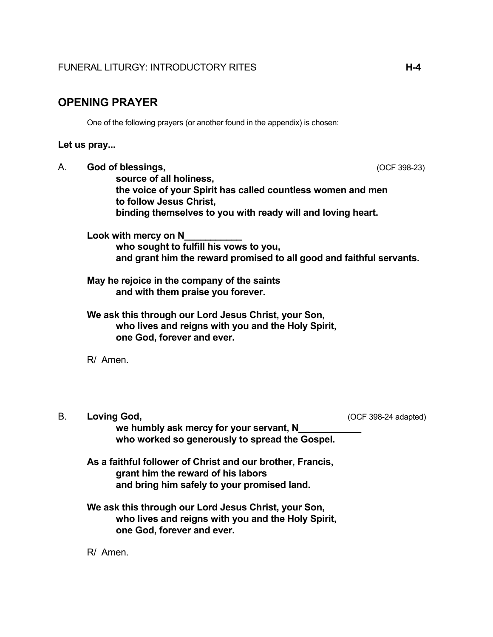## FUNERAL LITURGY: INTRODUCTORY RITES **H-4**

## **OPENING PRAYER**

One of the following prayers (or another found in the appendix) is chosen:

#### **Let us pray...**

| А. | God of blessings,<br>source of all holiness,<br>the voice of your Spirit has called countless women and men<br>to follow Jesus Christ,<br>binding themselves to you with ready will and loving heart. | (OCF 398-23)         |  |  |  |
|----|-------------------------------------------------------------------------------------------------------------------------------------------------------------------------------------------------------|----------------------|--|--|--|
|    | Look with mercy on N<br>who sought to fulfill his vows to you,<br>and grant him the reward promised to all good and faithful servants.                                                                |                      |  |  |  |
|    | May he rejoice in the company of the saints<br>and with them praise you forever.                                                                                                                      |                      |  |  |  |
|    | We ask this through our Lord Jesus Christ, your Son,<br>who lives and reigns with you and the Holy Spirit,<br>one God, forever and ever.                                                              |                      |  |  |  |
|    | R/ Amen.                                                                                                                                                                                              |                      |  |  |  |
| В. | Loving God,<br>we humbly ask mercy for your servant, N<br>who worked so generously to spread the Gospel.                                                                                              | (OCF 398-24 adapted) |  |  |  |
|    | As a faithful follower of Christ and our brother, Francis,<br>grant him the reward of his labors<br>and bring him safely to your promised land.                                                       |                      |  |  |  |

 **We ask this through our Lord Jesus Christ, your Son, who lives and reigns with you and the Holy Spirit, one God, forever and ever.** 

R/ Amen.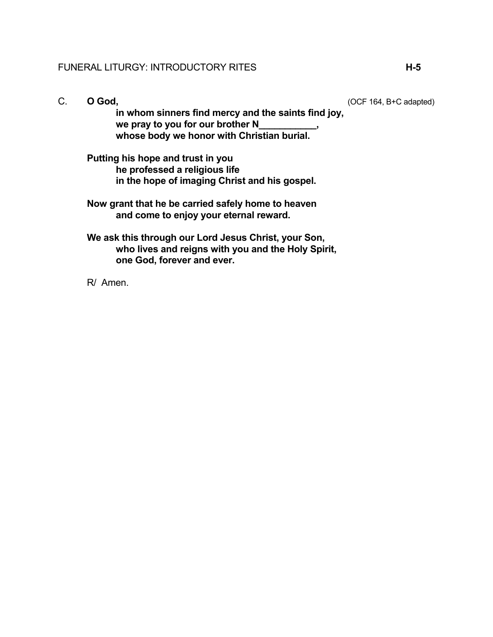#### FUNERAL LITURGY: INTRODUCTORY RITES **H-5**

C. **O God,** (OCF 164, B+C adapted)  **in whom sinners find mercy and the saints find joy,**  we pray to you for our brother N  **whose body we honor with Christian burial. Putting his hope and trust in you he professed a religious life in the hope of imaging Christ and his gospel. Now grant that he be carried safely home to heaven and come to enjoy your eternal reward. We ask this through our Lord Jesus Christ, your Son, who lives and reigns with you and the Holy Spirit, one God, forever and ever.** 

R/ Amen.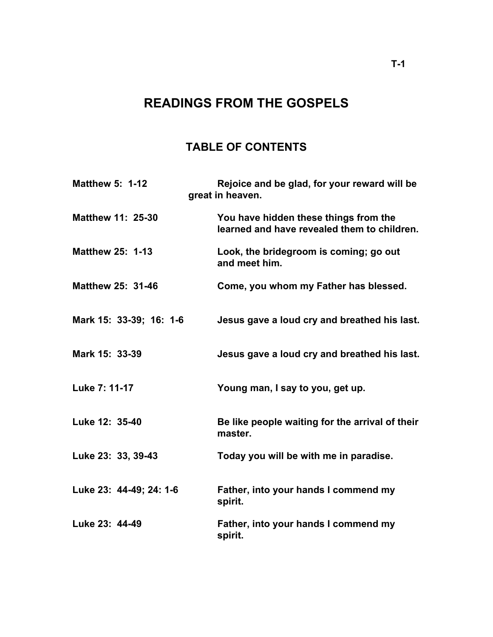# **READINGS FROM THE GOSPELS**

# **TABLE OF CONTENTS**

| <b>Matthew 5: 1-12</b>   | Rejoice and be glad, for your reward will be<br>great in heaven.                     |
|--------------------------|--------------------------------------------------------------------------------------|
| <b>Matthew 11: 25-30</b> | You have hidden these things from the<br>learned and have revealed them to children. |
| <b>Matthew 25: 1-13</b>  | Look, the bridegroom is coming; go out<br>and meet him.                              |
| Matthew 25: 31-46        | Come, you whom my Father has blessed.                                                |
| Mark 15: 33-39; 16: 1-6  | Jesus gave a loud cry and breathed his last.                                         |
| Mark 15: 33-39           | Jesus gave a loud cry and breathed his last.                                         |
| Luke 7: 11-17            | Young man, I say to you, get up.                                                     |
| Luke 12: 35-40           | Be like people waiting for the arrival of their<br>master.                           |
| Luke 23: 33, 39-43       | Today you will be with me in paradise.                                               |
| Luke 23: 44-49; 24: 1-6  | Father, into your hands I commend my<br>spirit.                                      |
| Luke 23: 44-49           | Father, into your hands I commend my<br>spirit.                                      |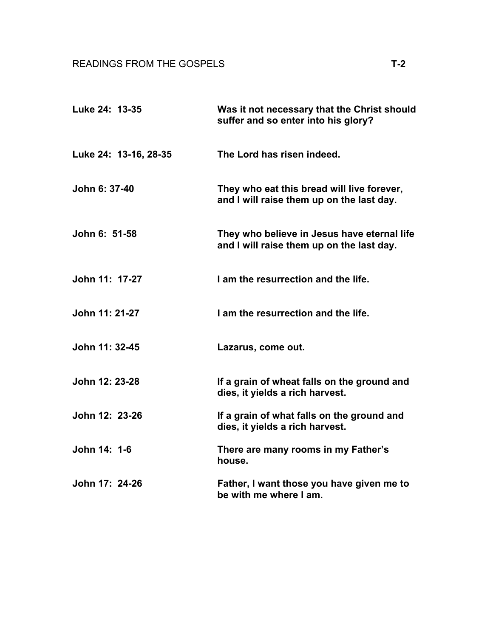| Luke 24: 13-35        | Was it not necessary that the Christ should<br>suffer and so enter into his glory?       |
|-----------------------|------------------------------------------------------------------------------------------|
| Luke 24: 13-16, 28-35 | The Lord has risen indeed.                                                               |
| John 6: 37-40         | They who eat this bread will live forever,<br>and I will raise them up on the last day.  |
| John 6: 51-58         | They who believe in Jesus have eternal life<br>and I will raise them up on the last day. |
| John 11: 17-27        | I am the resurrection and the life.                                                      |
| John 11: 21-27        | I am the resurrection and the life.                                                      |
| John 11: 32-45        | Lazarus, come out.                                                                       |
| John 12: 23-28        | If a grain of wheat falls on the ground and<br>dies, it yields a rich harvest.           |
| John 12: 23-26        | If a grain of what falls on the ground and<br>dies, it yields a rich harvest.            |
| John 14: 1-6          | There are many rooms in my Father's<br>house.                                            |
| John 17: 24-26        | Father, I want those you have given me to<br>be with me where I am.                      |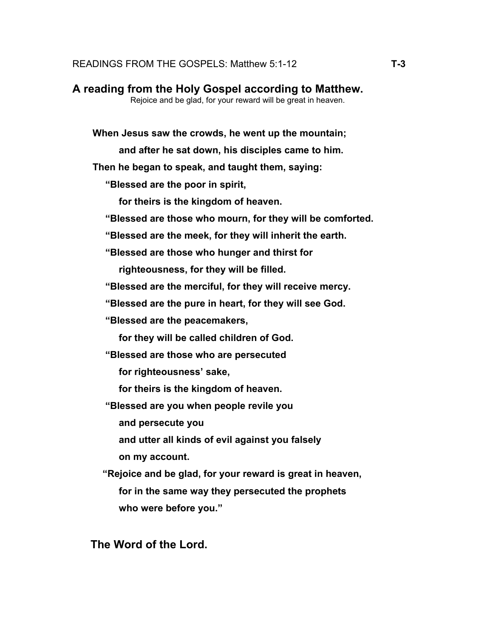| Rejoice and be glad, for your reward will be great in heaven. |
|---------------------------------------------------------------|
| When Jesus saw the crowds, he went up the mountain;           |
| and after he sat down, his disciples came to him.             |
| Then he began to speak, and taught them, saying:              |
| "Blessed are the poor in spirit,                              |
| for theirs is the kingdom of heaven.                          |
| "Blessed are those who mourn, for they will be comforted.     |
| "Blessed are the meek, for they will inherit the earth.       |
| "Blessed are those who hunger and thirst for                  |
| righteousness, for they will be filled.                       |
| "Blessed are the merciful, for they will receive mercy.       |
| "Blessed are the pure in heart, for they will see God.        |
| "Blessed are the peacemakers,                                 |
| for they will be called children of God.                      |
| "Blessed are those who are persecuted                         |
| for righteousness' sake,                                      |
| for theirs is the kingdom of heaven.                          |
| "Blessed are you when people revile you                       |
| and persecute you                                             |
| and utter all kinds of evil against you falsely               |
| on my account.                                                |
| "Rejoice and be glad, for your reward is great in heaven,     |
| for in the same way they persecuted the prophets              |
| who were before you."                                         |
|                                                               |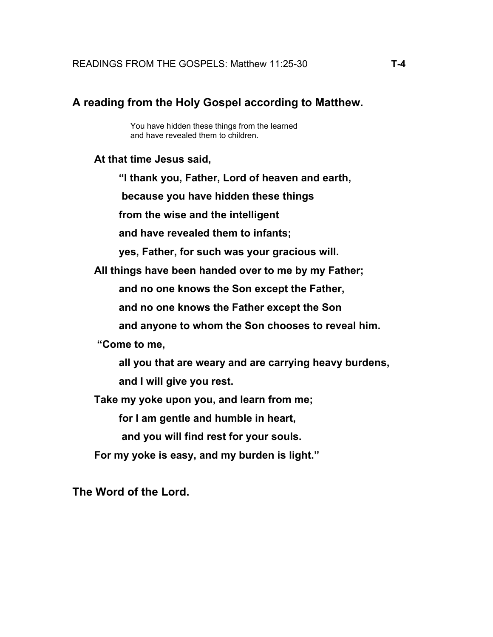You have hidden these things from the learned and have revealed them to children.

**At that time Jesus said,** 

 **"I thank you, Father, Lord of heaven and earth,** 

 **because you have hidden these things** 

 **from the wise and the intelligent** 

 **and have revealed them to infants;** 

**yes, Father, for such was your gracious will.** 

**All things have been handed over to me by my Father;** 

 **and no one knows the Son except the Father,** 

 **and no one knows the Father except the Son** 

 **and anyone to whom the Son chooses to reveal him.** 

 **"Come to me,** 

 **all you that are weary and are carrying heavy burdens, and I will give you rest.** 

**Take my yoke upon you, and learn from me;** 

 **for I am gentle and humble in heart,** 

 **and you will find rest for your souls.** 

**For my yoke is easy, and my burden is light."**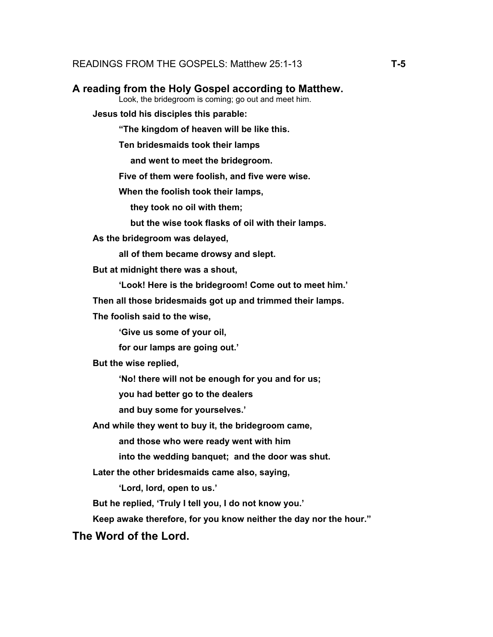| A reading from the Holy Gospel according to Matthew.<br>Look, the bridegroom is coming; go out and meet him. |
|--------------------------------------------------------------------------------------------------------------|
| Jesus told his disciples this parable:                                                                       |
| "The kingdom of heaven will be like this.                                                                    |
| Ten bridesmaids took their lamps                                                                             |
| and went to meet the bridegroom.                                                                             |
| Five of them were foolish, and five were wise.                                                               |
| When the foolish took their lamps,                                                                           |
| they took no oil with them;                                                                                  |
| but the wise took flasks of oil with their lamps.                                                            |
| As the bridegroom was delayed,                                                                               |
| all of them became drowsy and slept.                                                                         |
| But at midnight there was a shout,                                                                           |
| 'Look! Here is the bridegroom! Come out to meet him.'                                                        |
| Then all those bridesmaids got up and trimmed their lamps.                                                   |
| The foolish said to the wise,                                                                                |
| 'Give us some of your oil,                                                                                   |
| for our lamps are going out.'                                                                                |
| But the wise replied,                                                                                        |
| 'No! there will not be enough for you and for us;                                                            |
| you had better go to the dealers                                                                             |
| and buy some for yourselves.'                                                                                |
| And while they went to buy it, the bridegroom came,                                                          |
| and those who were ready went with him                                                                       |
| into the wedding banquet; and the door was shut.                                                             |
| Later the other bridesmaids came also, saying,                                                               |
| 'Lord, lord, open to us.'                                                                                    |
| But he replied, 'Truly I tell you, I do not know you.'                                                       |

**Keep awake therefore, for you know neither the day nor the hour."**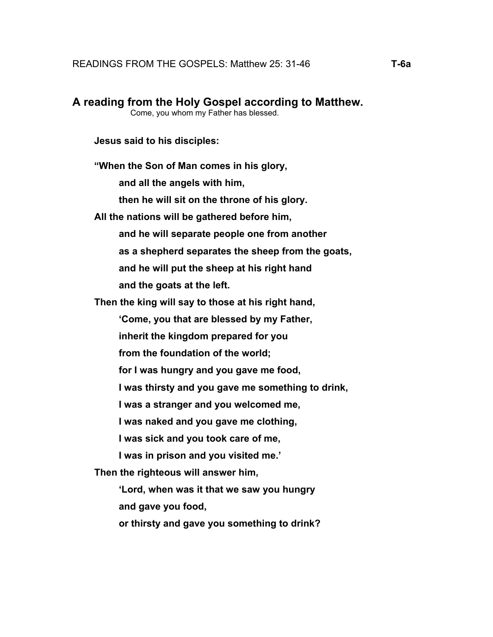| A reading from the Holy Gospel according to Matthew.<br>Come, you whom my Father has blessed. |
|-----------------------------------------------------------------------------------------------|
| Jesus said to his disciples:                                                                  |
| "When the Son of Man comes in his glory,                                                      |
| and all the angels with him,                                                                  |
| then he will sit on the throne of his glory.                                                  |
| All the nations will be gathered before him,                                                  |
| and he will separate people one from another                                                  |
| as a shepherd separates the sheep from the goats,                                             |
| and he will put the sheep at his right hand                                                   |
| and the goats at the left.                                                                    |
| Then the king will say to those at his right hand,                                            |
| 'Come, you that are blessed by my Father,                                                     |
| inherit the kingdom prepared for you                                                          |
| from the foundation of the world;                                                             |
| for I was hungry and you gave me food,                                                        |
| I was thirsty and you gave me something to drink,                                             |
| I was a stranger and you welcomed me,                                                         |
| I was naked and you gave me clothing,                                                         |
| I was sick and you took care of me,                                                           |
| I was in prison and you visited me.'                                                          |
| Then the righteous will answer him,                                                           |
| 'Lord, when was it that we saw you hungry                                                     |
| and gave you food,                                                                            |
| or thirsty and gave you something to drink?                                                   |
|                                                                                               |
|                                                                                               |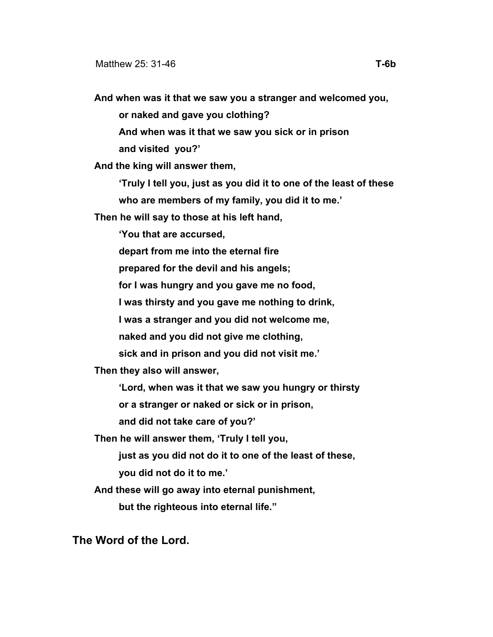**And when was it that we saw you a stranger and welcomed you,** 

 **or naked and gave you clothing?** 

 **And when was it that we saw you sick or in prison** 

 **and visited you?'** 

**And the king will answer them,** 

 **'Truly I tell you, just as you did it to one of the least of these who are members of my family, you did it to me.'** 

**Then he will say to those at his left hand,** 

 **'You that are accursed,** 

 **depart from me into the eternal fire** 

 **prepared for the devil and his angels;** 

**for I was hungry and you gave me no food,** 

 **I was thirsty and you gave me nothing to drink,** 

**I was a stranger and you did not welcome me,** 

 **naked and you did not give me clothing,** 

 **sick and in prison and you did not visit me.'** 

**Then they also will answer,** 

 **'Lord, when was it that we saw you hungry or thirsty** 

 **or a stranger or naked or sick or in prison,** 

 **and did not take care of you?'** 

**Then he will answer them, 'Truly I tell you,** 

 **just as you did not do it to one of the least of these, you did not do it to me.'** 

**And these will go away into eternal punishment,** 

 **but the righteous into eternal life."**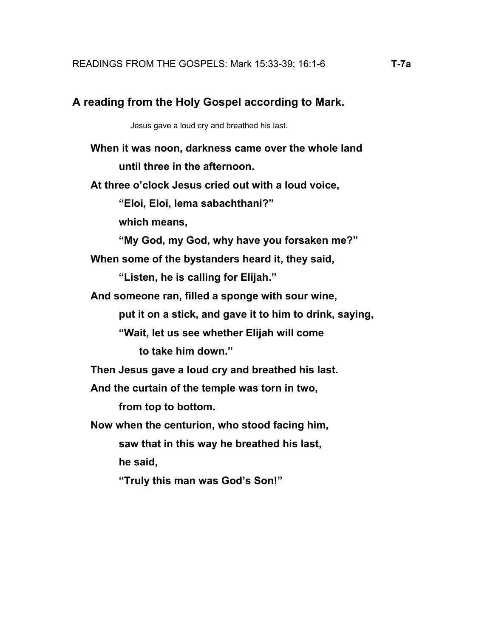# **A reading from the Holy Gospel according to Mark.**  Jesus gave a loud cry and breathed his last. **When it was noon, darkness came over the whole land until three in the afternoon. At three o'clock Jesus cried out with a loud voice, "Eloi, Eloi, lema sabachthani?" which means, "My God, my God, why have you forsaken me?" When some of the bystanders heard it, they said, "Listen, he is calling for Elijah." And someone ran, filled a sponge with sour wine, put it on a stick, and gave it to him to drink, saying, "Wait, let us see whether Elijah will come to take him down." Then Jesus gave a loud cry and breathed his last. And the curtain of the temple was torn in two, from top to bottom. Now when the centurion, who stood facing him, saw that in this way he breathed his last, he said, "Truly this man was God's Son!"**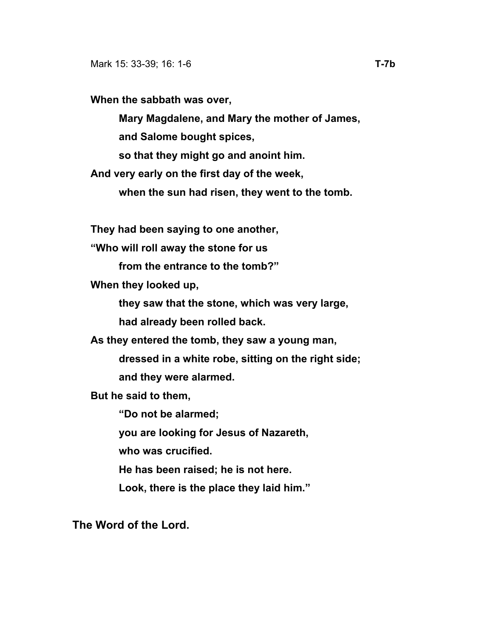**When the sabbath was over,** 

 **Mary Magdalene, and Mary the mother of James,** 

 **and Salome bought spices,** 

 **so that they might go and anoint him.** 

**And very early on the first day of the week,** 

 **when the sun had risen, they went to the tomb.** 

**They had been saying to one another,** 

**"Who will roll away the stone for us** 

 **from the entrance to the tomb?"** 

**When they looked up,** 

 **they saw that the stone, which was very large,** 

 **had already been rolled back.** 

**As they entered the tomb, they saw a young man,** 

 **dressed in a white robe, sitting on the right side; and they were alarmed.** 

**But he said to them,** 

 **"Do not be alarmed;** 

 **you are looking for Jesus of Nazareth,** 

 **who was crucified.** 

 **He has been raised; he is not here.** 

 **Look, there is the place they laid him."**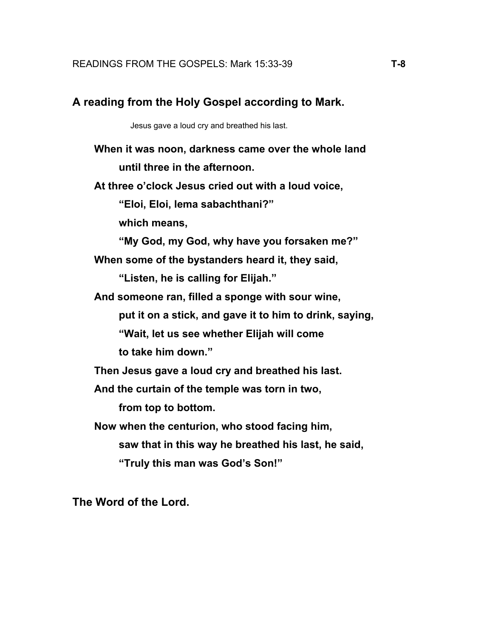| A reading from the Holy Gospel according to Mark.       |  |  |
|---------------------------------------------------------|--|--|
| Jesus gave a loud cry and breathed his last.            |  |  |
| When it was noon, darkness came over the whole land     |  |  |
| until three in the afternoon.                           |  |  |
| At three o'clock Jesus cried out with a loud voice,     |  |  |
| "Eloi, Eloi, lema sabachthani?"                         |  |  |
| which means,                                            |  |  |
| "My God, my God, why have you forsaken me?"             |  |  |
| When some of the bystanders heard it, they said,        |  |  |
| "Listen, he is calling for Elijah."                     |  |  |
| And someone ran, filled a sponge with sour wine,        |  |  |
| put it on a stick, and gave it to him to drink, saying, |  |  |
| "Wait, let us see whether Elijah will come              |  |  |
| to take him down."                                      |  |  |
| Then Jesus gave a loud cry and breathed his last.       |  |  |
| And the curtain of the temple was torn in two,          |  |  |
| from top to bottom.                                     |  |  |
| Now when the centurion, who stood facing him,           |  |  |
| saw that in this way he breathed his last, he said,     |  |  |
| "Truly this man was God's Son!"                         |  |  |
|                                                         |  |  |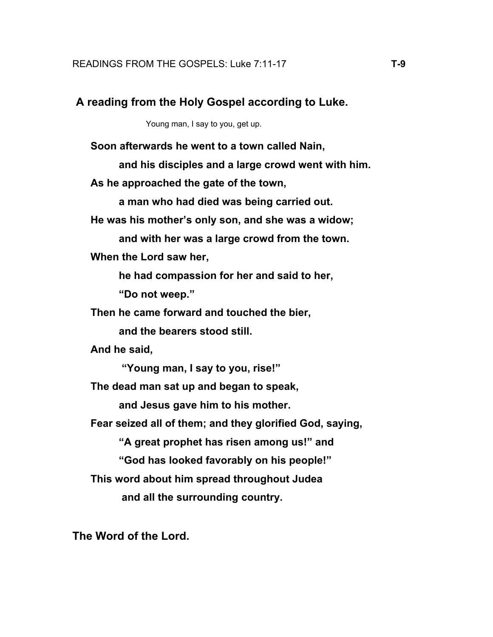Young man, I say to you, get up.

**Soon afterwards he went to a town called Nain,** 

 **and his disciples and a large crowd went with him.** 

**As he approached the gate of the town,** 

 **a man who had died was being carried out.** 

**He was his mother's only son, and she was a widow;** 

 **and with her was a large crowd from the town.** 

**When the Lord saw her,** 

 **he had compassion for her and said to her,** 

 **"Do not weep."** 

**Then he came forward and touched the bier,** 

 **and the bearers stood still.** 

**And he said,** 

 **"Young man, I say to you, rise!"** 

**The dead man sat up and began to speak,** 

 **and Jesus gave him to his mother.** 

**Fear seized all of them; and they glorified God, saying,** 

 **"A great prophet has risen among us!" and** 

 **"God has looked favorably on his people!"** 

**This word about him spread throughout Judea** 

 **and all the surrounding country.**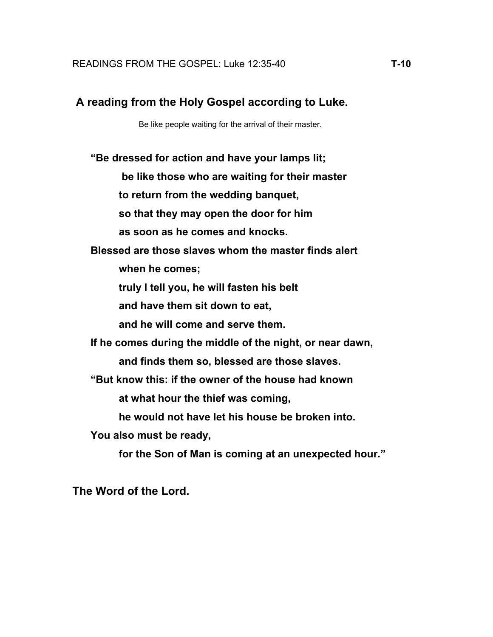Be like people waiting for the arrival of their master.

**"Be dressed for action and have your lamps lit; be like those who are waiting for their master to return from the wedding banquet, so that they may open the door for him as soon as he comes and knocks. Blessed are those slaves whom the master finds alert when he comes; truly I tell you, he will fasten his belt and have them sit down to eat, and he will come and serve them. If he comes during the middle of the night, or near dawn, and finds them so, blessed are those slaves. "But know this: if the owner of the house had known at what hour the thief was coming, he would not have let his house be broken into. You also must be ready, for the Son of Man is coming at an unexpected hour."**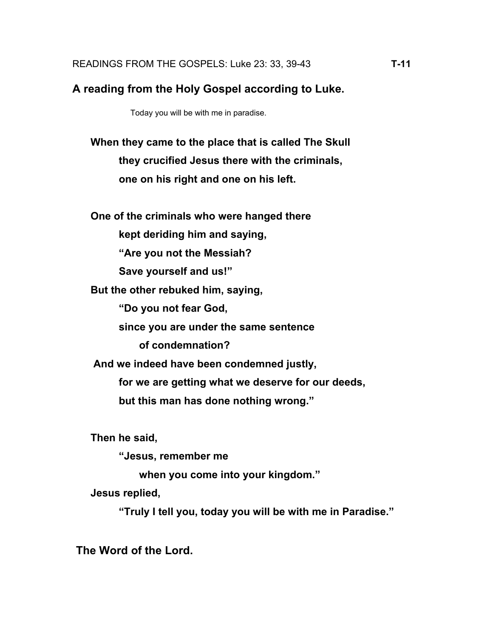Today you will be with me in paradise.

**When they came to the place that is called The Skull they crucified Jesus there with the criminals, one on his right and one on his left.** 

**One of the criminals who were hanged there kept deriding him and saying, "Are you not the Messiah? Save yourself and us!" But the other rebuked him, saying, "Do you not fear God, since you are under the same sentence of condemnation? And we indeed have been condemned justly, for we are getting what we deserve for our deeds, but this man has done nothing wrong."** 

**Then he said,** 

 **"Jesus, remember me** 

 **when you come into your kingdom."** 

**Jesus replied,** 

 **"Truly I tell you, today you will be with me in Paradise."**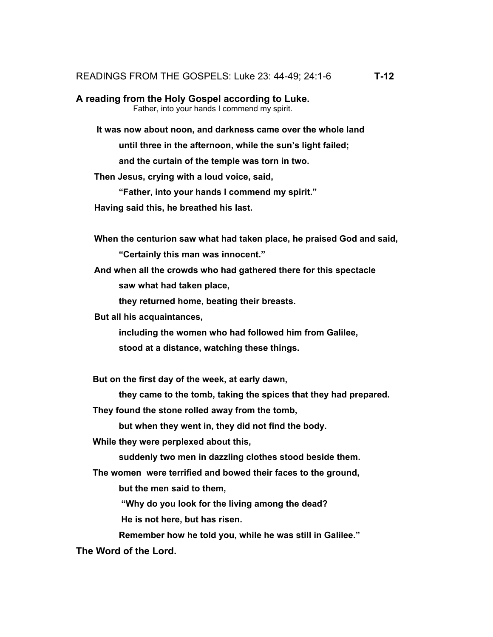**A reading from the Holy Gospel according to Luke.**  Father, into your hands I commend my spirit.

 **It was now about noon, and darkness came over the whole land until three in the afternoon, while the sun's light failed; and the curtain of the temple was torn in two.** 

**Then Jesus, crying with a loud voice, said,** 

 **"Father, into your hands I commend my spirit."** 

**Having said this, he breathed his last.** 

**When the centurion saw what had taken place, he praised God and said, "Certainly this man was innocent."** 

**And when all the crowds who had gathered there for this spectacle saw what had taken place,** 

 **they returned home, beating their breasts.** 

**But all his acquaintances,** 

 **including the women who had followed him from Galilee,** 

 **stood at a distance, watching these things.** 

**But on the first day of the week, at early dawn,** 

 **they came to the tomb, taking the spices that they had prepared.** 

**They found the stone rolled away from the tomb,** 

**but when they went in, they did not find the body.** 

**While they were perplexed about this,** 

 **suddenly two men in dazzling clothes stood beside them.** 

**The women were terrified and bowed their faces to the ground,** 

 **but the men said to them,** 

 **"Why do you look for the living among the dead?** 

 **He is not here, but has risen.** 

**Remember how he told you, while he was still in Galilee."**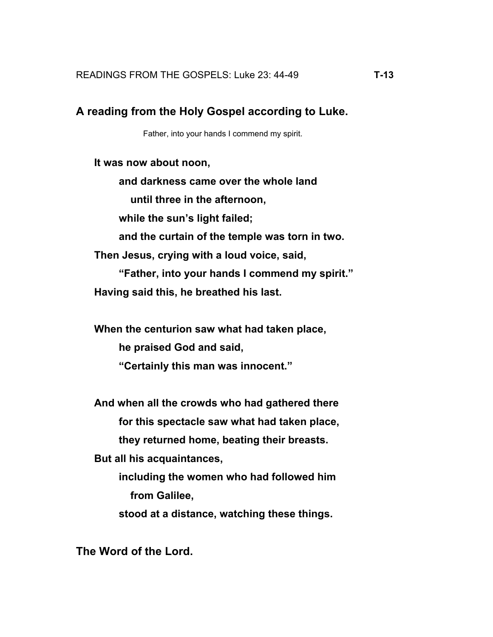Father, into your hands I commend my spirit.

**It was now about noon,** 

 **and darkness came over the whole land until three in the afternoon, while the sun's light failed;** 

**and the curtain of the temple was torn in two.** 

**Then Jesus, crying with a loud voice, said,** 

 **"Father, into your hands I commend my spirit." Having said this, he breathed his last.** 

**When the centurion saw what had taken place, he praised God and said, "Certainly this man was innocent."** 

**And when all the crowds who had gathered there for this spectacle saw what had taken place, they returned home, beating their breasts.** 

**But all his acquaintances,** 

 **including the women who had followed him from Galilee,** 

 **stood at a distance, watching these things.**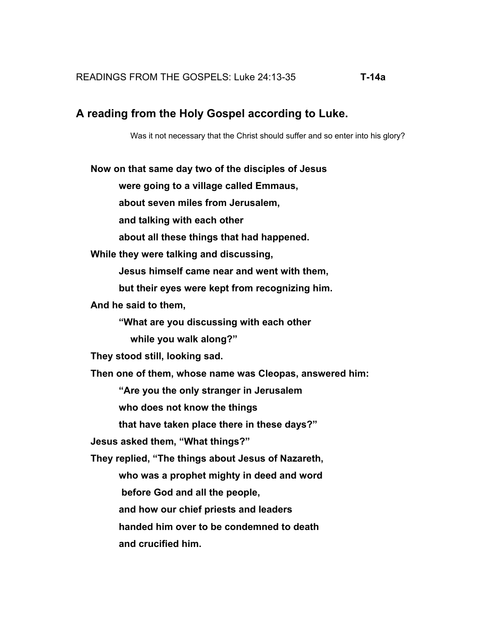Was it not necessary that the Christ should suffer and so enter into his glory?

**Now on that same day two of the disciples of Jesus were going to a village called Emmaus, about seven miles from Jerusalem, and talking with each other about all these things that had happened. While they were talking and discussing, Jesus himself came near and went with them, but their eyes were kept from recognizing him. And he said to them, "What are you discussing with each other while you walk along?" They stood still, looking sad. Then one of them, whose name was Cleopas, answered him: "Are you the only stranger in Jerusalem who does not know the things that have taken place there in these days?" Jesus asked them, "What things?" They replied, "The things about Jesus of Nazareth, who was a prophet mighty in deed and word before God and all the people, and how our chief priests and leaders handed him over to be condemned to death and crucified him.**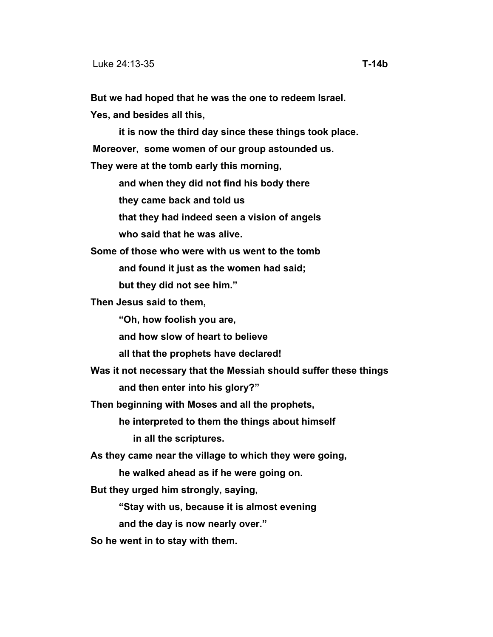**But we had hoped that he was the one to redeem Israel. Yes, and besides all this,** 

 **it is now the third day since these things took place. Moreover, some women of our group astounded us.** 

**They were at the tomb early this morning,** 

**and when they did not find his body there** 

 **they came back and told us** 

 **that they had indeed seen a vision of angels** 

 **who said that he was alive.** 

**Some of those who were with us went to the tomb** 

 **and found it just as the women had said;** 

 **but they did not see him."** 

**Then Jesus said to them,** 

 **"Oh, how foolish you are,** 

 **and how slow of heart to believe** 

 **all that the prophets have declared!** 

**Was it not necessary that the Messiah should suffer these things and then enter into his glory?"** 

**Then beginning with Moses and all the prophets,** 

 **he interpreted to them the things about himself** 

 **in all the scriptures.** 

**As they came near the village to which they were going,** 

 **he walked ahead as if he were going on.** 

**But they urged him strongly, saying,** 

 **"Stay with us, because it is almost evening** 

 **and the day is now nearly over."** 

**So he went in to stay with them.**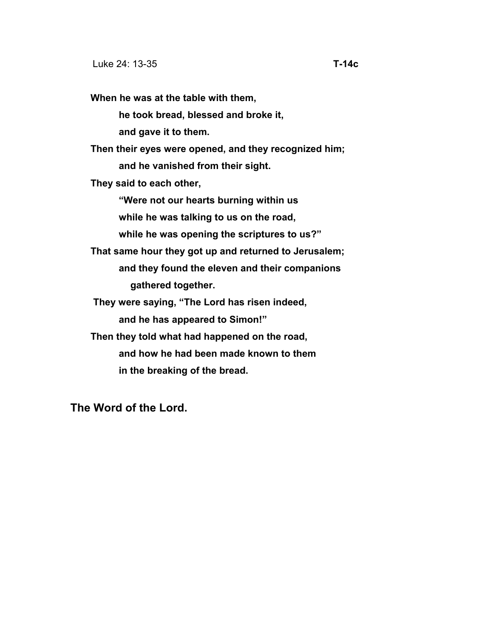**When he was at the table with them,** 

 **he took bread, blessed and broke it, and gave it to them.** 

**Then their eyes were opened, and they recognized him; and he vanished from their sight.** 

**They said to each other,** 

 **"Were not our hearts burning within us** 

 **while he was talking to us on the road,** 

 **while he was opening the scriptures to us?"** 

**That same hour they got up and returned to Jerusalem; and they found the eleven and their companions gathered together.** 

 **They were saying, "The Lord has risen indeed,** 

 **and he has appeared to Simon!"** 

**Then they told what had happened on the road, and how he had been made known to them in the breaking of the bread.**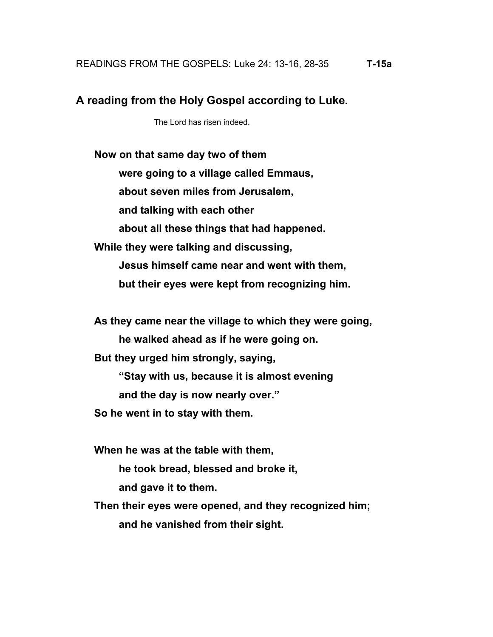The Lord has risen indeed.

**Now on that same day two of them were going to a village called Emmaus, about seven miles from Jerusalem, and talking with each other about all these things that had happened. While they were talking and discussing, Jesus himself came near and went with them, but their eyes were kept from recognizing him. As they came near the village to which they were going, he walked ahead as if he were going on.** 

**But they urged him strongly, saying,** 

 **"Stay with us, because it is almost evening** 

 **and the day is now nearly over."** 

**So he went in to stay with them.** 

**When he was at the table with them, he took bread, blessed and broke it, and gave it to them.** 

**Then their eyes were opened, and they recognized him; and he vanished from their sight.**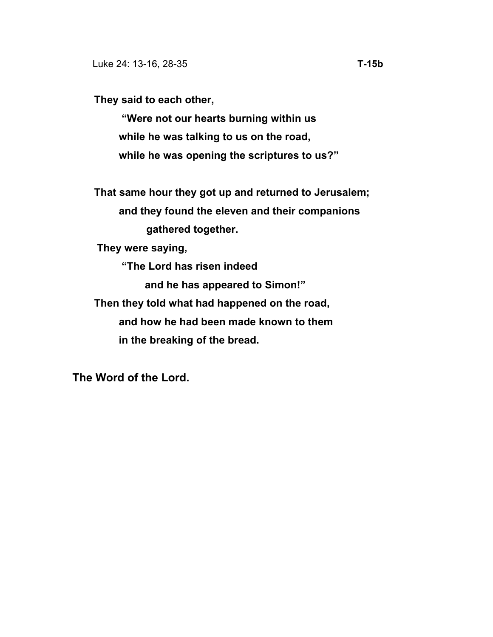**They said to each other,** 

 **"Were not our hearts burning within us while he was talking to us on the road, while he was opening the scriptures to us?"** 

**That same hour they got up and returned to Jerusalem; and they found the eleven and their companions gathered together.** 

 **They were saying,** 

 **"The Lord has risen indeed and he has appeared to Simon!" Then they told what had happened on the road, and how he had been made known to them in the breaking of the bread.**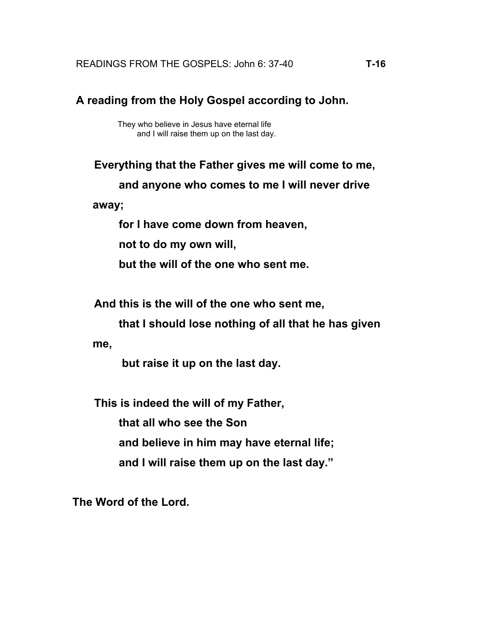They who believe in Jesus have eternal life and I will raise them up on the last day.

**Everything that the Father gives me will come to me, and anyone who comes to me I will never drive away;** 

**for I have come down from heaven, not to do my own will, but the will of the one who sent me.** 

**And this is the will of the one who sent me,** 

 **that I should lose nothing of all that he has given me,** 

 **but raise it up on the last day.** 

**This is indeed the will of my Father,** 

 **that all who see the Son** 

 **and believe in him may have eternal life;** 

 **and I will raise them up on the last day."**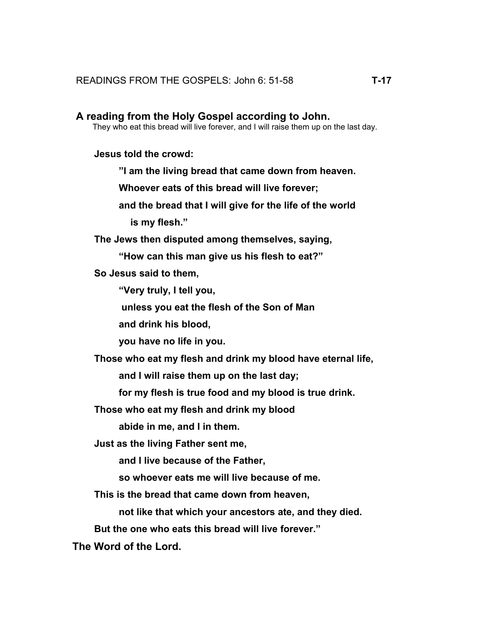They who eat this bread will live forever, and I will raise them up on the last day.

**Jesus told the crowd:** 

 **"I am the living bread that came down from heaven.** 

 **Whoever eats of this bread will live forever;** 

 **and the bread that I will give for the life of the world is my flesh."** 

**The Jews then disputed among themselves, saying,** 

 **"How can this man give us his flesh to eat?"** 

**So Jesus said to them,** 

 **"Very truly, I tell you,** 

 **unless you eat the flesh of the Son of Man** 

 **and drink his blood,** 

 **you have no life in you.** 

**Those who eat my flesh and drink my blood have eternal life,** 

 **and I will raise them up on the last day;** 

**for my flesh is true food and my blood is true drink.** 

**Those who eat my flesh and drink my blood** 

 **abide in me, and I in them.** 

**Just as the living Father sent me,** 

 **and I live because of the Father,** 

 **so whoever eats me will live because of me.** 

**This is the bread that came down from heaven,** 

 **not like that which your ancestors ate, and they died.** 

**But the one who eats this bread will live forever."**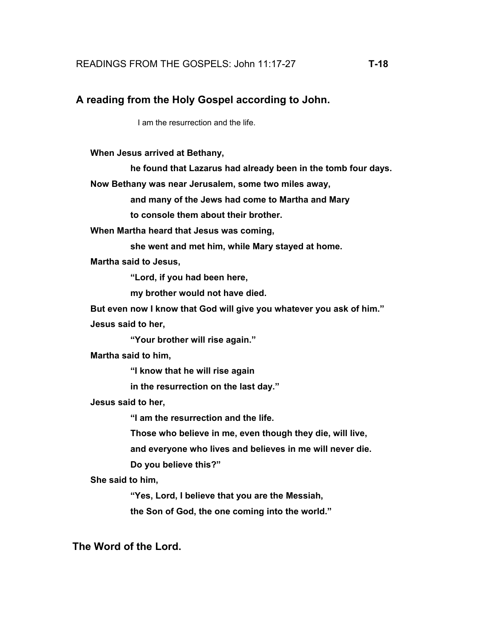I am the resurrection and the life.

**When Jesus arrived at Bethany,** 

 **he found that Lazarus had already been in the tomb four days.** 

**Now Bethany was near Jerusalem, some two miles away,** 

**and many of the Jews had come to Martha and Mary** 

 **to console them about their brother.** 

**When Martha heard that Jesus was coming,** 

 **she went and met him, while Mary stayed at home.** 

**Martha said to Jesus,** 

 **"Lord, if you had been here,** 

 **my brother would not have died.** 

**But even now I know that God will give you whatever you ask of him."** 

**Jesus said to her,** 

 **"Your brother will rise again."** 

**Martha said to him,** 

 **"I know that he will rise again** 

 **in the resurrection on the last day."** 

**Jesus said to her,** 

 **"I am the resurrection and the life.** 

 **Those who believe in me, even though they die, will live,** 

**and everyone who lives and believes in me will never die.** 

 **Do you believe this?"** 

**She said to him,** 

 **"Yes, Lord, I believe that you are the Messiah,** 

 **the Son of God, the one coming into the world."**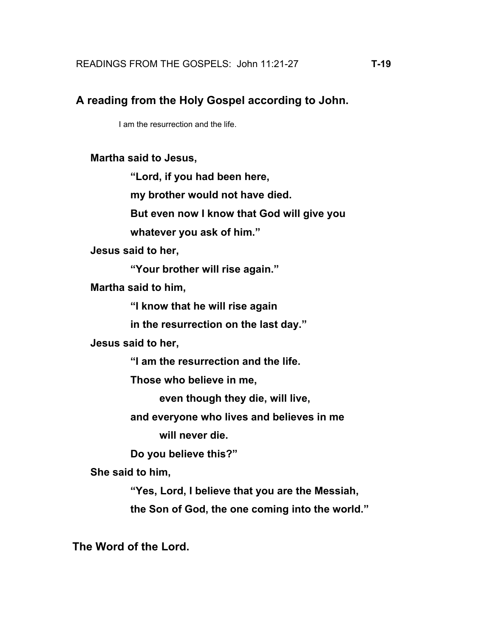I am the resurrection and the life.

**Martha said to Jesus,** 

 **"Lord, if you had been here,** 

 **my brother would not have died.** 

 **But even now I know that God will give you** 

 **whatever you ask of him."** 

**Jesus said to her,** 

 **"Your brother will rise again."** 

**Martha said to him,** 

 **"I know that he will rise again** 

 **in the resurrection on the last day."** 

**Jesus said to her,** 

 **"I am the resurrection and the life.** 

 **Those who believe in me,** 

 **even though they die, will live,** 

**and everyone who lives and believes in me** 

 **will never die.** 

 **Do you believe this?"** 

**She said to him,** 

 **"Yes, Lord, I believe that you are the Messiah,** 

 **the Son of God, the one coming into the world."**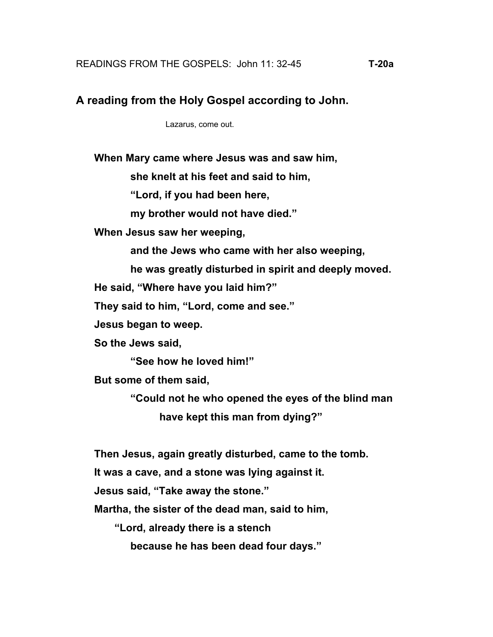Lazarus, come out.

**When Mary came where Jesus was and saw him,** 

 **she knelt at his feet and said to him,** 

 **"Lord, if you had been here,** 

 **my brother would not have died."** 

**When Jesus saw her weeping,** 

 **and the Jews who came with her also weeping,** 

 **he was greatly disturbed in spirit and deeply moved.** 

**He said, "Where have you laid him?"** 

**They said to him, "Lord, come and see."** 

**Jesus began to weep.** 

**So the Jews said,** 

 **"See how he loved him!"** 

**But some of them said,** 

 **"Could not he who opened the eyes of the blind man have kept this man from dying?"** 

**Then Jesus, again greatly disturbed, came to the tomb.** 

**It was a cave, and a stone was lying against it.** 

**Jesus said, "Take away the stone."** 

**Martha, the sister of the dead man, said to him,** 

 **"Lord, already there is a stench** 

 **because he has been dead four days."**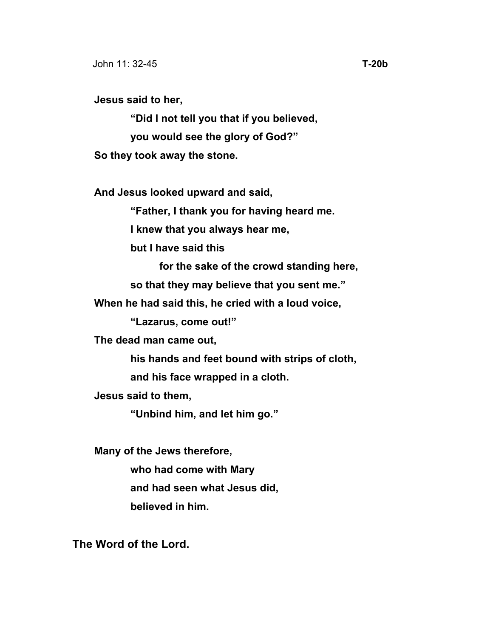**Jesus said to her,** 

 **"Did I not tell you that if you believed,** 

 **you would see the glory of God?"** 

**So they took away the stone.** 

**And Jesus looked upward and said,** 

 **"Father, I thank you for having heard me.** 

 **I knew that you always hear me,** 

 **but I have said this** 

 **for the sake of the crowd standing here,** 

 **so that they may believe that you sent me."** 

**When he had said this, he cried with a loud voice,** 

 **"Lazarus, come out!"** 

**The dead man came out,** 

 **his hands and feet bound with strips of cloth,** 

 **and his face wrapped in a cloth.** 

**Jesus said to them,** 

 **"Unbind him, and let him go."** 

**Many of the Jews therefore,** 

 **who had come with Mary and had seen what Jesus did, believed in him.**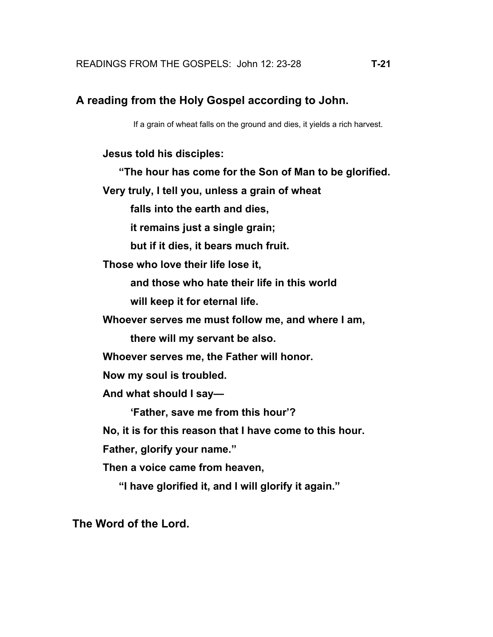If a grain of wheat falls on the ground and dies, it yields a rich harvest.

#### **Jesus told his disciples:**

 **"The hour has come for the Son of Man to be glorified.** 

**Very truly, I tell you, unless a grain of wheat** 

 **falls into the earth and dies,** 

 **it remains just a single grain;** 

 **but if it dies, it bears much fruit.** 

**Those who love their life lose it,** 

 **and those who hate their life in this world** 

 **will keep it for eternal life.** 

**Whoever serves me must follow me, and where I am,** 

 **there will my servant be also.** 

**Whoever serves me, the Father will honor.** 

**Now my soul is troubled.** 

**And what should I say—** 

 **'Father, save me from this hour'?** 

**No, it is for this reason that I have come to this hour.** 

**Father, glorify your name."** 

**Then a voice came from heaven,** 

 **"I have glorified it, and I will glorify it again."**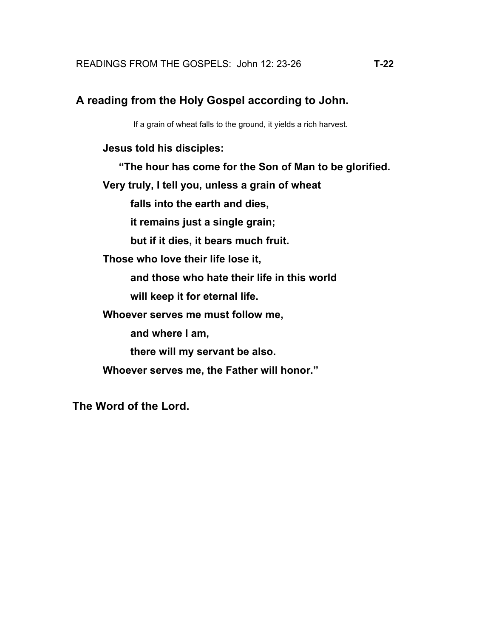If a grain of wheat falls to the ground, it yields a rich harvest.

**Jesus told his disciples:** 

 **"The hour has come for the Son of Man to be glorified.** 

**Very truly, I tell you, unless a grain of wheat** 

 **falls into the earth and dies,** 

 **it remains just a single grain;** 

 **but if it dies, it bears much fruit.** 

**Those who love their life lose it,** 

 **and those who hate their life in this world** 

 **will keep it for eternal life.** 

**Whoever serves me must follow me,** 

 **and where I am,** 

 **there will my servant be also.** 

**Whoever serves me, the Father will honor."**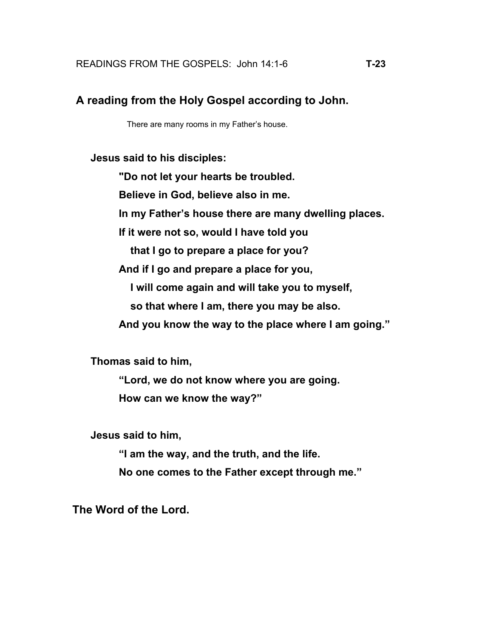There are many rooms in my Father's house.

**Jesus said to his disciples:** 

 **"Do not let your hearts be troubled. Believe in God, believe also in me. In my Father's house there are many dwelling places. If it were not so, would I have told you that I go to prepare a place for you? And if I go and prepare a place for you, I will come again and will take you to myself, so that where I am, there you may be also. And you know the way to the place where I am going."** 

**Thomas said to him,** 

 **"Lord, we do not know where you are going. How can we know the way?"** 

**Jesus said to him,** 

 **"I am the way, and the truth, and the life. No one comes to the Father except through me."**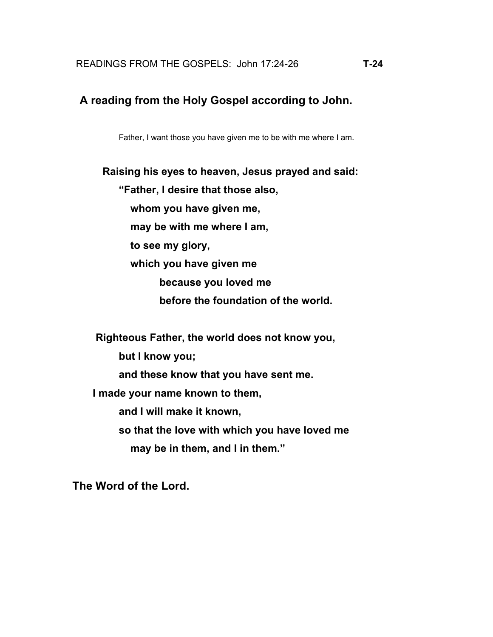Father, I want those you have given me to be with me where I am.

**Raising his eyes to heaven, Jesus prayed and said:** 

 **"Father, I desire that those also,** 

 **whom you have given me,** 

 **may be with me where I am,** 

 **to see my glory,** 

 **which you have given me** 

 **because you loved me** 

 **before the foundation of the world.** 

 **Righteous Father, the world does not know you, but I know you; and these know that you have sent me. I made your name known to them, and I will make it known, so that the love with which you have loved me may be in them, and I in them."**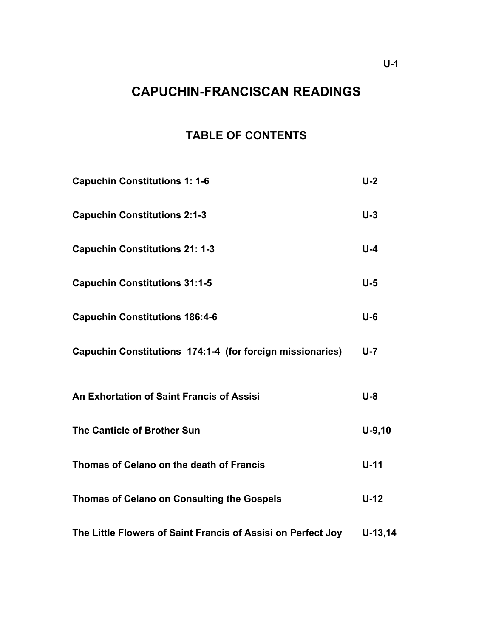# **CAPUCHIN-FRANCISCAN READINGS**

# **TABLE OF CONTENTS**

| <b>Capuchin Constitutions 1: 1-6</b>                         | $U-2$     |
|--------------------------------------------------------------|-----------|
| <b>Capuchin Constitutions 2:1-3</b>                          | $U-3$     |
| <b>Capuchin Constitutions 21: 1-3</b>                        | $U-4$     |
| <b>Capuchin Constitutions 31:1-5</b>                         | $U-5$     |
| <b>Capuchin Constitutions 186:4-6</b>                        | $U-6$     |
| Capuchin Constitutions 174:1-4 (for foreign missionaries)    | $U - 7$   |
| An Exhortation of Saint Francis of Assisi                    | $U-8$     |
| The Canticle of Brother Sun                                  | $U-9,10$  |
| Thomas of Celano on the death of Francis                     | $U-11$    |
| <b>Thomas of Celano on Consulting the Gospels</b>            | $U-12$    |
| The Little Flowers of Saint Francis of Assisi on Perfect Joy | $U-13,14$ |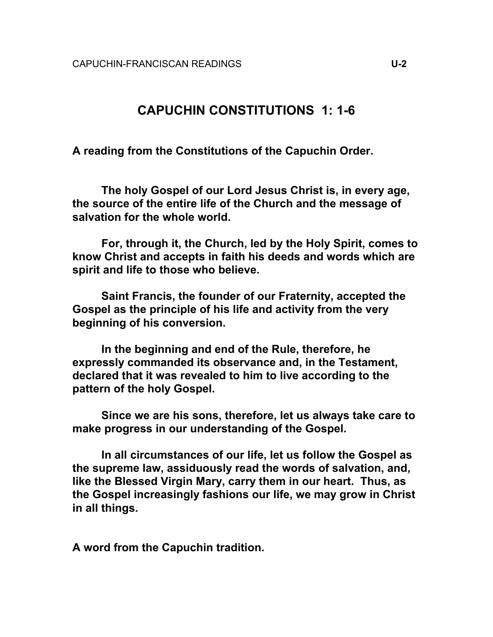## **CAPUCHIN CONSTITUTIONS 1: 1-6**

**A reading from the Constitutions of the Capuchin Order.** 

 **The holy Gospel of our Lord Jesus Christ is, in every age, the source of the entire life of the Church and the message of salvation for the whole world.** 

 **For, through it, the Church, led by the Holy Spirit, comes to know Christ and accepts in faith his deeds and words which are spirit and life to those who believe.** 

 **Saint Francis, the founder of our Fraternity, accepted the Gospel as the principle of his life and activity from the very beginning of his conversion.** 

 **In the beginning and end of the Rule, therefore, he expressly commanded its observance and, in the Testament, declared that it was revealed to him to live according to the pattern of the holy Gospel.** 

 **Since we are his sons, therefore, let us always take care to make progress in our understanding of the Gospel.** 

 **In all circumstances of our life, let us follow the Gospel as the supreme law, assiduously read the words of salvation, and, like the Blessed Virgin Mary, carry them in our heart. Thus, as the Gospel increasingly fashions our life, we may grow in Christ in all things.**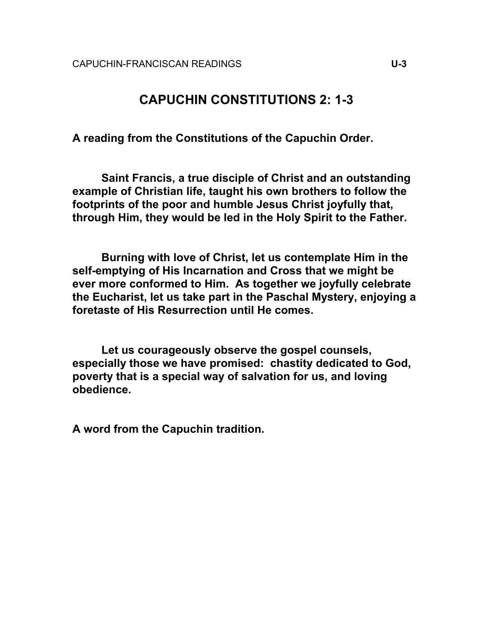## **CAPUCHIN CONSTITUTIONS 2: 1-3**

**A reading from the Constitutions of the Capuchin Order.** 

 **Saint Francis, a true disciple of Christ and an outstanding example of Christian life, taught his own brothers to follow the footprints of the poor and humble Jesus Christ joyfully that, through Him, they would be led in the Holy Spirit to the Father.** 

 **Burning with love of Christ, let us contemplate Him in the self-emptying of His Incarnation and Cross that we might be ever more conformed to Him. As together we joyfully celebrate the Eucharist, let us take part in the Paschal Mystery, enjoying a foretaste of His Resurrection until He comes.** 

 **Let us courageously observe the gospel counsels, especially those we have promised: chastity dedicated to God, poverty that is a special way of salvation for us, and loving obedience.**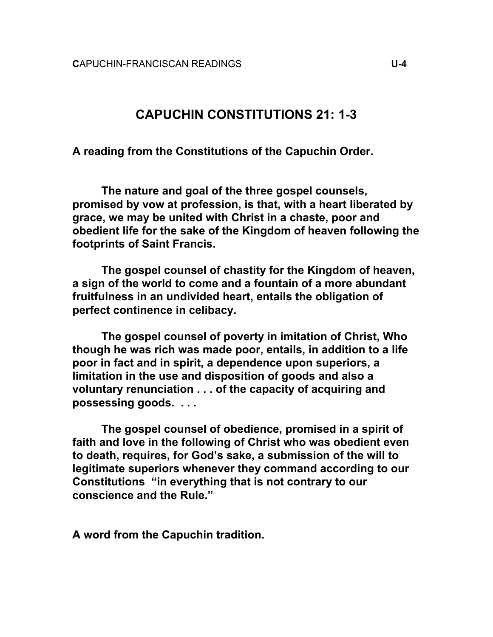### **CAPUCHIN CONSTITUTIONS 21: 1-3**

**A reading from the Constitutions of the Capuchin Order.** 

 **The nature and goal of the three gospel counsels, promised by vow at profession, is that, with a heart liberated by grace, we may be united with Christ in a chaste, poor and obedient life for the sake of the Kingdom of heaven following the footprints of Saint Francis.** 

 **The gospel counsel of chastity for the Kingdom of heaven, a sign of the world to come and a fountain of a more abundant fruitfulness in an undivided heart, entails the obligation of perfect continence in celibacy.** 

 **The gospel counsel of poverty in imitation of Christ, Who though he was rich was made poor, entails, in addition to a life poor in fact and in spirit, a dependence upon superiors, a limitation in the use and disposition of goods and also a voluntary renunciation . . . of the capacity of acquiring and possessing goods. . . .** 

 **The gospel counsel of obedience, promised in a spirit of faith and love in the following of Christ who was obedient even to death, requires, for God's sake, a submission of the will to legitimate superiors whenever they command according to our Constitutions "in everything that is not contrary to our conscience and the Rule."**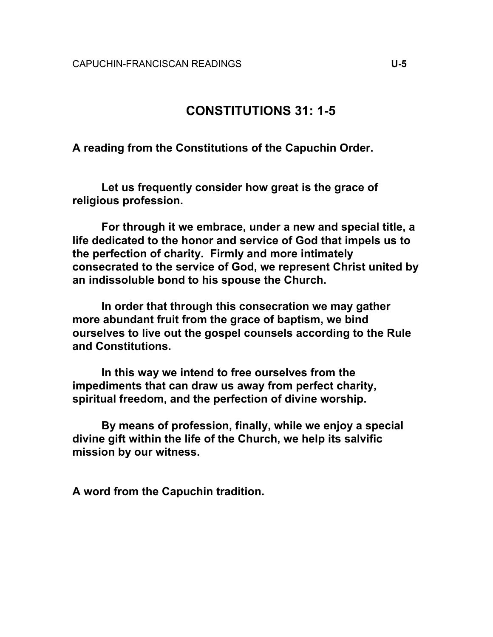## **CONSTITUTIONS 31: 1-5**

**A reading from the Constitutions of the Capuchin Order.** 

 **Let us frequently consider how great is the grace of religious profession.** 

 **For through it we embrace, under a new and special title, a life dedicated to the honor and service of God that impels us to the perfection of charity. Firmly and more intimately consecrated to the service of God, we represent Christ united by an indissoluble bond to his spouse the Church.** 

 **In order that through this consecration we may gather more abundant fruit from the grace of baptism, we bind ourselves to live out the gospel counsels according to the Rule and Constitutions.** 

 **In this way we intend to free ourselves from the impediments that can draw us away from perfect charity, spiritual freedom, and the perfection of divine worship.** 

 **By means of profession, finally, while we enjoy a special divine gift within the life of the Church, we help its salvific mission by our witness.**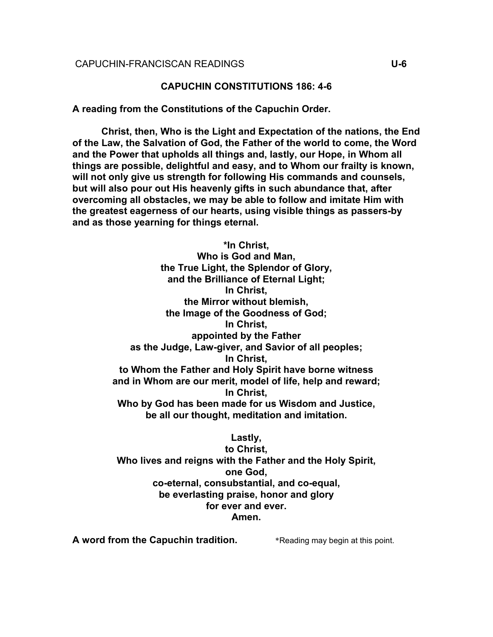#### **CAPUCHIN CONSTITUTIONS 186: 4-6**

**A reading from the Constitutions of the Capuchin Order.** 

 **Christ, then, Who is the Light and Expectation of the nations, the End of the Law, the Salvation of God, the Father of the world to come, the Word and the Power that upholds all things and, lastly, our Hope, in Whom all things are possible, delightful and easy, and to Whom our frailty is known, will not only give us strength for following His commands and counsels, but will also pour out His heavenly gifts in such abundance that, after overcoming all obstacles, we may be able to follow and imitate Him with the greatest eagerness of our hearts, using visible things as passers-by and as those yearning for things eternal.** 

> **\*In Christ, Who is God and Man, the True Light, the Splendor of Glory, and the Brilliance of Eternal Light; In Christ, the Mirror without blemish, the Image of the Goodness of God; In Christ, appointed by the Father as the Judge, Law-giver, and Savior of all peoples; In Christ, to Whom the Father and Holy Spirit have borne witness and in Whom are our merit, model of life, help and reward; In Christ, Who by God has been made for us Wisdom and Justice, be all our thought, meditation and imitation.**

**Lastly, to Christ, Who lives and reigns with the Father and the Holy Spirit, one God, co-eternal, consubstantial, and co-equal, be everlasting praise, honor and glory for ever and ever. Amen.** 

**A word from the Capuchin tradition.** \*Reading may begin at this point.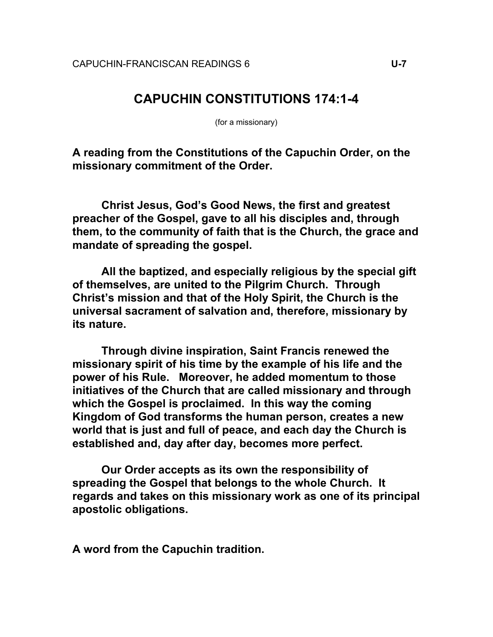# **CAPUCHIN CONSTITUTIONS 174:1-4**

(for a missionary)

**A reading from the Constitutions of the Capuchin Order, on the missionary commitment of the Order.** 

 **Christ Jesus, God's Good News, the first and greatest preacher of the Gospel, gave to all his disciples and, through them, to the community of faith that is the Church, the grace and mandate of spreading the gospel.** 

 **All the baptized, and especially religious by the special gift of themselves, are united to the Pilgrim Church. Through Christ's mission and that of the Holy Spirit, the Church is the universal sacrament of salvation and, therefore, missionary by its nature.** 

 **Through divine inspiration, Saint Francis renewed the missionary spirit of his time by the example of his life and the power of his Rule. Moreover, he added momentum to those initiatives of the Church that are called missionary and through which the Gospel is proclaimed. In this way the coming Kingdom of God transforms the human person, creates a new world that is just and full of peace, and each day the Church is established and, day after day, becomes more perfect.** 

 **Our Order accepts as its own the responsibility of spreading the Gospel that belongs to the whole Church. It regards and takes on this missionary work as one of its principal apostolic obligations.** 

**A word from the Capuchin tradition.**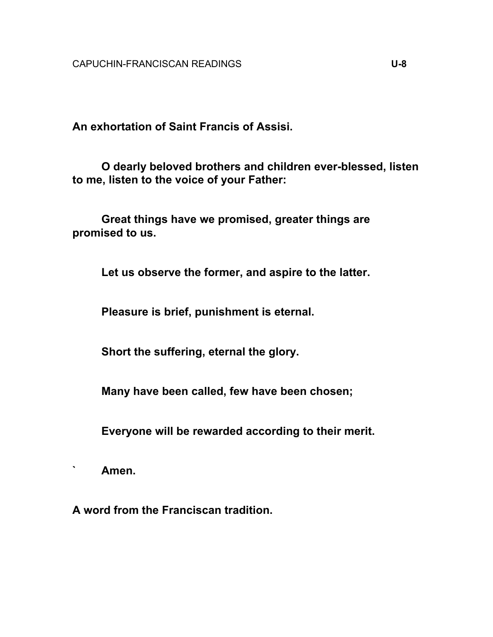**An exhortation of Saint Francis of Assisi.** 

 **O dearly beloved brothers and children ever-blessed, listen to me, listen to the voice of your Father:** 

 **Great things have we promised, greater things are promised to us.** 

 **Let us observe the former, and aspire to the latter.** 

 **Pleasure is brief, punishment is eternal.** 

 **Short the suffering, eternal the glory.** 

 **Many have been called, few have been chosen;** 

 **Everyone will be rewarded according to their merit.** 

**` Amen.** 

**A word from the Franciscan tradition.**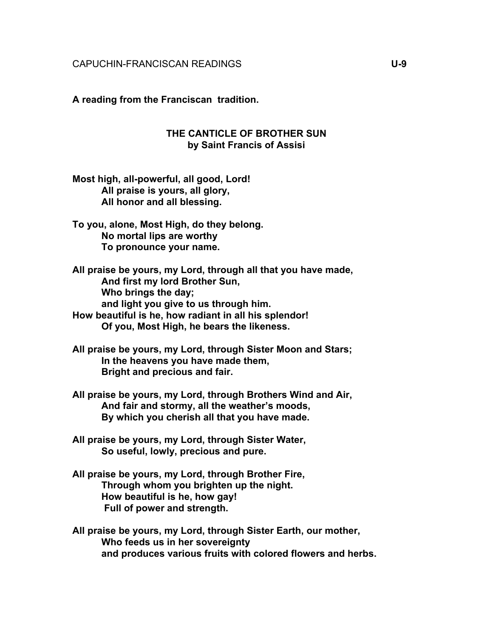**A reading from the Franciscan tradition.** 

#### **THE CANTICLE OF BROTHER SUN by Saint Francis of Assisi**

- **Most high, all-powerful, all good, Lord! All praise is yours, all glory, All honor and all blessing.**
- **To you, alone, Most High, do they belong. No mortal lips are worthy To pronounce your name.**
- **All praise be yours, my Lord, through all that you have made, And first my lord Brother Sun, Who brings the day; and light you give to us through him.**
- **How beautiful is he, how radiant in all his splendor! Of you, Most High, he bears the likeness.**
- **All praise be yours, my Lord, through Sister Moon and Stars; In the heavens you have made them, Bright and precious and fair.**
- **All praise be yours, my Lord, through Brothers Wind and Air, And fair and stormy, all the weather's moods, By which you cherish all that you have made.**
- **All praise be yours, my Lord, through Sister Water, So useful, lowly, precious and pure.**
- **All praise be yours, my Lord, through Brother Fire, Through whom you brighten up the night. How beautiful is he, how gay! Full of power and strength.**
- **All praise be yours, my Lord, through Sister Earth, our mother, Who feeds us in her sovereignty and produces various fruits with colored flowers and herbs.**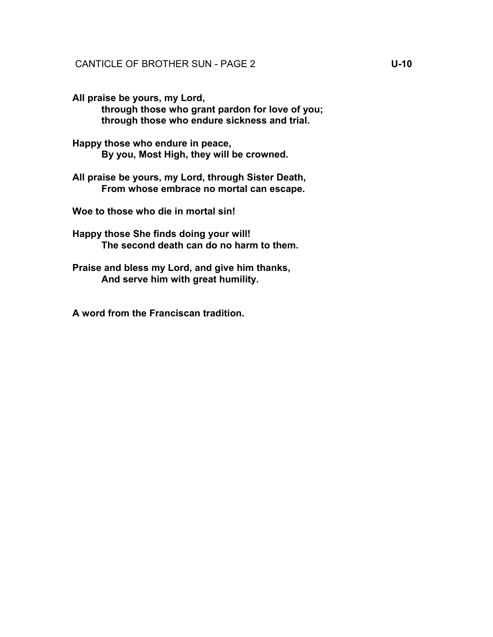- **All praise be yours, my Lord, through those who grant pardon for love of you; through those who endure sickness and trial.**
- **Happy those who endure in peace, By you, Most High, they will be crowned.**
- **All praise be yours, my Lord, through Sister Death, From whose embrace no mortal can escape.**

**Woe to those who die in mortal sin!** 

- **Happy those She finds doing your will! The second death can do no harm to them.**
- **Praise and bless my Lord, and give him thanks, And serve him with great humility.**

**A word from the Franciscan tradition.**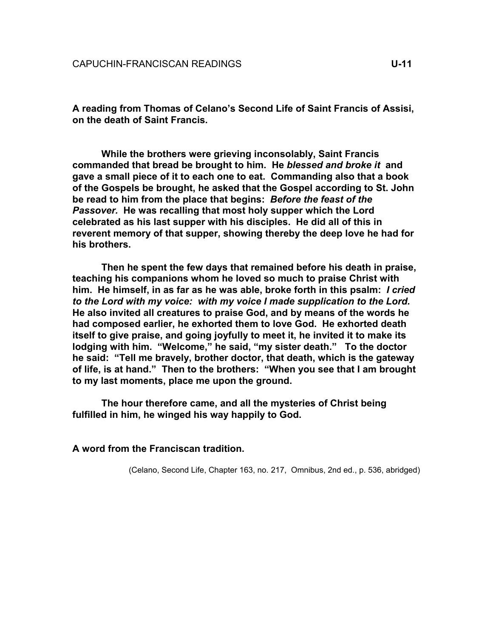**A reading from Thomas of Celano's Second Life of Saint Francis of Assisi, on the death of Saint Francis.** 

 **While the brothers were grieving inconsolably, Saint Francis commanded that bread be brought to him. He** *blessed and broke it* **and gave a small piece of it to each one to eat. Commanding also that a book of the Gospels be brought, he asked that the Gospel according to St. John be read to him from the place that begins:** *Before the feast of the Passover.* **He was recalling that most holy supper which the Lord celebrated as his last supper with his disciples. He did all of this in reverent memory of that supper, showing thereby the deep love he had for his brothers.** 

 **Then he spent the few days that remained before his death in praise, teaching his companions whom he loved so much to praise Christ with him. He himself, in as far as he was able, broke forth in this psalm:** *I cried to the Lord with my voice: with my voice I made supplication to the Lord.*  **He also invited all creatures to praise God, and by means of the words he had composed earlier, he exhorted them to love God. He exhorted death itself to give praise, and going joyfully to meet it, he invited it to make its lodging with him. "Welcome," he said, "my sister death." To the doctor he said: "Tell me bravely, brother doctor, that death, which is the gateway of life, is at hand." Then to the brothers: "When you see that I am brought to my last moments, place me upon the ground.** 

 **The hour therefore came, and all the mysteries of Christ being fulfilled in him, he winged his way happily to God.** 

#### **A word from the Franciscan tradition.**

(Celano, Second Life, Chapter 163, no. 217, Omnibus, 2nd ed., p. 536, abridged)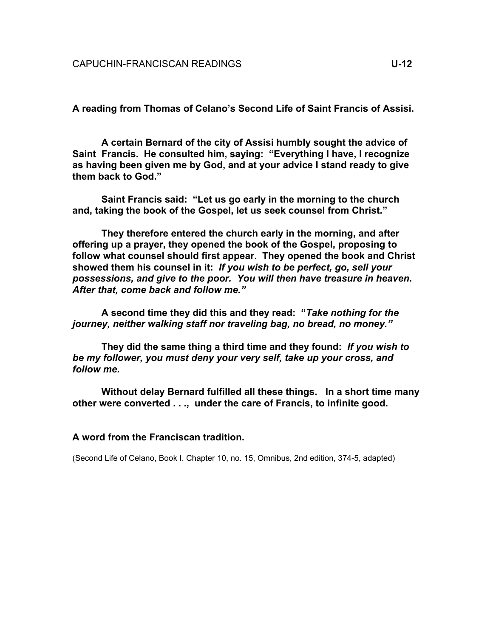**A reading from Thomas of Celano's Second Life of Saint Francis of Assisi.** 

 **A certain Bernard of the city of Assisi humbly sought the advice of Saint Francis. He consulted him, saying: "Everything I have, I recognize as having been given me by God, and at your advice I stand ready to give them back to God."** 

 **Saint Francis said: "Let us go early in the morning to the church and, taking the book of the Gospel, let us seek counsel from Christ."** 

 **They therefore entered the church early in the morning, and after offering up a prayer, they opened the book of the Gospel, proposing to follow what counsel should first appear. They opened the book and Christ showed them his counsel in it:** *If you wish to be perfect, go, sell your possessions, and give to the poor. You will then have treasure in heaven. After that, come back and follow me."*

 **A second time they did this and they read: "***Take nothing for the journey, neither walking staff nor traveling bag, no bread, no money."* 

 **They did the same thing a third time and they found:** *If you wish to be my follower, you must deny your very self, take up your cross, and follow me.* 

 **Without delay Bernard fulfilled all these things. In a short time many other were converted . . ., under the care of Francis, to infinite good.** 

#### **A word from the Franciscan tradition.**

(Second Life of Celano, Book I. Chapter 10, no. 15, Omnibus, 2nd edition, 374-5, adapted)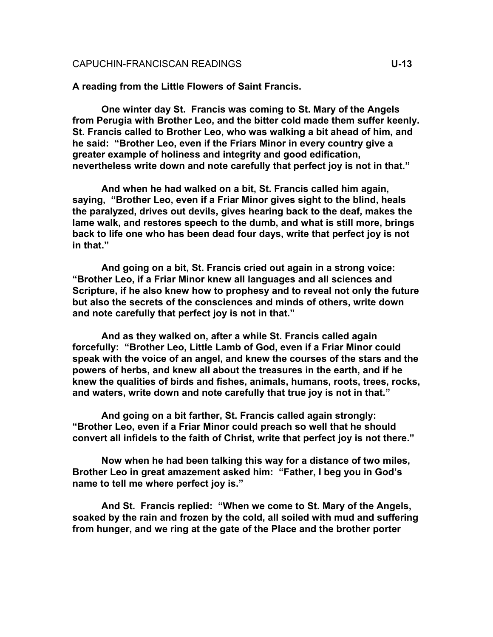#### CAPUCHIN-FRANCISCAN READINGS **U-13**

**A reading from the Little Flowers of Saint Francis.** 

 **One winter day St. Francis was coming to St. Mary of the Angels from Perugia with Brother Leo, and the bitter cold made them suffer keenly. St. Francis called to Brother Leo, who was walking a bit ahead of him, and he said: "Brother Leo, even if the Friars Minor in every country give a greater example of holiness and integrity and good edification, nevertheless write down and note carefully that perfect joy is not in that."** 

 **And when he had walked on a bit, St. Francis called him again, saying, "Brother Leo, even if a Friar Minor gives sight to the blind, heals the paralyzed, drives out devils, gives hearing back to the deaf, makes the lame walk, and restores speech to the dumb, and what is still more, brings back to life one who has been dead four days, write that perfect joy is not in that."** 

 **And going on a bit, St. Francis cried out again in a strong voice: "Brother Leo, if a Friar Minor knew all languages and all sciences and Scripture, if he also knew how to prophesy and to reveal not only the future but also the secrets of the consciences and minds of others, write down and note carefully that perfect joy is not in that."** 

 **And as they walked on, after a while St. Francis called again forcefully: "Brother Leo, Little Lamb of God, even if a Friar Minor could speak with the voice of an angel, and knew the courses of the stars and the powers of herbs, and knew all about the treasures in the earth, and if he knew the qualities of birds and fishes, animals, humans, roots, trees, rocks, and waters, write down and note carefully that true joy is not in that."** 

 **And going on a bit farther, St. Francis called again strongly: "Brother Leo, even if a Friar Minor could preach so well that he should convert all infidels to the faith of Christ, write that perfect joy is not there."** 

 **Now when he had been talking this way for a distance of two miles, Brother Leo in great amazement asked him: "Father, I beg you in God's name to tell me where perfect joy is."** 

 **And St. Francis replied: "When we come to St. Mary of the Angels, soaked by the rain and frozen by the cold, all soiled with mud and suffering from hunger, and we ring at the gate of the Place and the brother porter**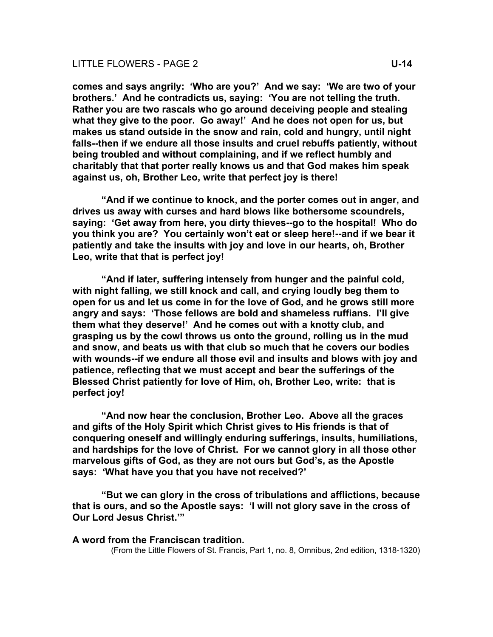#### LITTLE FLOWERS - PAGE 2 **U-14**

**comes and says angrily: 'Who are you?' And we say: 'We are two of your brothers.' And he contradicts us, saying: 'You are not telling the truth. Rather you are two rascals who go around deceiving people and stealing what they give to the poor. Go away!' And he does not open for us, but makes us stand outside in the snow and rain, cold and hungry, until night falls--then if we endure all those insults and cruel rebuffs patiently, without being troubled and without complaining, and if we reflect humbly and charitably that that porter really knows us and that God makes him speak against us, oh, Brother Leo, write that perfect joy is there!** 

 **"And if we continue to knock, and the porter comes out in anger, and drives us away with curses and hard blows like bothersome scoundrels, saying: 'Get away from here, you dirty thieves--go to the hospital! Who do you think you are? You certainly won't eat or sleep here!--and if we bear it patiently and take the insults with joy and love in our hearts, oh, Brother Leo, write that that is perfect joy!** 

 **"And if later, suffering intensely from hunger and the painful cold, with night falling, we still knock and call, and crying loudly beg them to open for us and let us come in for the love of God, and he grows still more angry and says: 'Those fellows are bold and shameless ruffians. I'll give them what they deserve!' And he comes out with a knotty club, and grasping us by the cowl throws us onto the ground, rolling us in the mud and snow, and beats us with that club so much that he covers our bodies with wounds--if we endure all those evil and insults and blows with joy and patience, reflecting that we must accept and bear the sufferings of the Blessed Christ patiently for love of Him, oh, Brother Leo, write: that is perfect joy!** 

 **"And now hear the conclusion, Brother Leo. Above all the graces and gifts of the Holy Spirit which Christ gives to His friends is that of conquering oneself and willingly enduring sufferings, insults, humiliations, and hardships for the love of Christ. For we cannot glory in all those other marvelous gifts of God, as they are not ours but God's, as the Apostle says: 'What have you that you have not received?'** 

 **"But we can glory in the cross of tribulations and afflictions, because that is ours, and so the Apostle says: 'I will not glory save in the cross of Our Lord Jesus Christ.'"** 

#### **A word from the Franciscan tradition.**

(From the Little Flowers of St. Francis, Part 1, no. 8, Omnibus, 2nd edition, 1318-1320)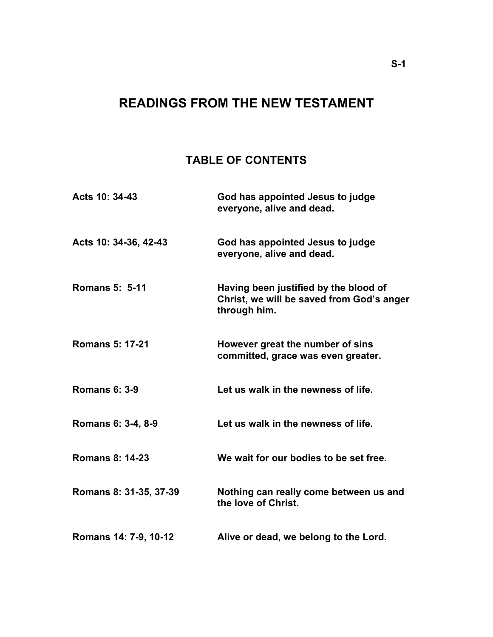# **READINGS FROM THE NEW TESTAMENT**

# **TABLE OF CONTENTS**

| Acts 10: 34-43         | God has appointed Jesus to judge<br>everyone, alive and dead.                                      |
|------------------------|----------------------------------------------------------------------------------------------------|
| Acts 10: 34-36, 42-43  | God has appointed Jesus to judge<br>everyone, alive and dead.                                      |
| <b>Romans 5: 5-11</b>  | Having been justified by the blood of<br>Christ, we will be saved from God's anger<br>through him. |
| <b>Romans 5: 17-21</b> | However great the number of sins<br>committed, grace was even greater.                             |
| <b>Romans 6: 3-9</b>   | Let us walk in the newness of life.                                                                |
| Romans 6: 3-4, 8-9     | Let us walk in the newness of life.                                                                |
| <b>Romans 8: 14-23</b> | We wait for our bodies to be set free.                                                             |
| Romans 8: 31-35, 37-39 | Nothing can really come between us and<br>the love of Christ.                                      |
| Romans 14: 7-9, 10-12  | Alive or dead, we belong to the Lord.                                                              |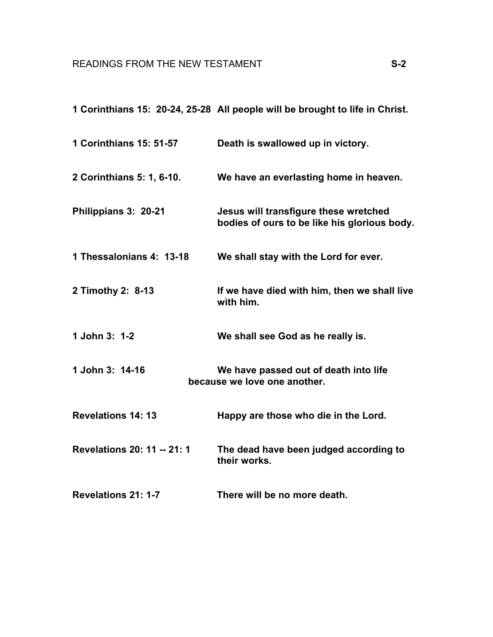**1 Corinthians 15: 20-24, 25-28 All people will be brought to life in Christ.** 

| 1 Corinthians 15: 51-57     | Death is swallowed up in victory.                                                     |
|-----------------------------|---------------------------------------------------------------------------------------|
| 2 Corinthians 5: 1, 6-10.   | We have an everlasting home in heaven.                                                |
| Philippians 3: 20-21        | Jesus will transfigure these wretched<br>bodies of ours to be like his glorious body. |
| 1 Thessalonians 4: 13-18    | We shall stay with the Lord for ever.                                                 |
| 2 Timothy 2: 8-13           | If we have died with him, then we shall live<br>with him.                             |
| 1 John 3: 1-2               | We shall see God as he really is.                                                     |
| 1 John 3: 14-16             | We have passed out of death into life<br>because we love one another.                 |
| <b>Revelations 14: 13</b>   | Happy are those who die in the Lord.                                                  |
| Revelations 20: 11 -- 21: 1 | The dead have been judged according to<br>their works.                                |
| Revelations 21: 1-7         | There will be no more death.                                                          |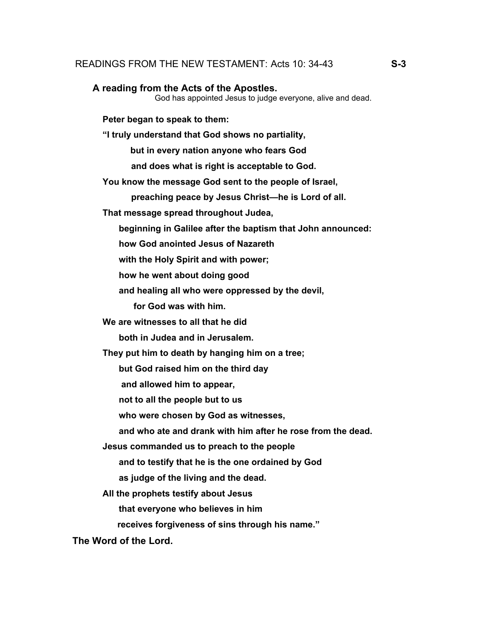**A reading from the Acts of the Apostles.** God has appointed Jesus to judge everyone, alive and dead. **Peter began to speak to them: "I truly understand that God shows no partiality, but in every nation anyone who fears God and does what is right is acceptable to God. You know the message God sent to the people of Israel, preaching peace by Jesus Christ—he is Lord of all. That message spread throughout Judea, beginning in Galilee after the baptism that John announced: how God anointed Jesus of Nazareth with the Holy Spirit and with power; how he went about doing good and healing all who were oppressed by the devil, for God was with him. We are witnesses to all that he did both in Judea and in Jerusalem. They put him to death by hanging him on a tree; but God raised him on the third day and allowed him to appear, not to all the people but to us who were chosen by God as witnesses, and who ate and drank with him after he rose from the dead. Jesus commanded us to preach to the people and to testify that he is the one ordained by God as judge of the living and the dead. All the prophets testify about Jesus that everyone who believes in him receives forgiveness of sins through his name."**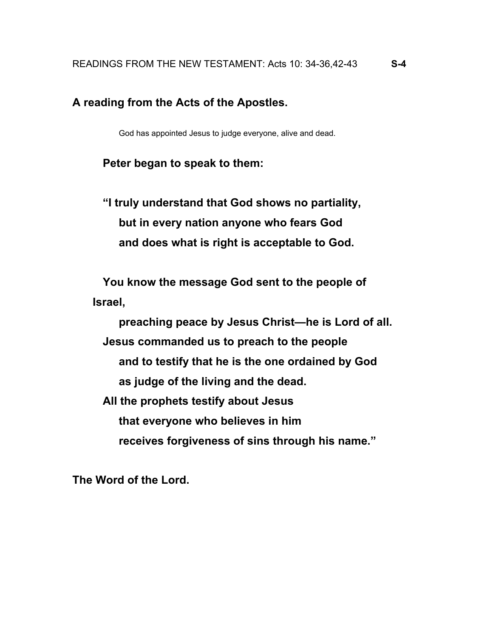### **A reading from the Acts of the Apostles.**

God has appointed Jesus to judge everyone, alive and dead.

**Peter began to speak to them:** 

**"I truly understand that God shows no partiality, but in every nation anyone who fears God and does what is right is acceptable to God.** 

**You know the message God sent to the people of Israel,** 

 **preaching peace by Jesus Christ—he is Lord of all. Jesus commanded us to preach to the people and to testify that he is the one ordained by God as judge of the living and the dead. All the prophets testify about Jesus that everyone who believes in him receives forgiveness of sins through his name."**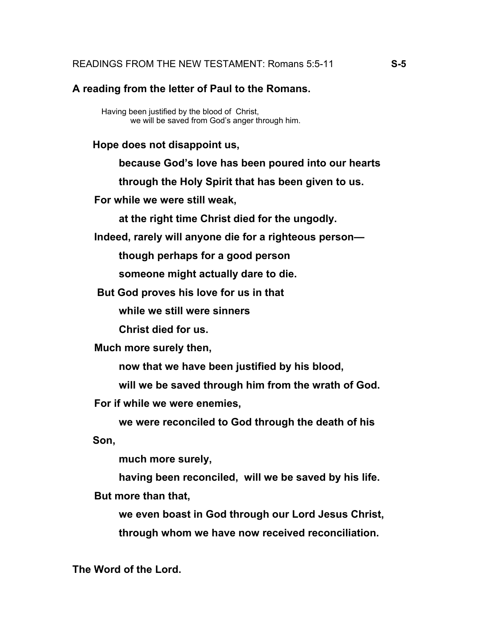Having been justified by the blood of Christ, we will be saved from God's anger through him.

**Hope does not disappoint us,** 

 **because God's love has been poured into our hearts** 

 **through the Holy Spirit that has been given to us.** 

**For while we were still weak,** 

 **at the right time Christ died for the ungodly.** 

**Indeed, rarely will anyone die for a righteous person—** 

 **though perhaps for a good person** 

 **someone might actually dare to die.** 

 **But God proves his love for us in that** 

 **while we still were sinners** 

 **Christ died for us.** 

**Much more surely then,** 

 **now that we have been justified by his blood,** 

 **will we be saved through him from the wrath of God.** 

**For if while we were enemies,** 

 **we were reconciled to God through the death of his Son,** 

 **much more surely,** 

 **having been reconciled, will we be saved by his life.** 

**But more than that,** 

 **we even boast in God through our Lord Jesus Christ, through whom we have now received reconciliation.**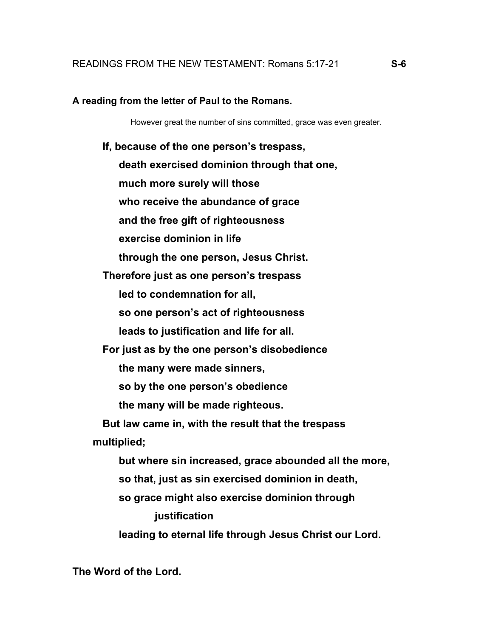However great the number of sins committed, grace was even greater.

**If, because of the one person's trespass, death exercised dominion through that one, much more surely will those who receive the abundance of grace and the free gift of righteousness exercise dominion in life through the one person, Jesus Christ. Therefore just as one person's trespass led to condemnation for all, so one person's act of righteousness leads to justification and life for all. For just as by the one person's disobedience the many were made sinners, so by the one person's obedience the many will be made righteous. But law came in, with the result that the trespass multiplied; but where sin increased, grace abounded all the more, so that, just as sin exercised dominion in death, so grace might also exercise dominion through justification leading to eternal life through Jesus Christ our Lord.**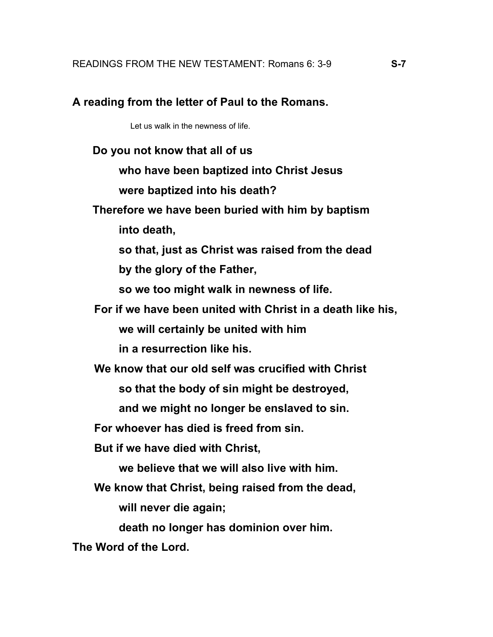Let us walk in the newness of life.

| Do you not know that all of us                              |
|-------------------------------------------------------------|
| who have been baptized into Christ Jesus                    |
| were baptized into his death?                               |
| Therefore we have been buried with him by baptism           |
| into death,                                                 |
| so that, just as Christ was raised from the dead            |
| by the glory of the Father,                                 |
| so we too might walk in newness of life.                    |
| For if we have been united with Christ in a death like his, |
| we will certainly be united with him                        |
| in a resurrection like his.                                 |
| We know that our old self was crucified with Christ         |
| so that the body of sin might be destroyed,                 |
| and we might no longer be enslaved to sin.                  |
| For whoever has died is freed from sin.                     |
| But if we have died with Christ,                            |
| we believe that we will also live with him.                 |
| We know that Christ, being raised from the dead,            |
| will never die again;                                       |
| death no longer has dominion over him.                      |
| The Word of the Lord.                                       |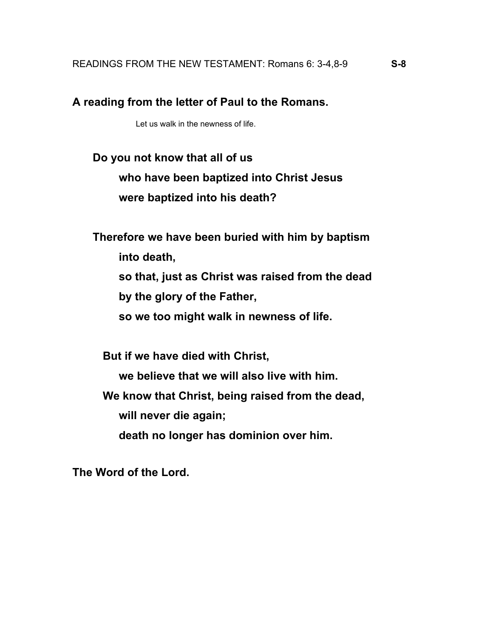Let us walk in the newness of life.

**Do you not know that all of us who have been baptized into Christ Jesus were baptized into his death?** 

**Therefore we have been buried with him by baptism into death, so that, just as Christ was raised from the dead by the glory of the Father, so we too might walk in newness of life.** 

**But if we have died with Christ, we believe that we will also live with him. We know that Christ, being raised from the dead, will never die again;** 

 **death no longer has dominion over him.**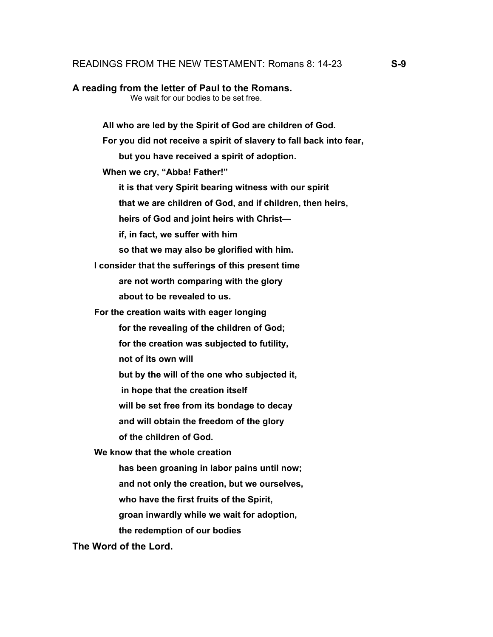| A reading from the letter of Paul to the Romans.<br>We wait for our bodies to be set free. |
|--------------------------------------------------------------------------------------------|
|                                                                                            |
| All who are led by the Spirit of God are children of God.                                  |
| For you did not receive a spirit of slavery to fall back into fear,                        |
| but you have received a spirit of adoption.                                                |
| When we cry, "Abba! Father!"                                                               |
| it is that very Spirit bearing witness with our spirit                                     |
| that we are children of God, and if children, then heirs,                                  |
| heirs of God and joint heirs with Christ-                                                  |
| if, in fact, we suffer with him                                                            |
| so that we may also be glorified with him.                                                 |
| I consider that the sufferings of this present time                                        |
| are not worth comparing with the glory                                                     |
| about to be revealed to us.                                                                |
| For the creation waits with eager longing                                                  |
| for the revealing of the children of God;                                                  |
| for the creation was subjected to futility,                                                |
| not of its own will                                                                        |
| but by the will of the one who subjected it,                                               |
| in hope that the creation itself                                                           |
| will be set free from its bondage to decay                                                 |
| and will obtain the freedom of the glory                                                   |
| of the children of God.                                                                    |
| We know that the whole creation                                                            |
| has been groaning in labor pains until now;                                                |
| and not only the creation, but we ourselves,                                               |
| who have the first fruits of the Spirit,                                                   |
| groan inwardly while we wait for adoption,                                                 |
| the redemption of our bodies                                                               |
| The Word of the Lord.                                                                      |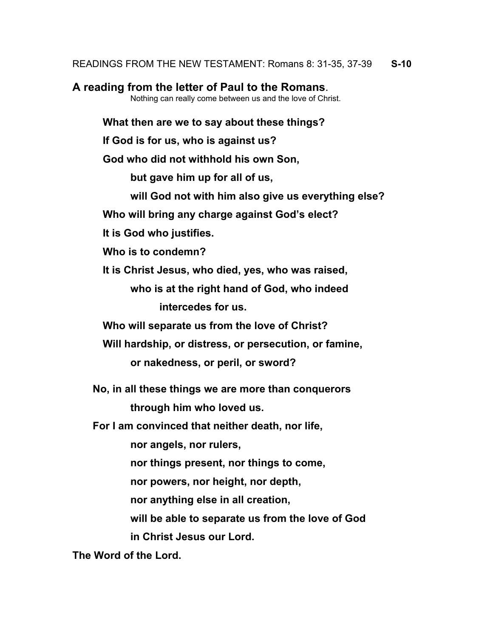**A reading from the letter of Paul to the Romans**. Nothing can really come between us and the love of Christ. **What then are we to say about these things? If God is for us, who is against us? God who did not withhold his own Son, but gave him up for all of us, will God not with him also give us everything else? Who will bring any charge against God's elect? It is God who justifies. Who is to condemn? It is Christ Jesus, who died, yes, who was raised, who is at the right hand of God, who indeed intercedes for us. Who will separate us from the love of Christ? Will hardship, or distress, or persecution, or famine, or nakedness, or peril, or sword? No, in all these things we are more than conquerors through him who loved us. For I am convinced that neither death, nor life, nor angels, nor rulers, nor things present, nor things to come, nor powers, nor height, nor depth, nor anything else in all creation, will be able to separate us from the love of God in Christ Jesus our Lord.**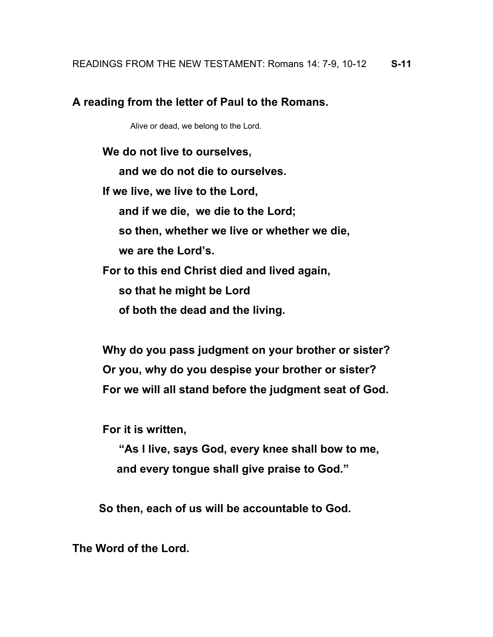Alive or dead, we belong to the Lord.

**We do not live to ourselves, and we do not die to ourselves. If we live, we live to the Lord, and if we die, we die to the Lord; so then, whether we live or whether we die, we are the Lord's. For to this end Christ died and lived again, so that he might be Lord of both the dead and the living.** 

**Why do you pass judgment on your brother or sister? Or you, why do you despise your brother or sister? For we will all stand before the judgment seat of God.** 

**For it is written,** 

 **"As I live, says God, every knee shall bow to me, and every tongue shall give praise to God."** 

 **So then, each of us will be accountable to God.**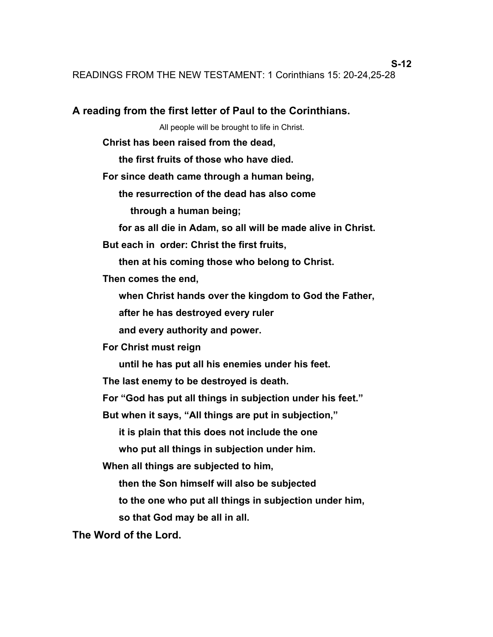READINGS FROM THE NEW TESTAMENT: 1 Corinthians 15: 20-24,25-28

### **A reading from the first letter of Paul to the Corinthians.**

All people will be brought to life in Christ.

**Christ has been raised from the dead,** 

 **the first fruits of those who have died.** 

**For since death came through a human being,** 

 **the resurrection of the dead has also come** 

 **through a human being;** 

**for as all die in Adam, so all will be made alive in Christ.** 

**But each in order: Christ the first fruits,** 

 **then at his coming those who belong to Christ.** 

**Then comes the end,** 

**when Christ hands over the kingdom to God the Father,** 

 **after he has destroyed every ruler** 

 **and every authority and power.** 

**For Christ must reign** 

 **until he has put all his enemies under his feet.** 

**The last enemy to be destroyed is death.** 

**For "God has put all things in subjection under his feet."** 

**But when it says, "All things are put in subjection,"** 

 **it is plain that this does not include the one** 

 **who put all things in subjection under him.** 

**When all things are subjected to him,** 

 **then the Son himself will also be subjected** 

 **to the one who put all things in subjection under him,** 

 **so that God may be all in all.**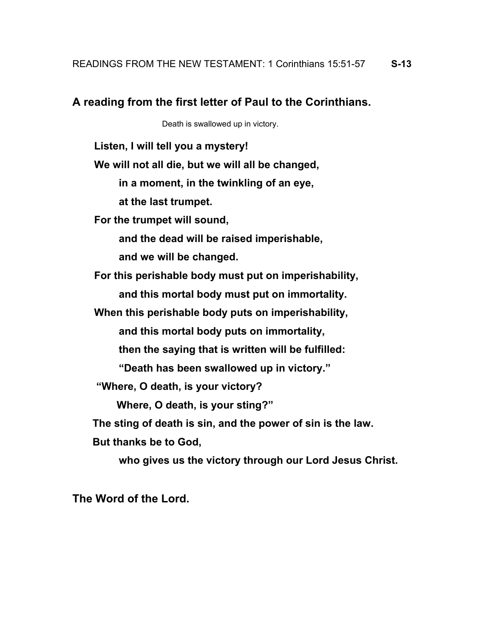### **A reading from the first letter of Paul to the Corinthians.**

Death is swallowed up in victory.

**Listen, I will tell you a mystery! We will not all die, but we will all be changed, in a moment, in the twinkling of an eye, at the last trumpet. For the trumpet will sound, and the dead will be raised imperishable, and we will be changed. For this perishable body must put on imperishability, and this mortal body must put on immortality. When this perishable body puts on imperishability, and this mortal body puts on immortality, then the saying that is written will be fulfilled: "Death has been swallowed up in victory." "Where, O death, is your victory? Where, O death, is your sting?" The sting of death is sin, and the power of sin is the law. But thanks be to God, who gives us the victory through our Lord Jesus Christ.**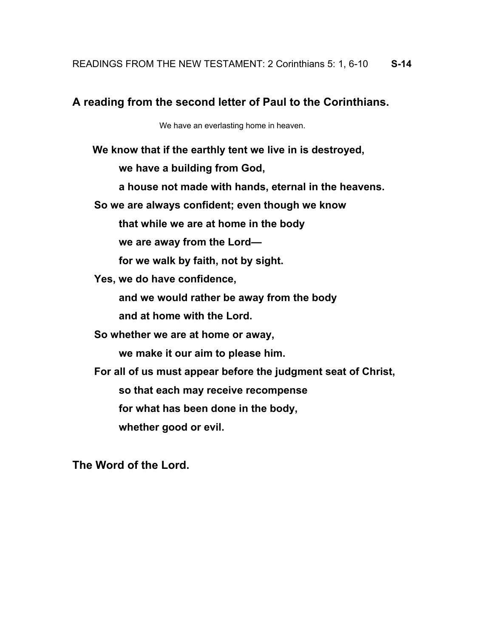### **A reading from the second letter of Paul to the Corinthians.**

We have an everlasting home in heaven.

**We know that if the earthly tent we live in is destroyed,** 

 **we have a building from God,** 

 **a house not made with hands, eternal in the heavens.** 

**So we are always confident; even though we know** 

 **that while we are at home in the body** 

 **we are away from the Lord—** 

 **for we walk by faith, not by sight.** 

**Yes, we do have confidence,** 

 **and we would rather be away from the body** 

 **and at home with the Lord.** 

**So whether we are at home or away,** 

 **we make it our aim to please him.** 

**For all of us must appear before the judgment seat of Christ,** 

 **so that each may receive recompense** 

 **for what has been done in the body,** 

 **whether good or evil.**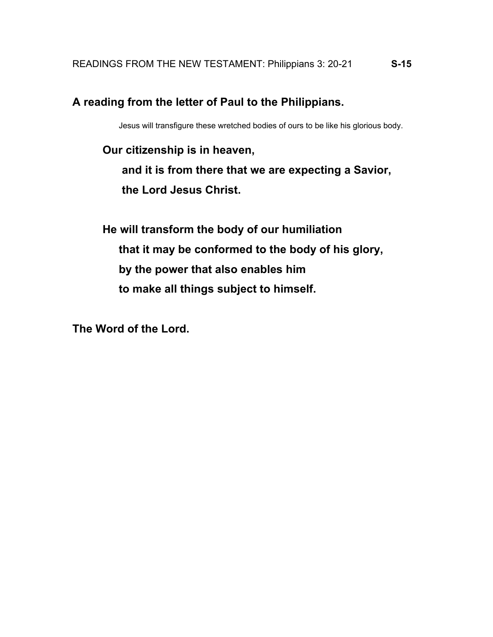# **A reading from the letter of Paul to the Philippians.**

Jesus will transfigure these wretched bodies of ours to be like his glorious body.

**Our citizenship is in heaven, and it is from there that we are expecting a Savior, the Lord Jesus Christ.** 

**He will transform the body of our humiliation that it may be conformed to the body of his glory, by the power that also enables him to make all things subject to himself.**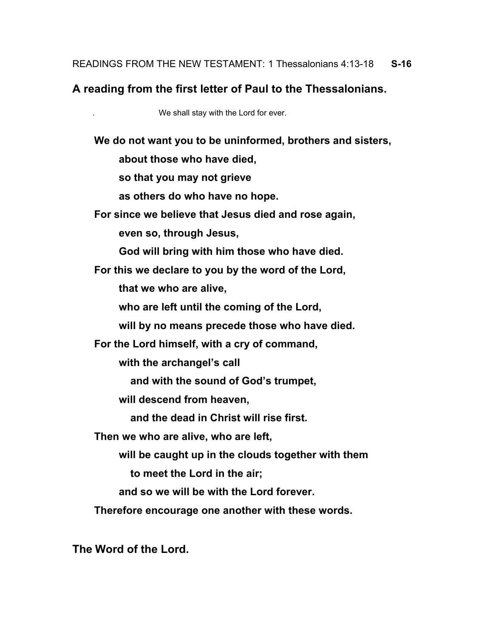# **A reading from the first letter of Paul to the Thessalonians.**

We shall stay with the Lord for ever.

**We do not want you to be uninformed, brothers and sisters, about those who have died, so that you may not grieve as others do who have no hope. For since we believe that Jesus died and rose again, even so, through Jesus, God will bring with him those who have died. For this we declare to you by the word of the Lord, that we who are alive, who are left until the coming of the Lord, will by no means precede those who have died. For the Lord himself, with a cry of command, with the archangel's call and with the sound of God's trumpet, will descend from heaven, and the dead in Christ will rise first. Then we who are alive, who are left, will be caught up in the clouds together with them to meet the Lord in the air; and so we will be with the Lord forever. Therefore encourage one another with these words.**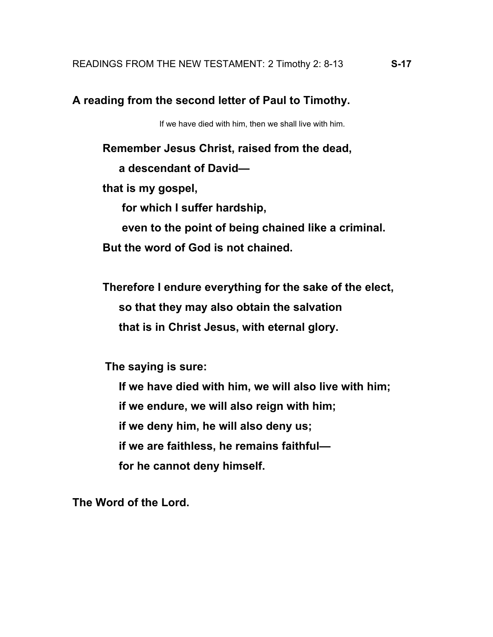### **A reading from the second letter of Paul to Timothy.**

If we have died with him, then we shall live with him.

**Remember Jesus Christ, raised from the dead, a descendant of David—** 

**that is my gospel,** 

 **for which I suffer hardship,** 

 **even to the point of being chained like a criminal.** 

**But the word of God is not chained.** 

**Therefore I endure everything for the sake of the elect, so that they may also obtain the salvation that is in Christ Jesus, with eternal glory.** 

**The saying is sure:** 

 **If we have died with him, we will also live with him; if we endure, we will also reign with him; if we deny him, he will also deny us; if we are faithless, he remains faithful for he cannot deny himself.**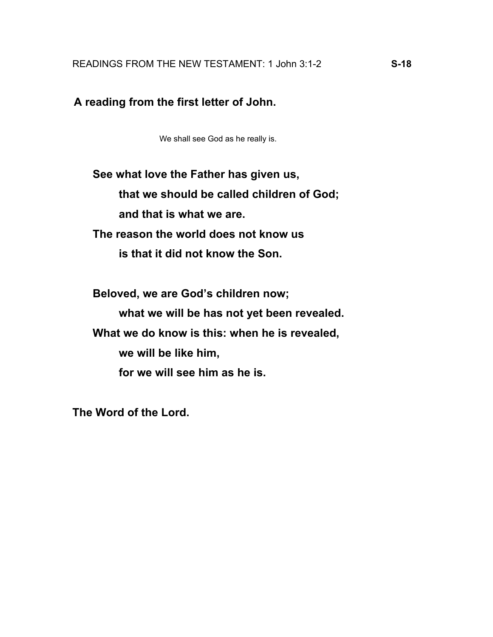# **A reading from the first letter of John.**

We shall see God as he really is.

**See what love the Father has given us, that we should be called children of God; and that is what we are. The reason the world does not know us is that it did not know the Son.** 

**Beloved, we are God's children now; what we will be has not yet been revealed. What we do know is this: when he is revealed, we will be like him, for we will see him as he is.**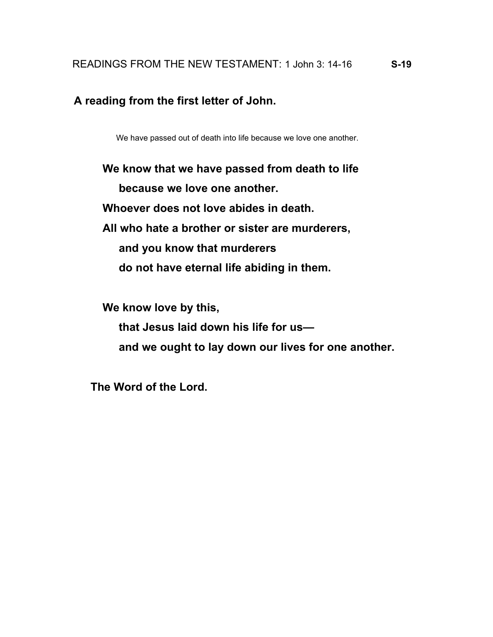# **A reading from the first letter of John.**

We have passed out of death into life because we love one another.

**We know that we have passed from death to life because we love one another. Whoever does not love abides in death. All who hate a brother or sister are murderers, and you know that murderers do not have eternal life abiding in them.** 

**We know love by this,** 

 **that Jesus laid down his life for us and we ought to lay down our lives for one another.**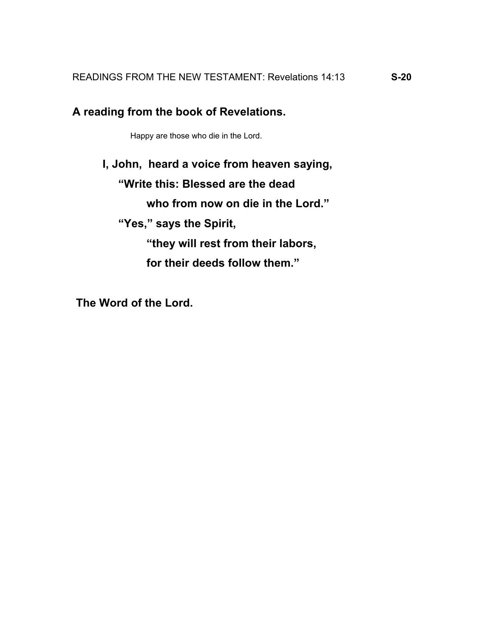### **A reading from the book of Revelations.**

Happy are those who die in the Lord.

**I, John, heard a voice from heaven saying, "Write this: Blessed are the dead who from now on die in the Lord." "Yes," says the Spirit, "they will rest from their labors, for their deeds follow them."**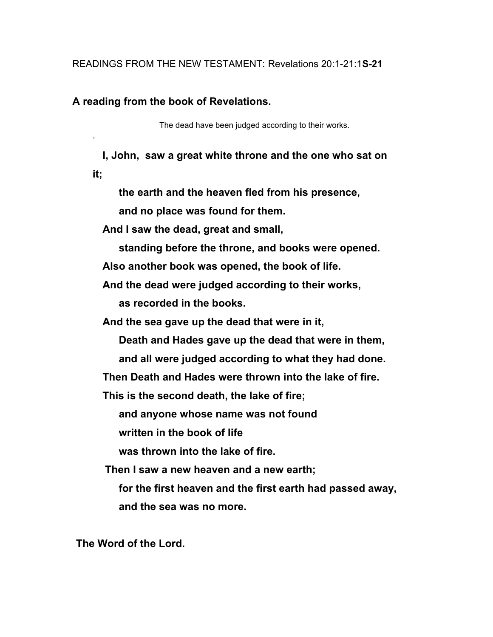### READINGS FROM THE NEW TESTAMENT: Revelations 20:1-21:1 **S-21**

### **A reading from the book of Revelations.**

.

The dead have been judged according to their works.

**I, John, saw a great white throne and the one who sat on it; the earth and the heaven fled from his presence, and no place was found for them. And I saw the dead, great and small, standing before the throne, and books were opened. Also another book was opened, the book of life. And the dead were judged according to their works, as recorded in the books. And the sea gave up the dead that were in it, Death and Hades gave up the dead that were in them, and all were judged according to what they had done. Then Death and Hades were thrown into the lake of fire. This is the second death, the lake of fire; and anyone whose name was not found written in the book of life was thrown into the lake of fire. Then I saw a new heaven and a new earth; for the first heaven and the first earth had passed away, and the sea was no more.**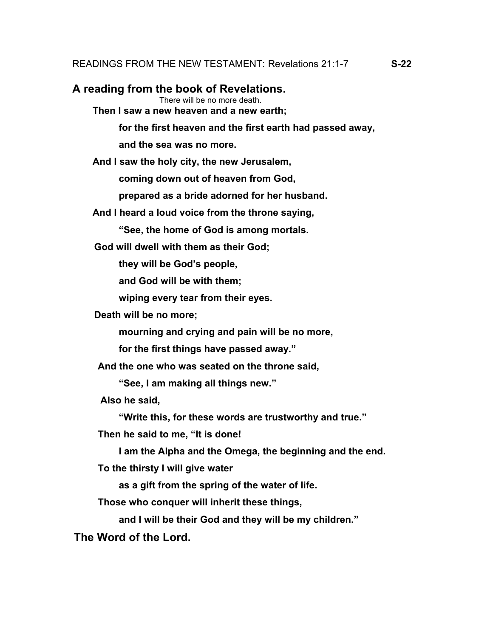**A reading from the book of Revelations.** There will be no more death. **Then I saw a new heaven and a new earth; for the first heaven and the first earth had passed away, and the sea was no more. And I saw the holy city, the new Jerusalem, coming down out of heaven from God, prepared as a bride adorned for her husband. And I heard a loud voice from the throne saying, "See, the home of God is among mortals. God will dwell with them as their God; they will be God's people, and God will be with them; wiping every tear from their eyes. Death will be no more; mourning and crying and pain will be no more, for the first things have passed away." And the one who was seated on the throne said, "See, I am making all things new." Also he said, "Write this, for these words are trustworthy and true." Then he said to me, "It is done! I am the Alpha and the Omega, the beginning and the end. To the thirsty I will give water as a gift from the spring of the water of life. Those who conquer will inherit these things, and I will be their God and they will be my children."**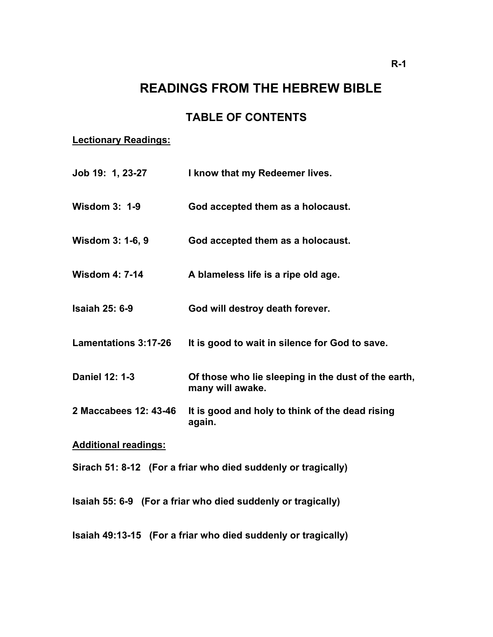# **READINGS FROM THE HEBREW BIBLE**

# **TABLE OF CONTENTS**

# **Lectionary Readings:**

| Job 19: 1, 23-27                                              | I know that my Redeemer lives.                                          |  |
|---------------------------------------------------------------|-------------------------------------------------------------------------|--|
| <b>Wisdom 3: 1-9</b>                                          | God accepted them as a holocaust.                                       |  |
| Wisdom 3: 1-6, 9                                              | God accepted them as a holocaust.                                       |  |
| <b>Wisdom 4: 7-14</b>                                         | A blameless life is a ripe old age.                                     |  |
| <b>Isaiah 25: 6-9</b>                                         | God will destroy death forever.                                         |  |
| <b>Lamentations 3:17-26</b>                                   | It is good to wait in silence for God to save.                          |  |
| Daniel 12: 1-3                                                | Of those who lie sleeping in the dust of the earth,<br>many will awake. |  |
| 2 Maccabees 12: 43-46                                         | It is good and holy to think of the dead rising<br>again.               |  |
| <b>Additional readings:</b>                                   |                                                                         |  |
| Sirach 51: 8-12 (For a friar who died suddenly or tragically) |                                                                         |  |
| Isaiah 55: 6-9 (For a friar who died suddenly or tragically)  |                                                                         |  |

**Isaiah 49:13-15 (For a friar who died suddenly or tragically)**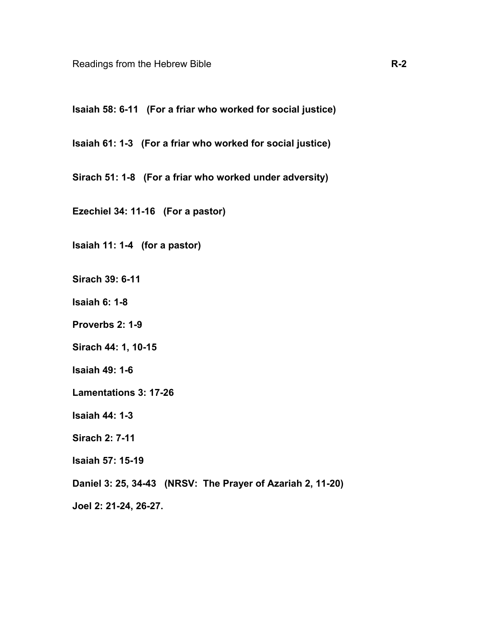**Isaiah 58: 6-11 (For a friar who worked for social justice)** 

**Isaiah 61: 1-3 (For a friar who worked for social justice)** 

**Sirach 51: 1-8 (For a friar who worked under adversity)** 

**Ezechiel 34: 11-16 (For a pastor)** 

**Isaiah 11: 1-4 (for a pastor)** 

**Sirach 39: 6-11** 

**Isaiah 6: 1-8** 

**Proverbs 2: 1-9** 

**Sirach 44: 1, 10-15** 

**Isaiah 49: 1-6** 

**Lamentations 3: 17-26** 

**Isaiah 44: 1-3** 

**Sirach 2: 7-11** 

**Isaiah 57: 15-19** 

**Daniel 3: 25, 34-43 (NRSV: The Prayer of Azariah 2, 11-20)** 

**Joel 2: 21-24, 26-27.**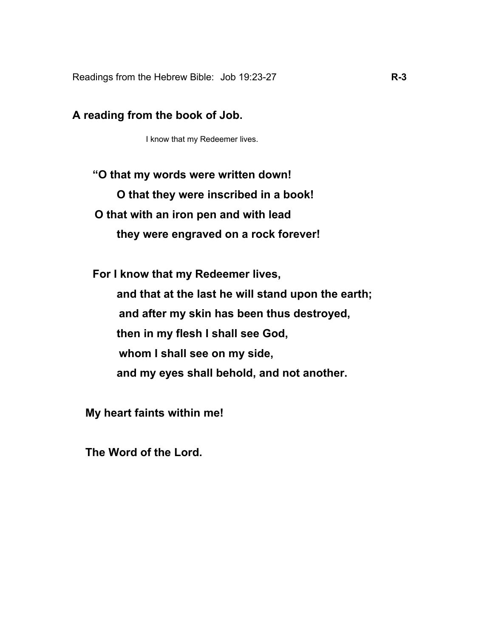Readings from the Hebrew Bible: Job 19:23-27 **R-3** 

### **A reading from the book of Job.**

I know that my Redeemer lives.

**"O that my words were written down! O that they were inscribed in a book! O that with an iron pen and with lead they were engraved on a rock forever!** 

**For I know that my Redeemer lives, and that at the last he will stand upon the earth; and after my skin has been thus destroyed, then in my flesh I shall see God, whom I shall see on my side, and my eyes shall behold, and not another.** 

**My heart faints within me!**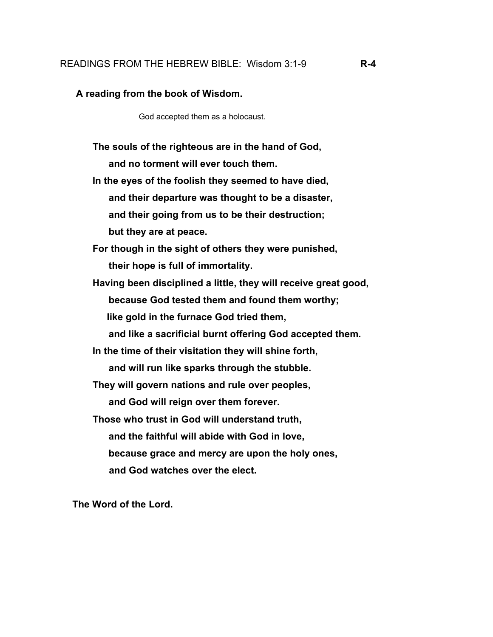# **A reading from the book of Wisdom.**

God accepted them as a holocaust.

| The souls of the righteous are in the hand of God,              |
|-----------------------------------------------------------------|
| and no torment will ever touch them.                            |
| In the eyes of the foolish they seemed to have died,            |
| and their departure was thought to be a disaster,               |
| and their going from us to be their destruction;                |
| but they are at peace.                                          |
| For though in the sight of others they were punished,           |
| their hope is full of immortality.                              |
| Having been disciplined a little, they will receive great good, |
| because God tested them and found them worthy;                  |
| like gold in the furnace God tried them,                        |
| and like a sacrificial burnt offering God accepted them.        |
| In the time of their visitation they will shine forth,          |
| and will run like sparks through the stubble.                   |
| They will govern nations and rule over peoples,                 |
| and God will reign over them forever.                           |
| Those who trust in God will understand truth,                   |
| and the faithful will abide with God in love,                   |
| because grace and mercy are upon the holy ones,                 |
| and God watches over the elect.                                 |
|                                                                 |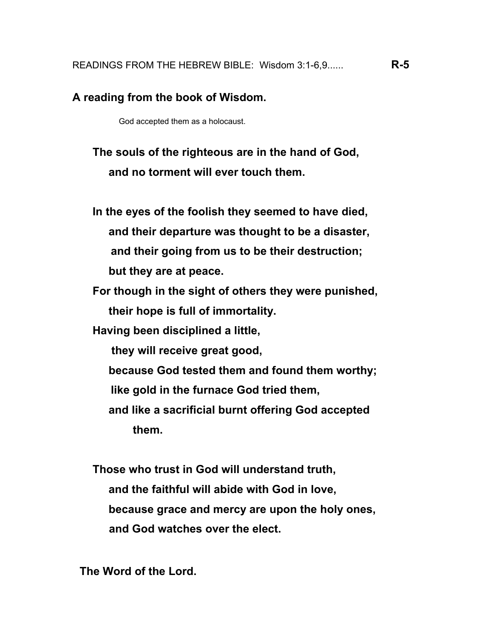## **A reading from the book of Wisdom.**

God accepted them as a holocaust.

**The souls of the righteous are in the hand of God, and no torment will ever touch them.** 

**In the eyes of the foolish they seemed to have died, and their departure was thought to be a disaster, and their going from us to be their destruction; but they are at peace.** 

**For though in the sight of others they were punished, their hope is full of immortality.** 

**Having been disciplined a little,** 

 **they will receive great good,** 

**because God tested them and found them worthy;** 

**like gold in the furnace God tried them,** 

**and like a sacrificial burnt offering God accepted them.** 

**Those who trust in God will understand truth, and the faithful will abide with God in love, because grace and mercy are upon the holy ones, and God watches over the elect.**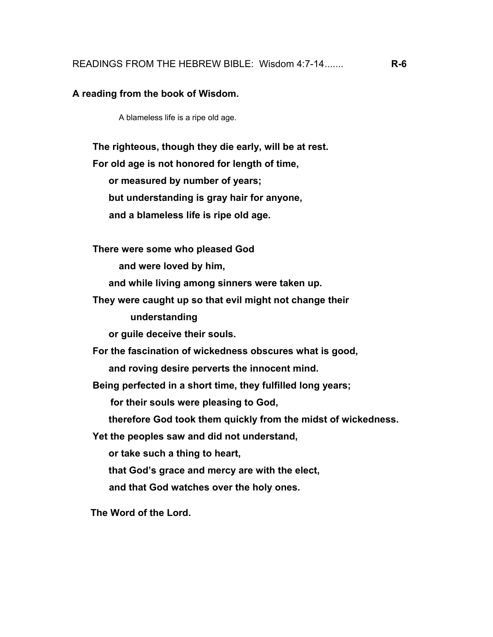#### **A reading from the book of Wisdom.**

A blameless life is a ripe old age.

**The righteous, though they die early, will be at rest. For old age is not honored for length of time, or measured by number of years; but understanding is gray hair for anyone, and a blameless life is ripe old age.** 

**There were some who pleased God** 

 **and were loved by him,** 

**and while living among sinners were taken up.** 

**They were caught up so that evil might not change their understanding** 

**or guile deceive their souls.** 

**For the fascination of wickedness obscures what is good, and roving desire perverts the innocent mind.** 

**Being perfected in a short time, they fulfilled long years;** 

**for their souls were pleasing to God,** 

**therefore God took them quickly from the midst of wickedness.** 

**Yet the peoples saw and did not understand,** 

**or take such a thing to heart,** 

**that God's grace and mercy are with the elect,** 

**and that God watches over the holy ones.**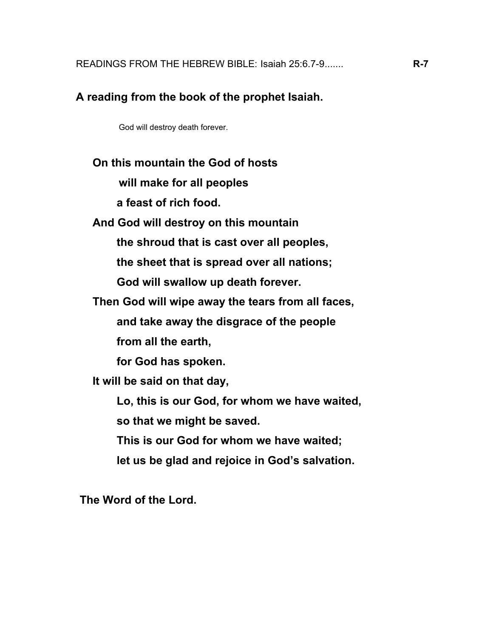# **A reading from the book of the prophet Isaiah.**

God will destroy death forever.

| On this mountain the God of hosts                 |
|---------------------------------------------------|
| will make for all peoples                         |
| a feast of rich food.                             |
| And God will destroy on this mountain             |
| the shroud that is cast over all peoples,         |
| the sheet that is spread over all nations;        |
| God will swallow up death forever.                |
| Then God will wipe away the tears from all faces, |
| and take away the disgrace of the people          |
| from all the earth,                               |
| for God has spoken.                               |
| It will be said on that day,                      |
| Lo, this is our God, for whom we have waited,     |
| so that we might be saved.                        |
| This is our God for whom we have waited;          |
| let us be glad and rejoice in God's salvation.    |
|                                                   |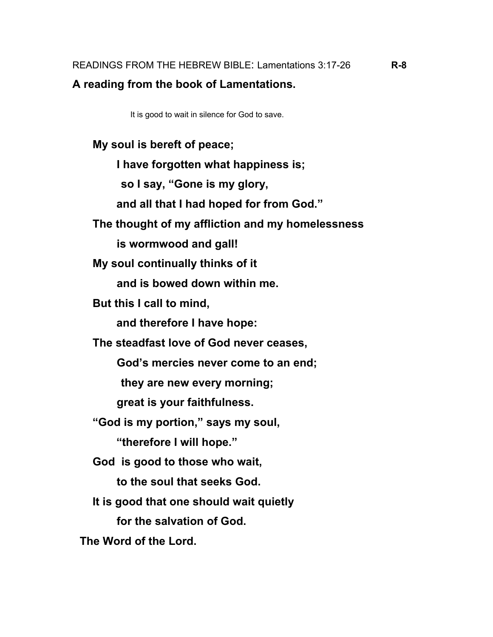## **A reading from the book of Lamentations.**

It is good to wait in silence for God to save.

**My soul is bereft of peace; I have forgotten what happiness is; so I say, "Gone is my glory, and all that I had hoped for from God." The thought of my affliction and my homelessness is wormwood and gall! My soul continually thinks of it and is bowed down within me. But this I call to mind, and therefore I have hope: The steadfast love of God never ceases, God's mercies never come to an end; they are new every morning; great is your faithfulness. "God is my portion," says my soul, "therefore I will hope." God is good to those who wait, to the soul that seeks God. It is good that one should wait quietly for the salvation of God. The Word of the Lord.**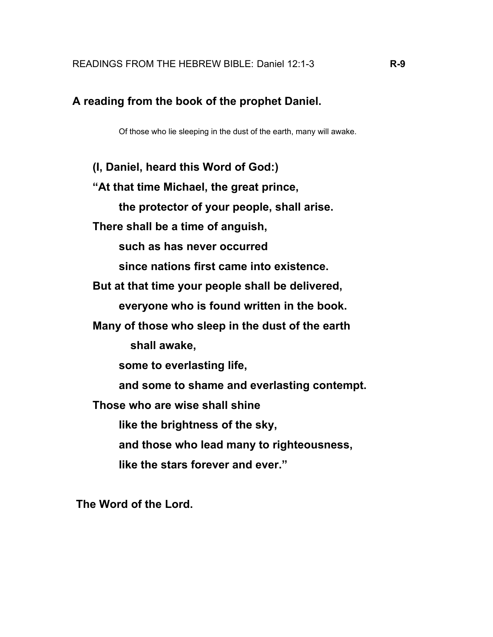### **A reading from the book of the prophet Daniel.**

Of those who lie sleeping in the dust of the earth, many will awake.

**(I, Daniel, heard this Word of God:) "At that time Michael, the great prince, the protector of your people, shall arise. There shall be a time of anguish, such as has never occurred since nations first came into existence. But at that time your people shall be delivered, everyone who is found written in the book. Many of those who sleep in the dust of the earth shall awake, some to everlasting life, and some to shame and everlasting contempt. Those who are wise shall shine like the brightness of the sky, and those who lead many to righteousness, like the stars forever and ever."**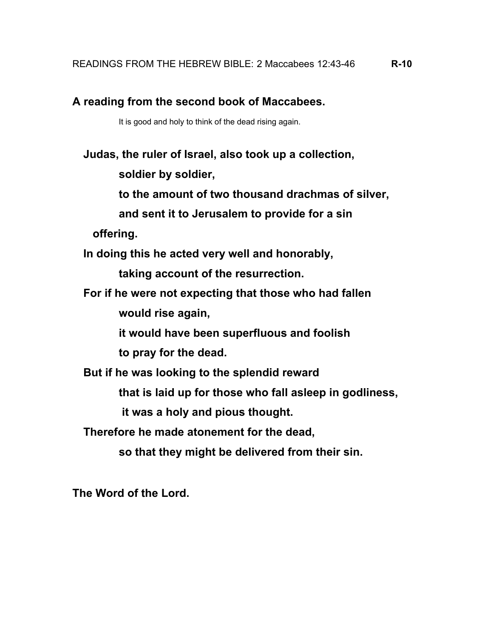## **A reading from the second book of Maccabees.**

It is good and holy to think of the dead rising again.

**Judas, the ruler of Israel, also took up a collection, soldier by soldier, to the amount of two thousand drachmas of silver, and sent it to Jerusalem to provide for a sin offering. In doing this he acted very well and honorably, taking account of the resurrection. For if he were not expecting that those who had fallen would rise again, it would have been superfluous and foolish to pray for the dead. But if he was looking to the splendid reward that is laid up for those who fall asleep in godliness, it was a holy and pious thought. Therefore he made atonement for the dead, so that they might be delivered from their sin.**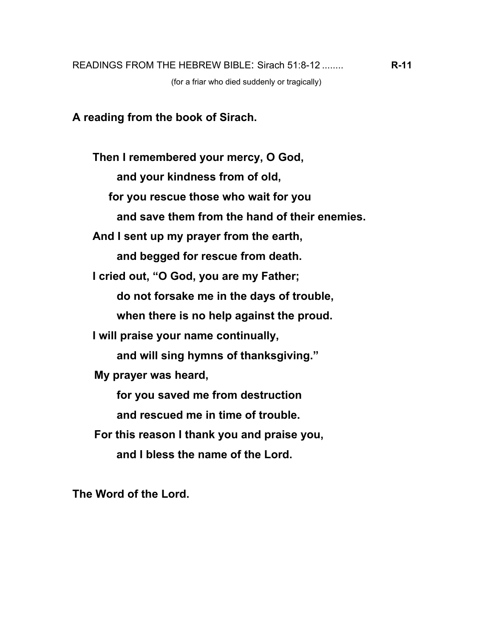**A reading from the book of Sirach.** 

**Then I remembered your mercy, O God, and your kindness from of old, for you rescue those who wait for you and save them from the hand of their enemies. And I sent up my prayer from the earth, and begged for rescue from death. I cried out, "O God, you are my Father; do not forsake me in the days of trouble, when there is no help against the proud. I will praise your name continually, and will sing hymns of thanksgiving." My prayer was heard, for you saved me from destruction and rescued me in time of trouble. For this reason I thank you and praise you, and I bless the name of the Lord.**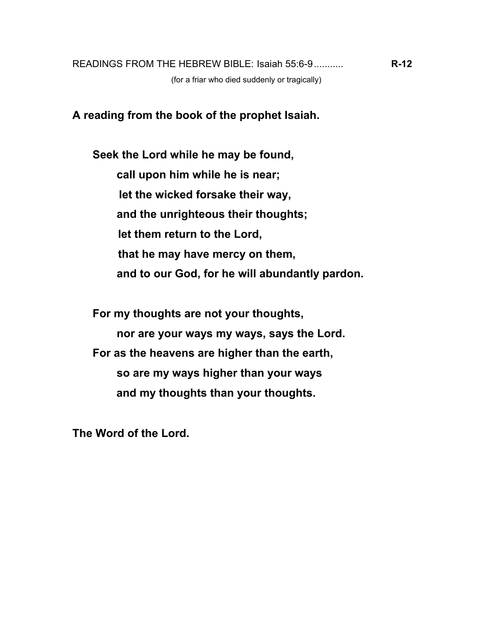## **A reading from the book of the prophet Isaiah.**

**Seek the Lord while he may be found, call upon him while he is near; let the wicked forsake their way, and the unrighteous their thoughts; let them return to the Lord, that he may have mercy on them, and to our God, for he will abundantly pardon.** 

**For my thoughts are not your thoughts, nor are your ways my ways, says the Lord. For as the heavens are higher than the earth, so are my ways higher than your ways and my thoughts than your thoughts.**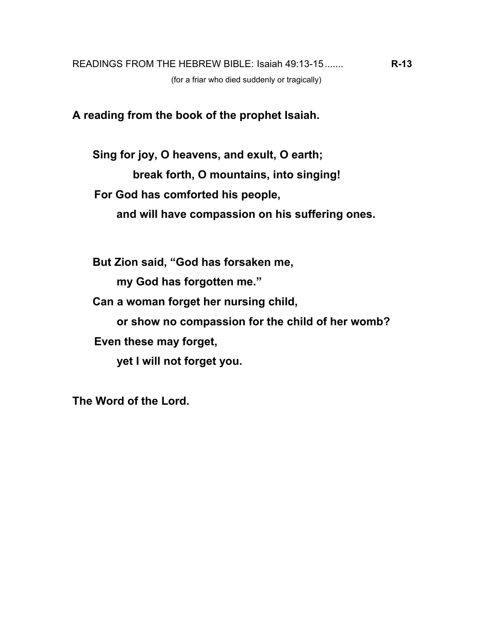**A reading from the book of the prophet Isaiah.** 

**Sing for joy, O heavens, and exult, O earth; break forth, O mountains, into singing! For God has comforted his people, and will have compassion on his suffering ones.** 

**But Zion said, "God has forsaken me, my God has forgotten me." Can a woman forget her nursing child, or show no compassion for the child of her womb? Even these may forget, yet I will not forget you.**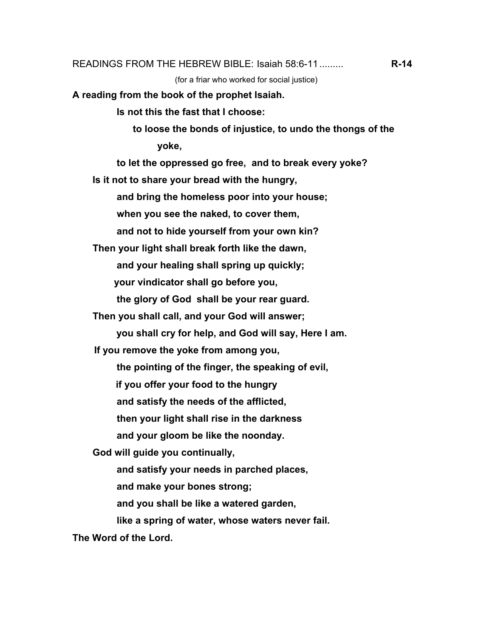READINGS FROM THE HEBREW BIBLE: Isaiah 58:6-11......... **R-14** 

(for a friar who worked for social justice)

**A reading from the book of the prophet Isaiah.** 

**Is not this the fast that I choose:** 

 **to loose the bonds of injustice, to undo the thongs of the yoke,** 

**to let the oppressed go free, and to break every yoke?** 

**Is it not to share your bread with the hungry,** 

**and bring the homeless poor into your house;** 

 **when you see the naked, to cover them,** 

**and not to hide yourself from your own kin?** 

**Then your light shall break forth like the dawn,** 

**and your healing shall spring up quickly;** 

 **your vindicator shall go before you,** 

**the glory of God shall be your rear guard.** 

**Then you shall call, and your God will answer;** 

**you shall cry for help, and God will say, Here I am.** 

**If you remove the yoke from among you,** 

**the pointing of the finger, the speaking of evil,** 

**if you offer your food to the hungry** 

**and satisfy the needs of the afflicted,** 

 **then your light shall rise in the darkness** 

**and your gloom be like the noonday.** 

**God will guide you continually,** 

**and satisfy your needs in parched places, and make your bones strong;** 

 **and you shall be like a watered garden,** 

**like a spring of water, whose waters never fail. The Word of the Lord.**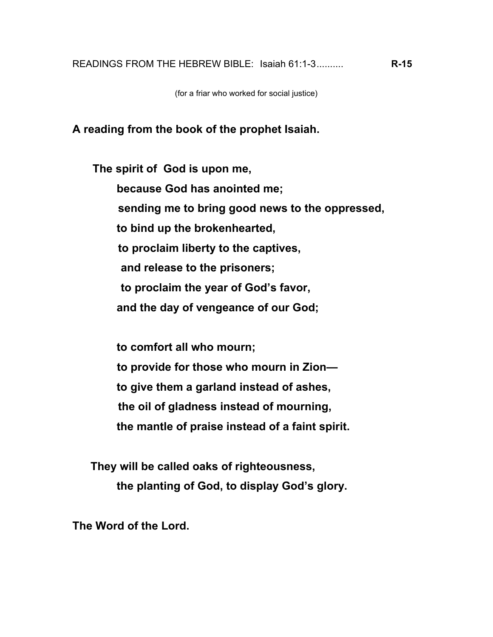(for a friar who worked for social justice)

## **A reading from the book of the prophet Isaiah.**

**The spirit of God is upon me, because God has anointed me; sending me to bring good news to the oppressed, to bind up the brokenhearted, to proclaim liberty to the captives, and release to the prisoners; to proclaim the year of God's favor, and the day of vengeance of our God;** 

**to comfort all who mourn; to provide for those who mourn in Zion to give them a garland instead of ashes, the oil of gladness instead of mourning, the mantle of praise instead of a faint spirit.** 

**They will be called oaks of righteousness, the planting of God, to display God's glory.**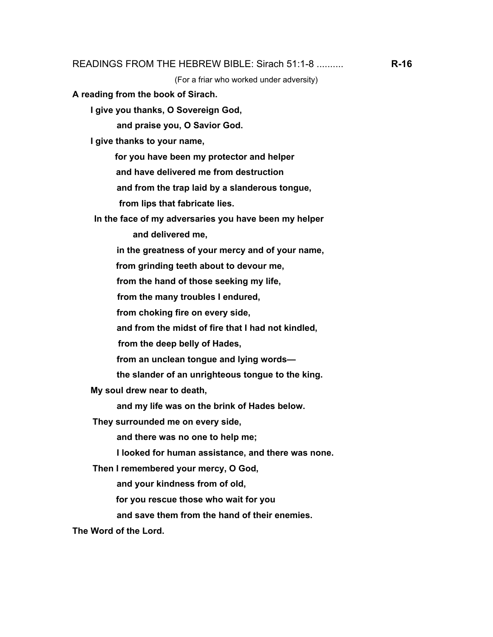(For a friar who worked under adversity)

**A reading from the book of Sirach.** 

**I give you thanks, O Sovereign God,** 

**and praise you, O Savior God.** 

**I give thanks to your name,** 

**for you have been my protector and helper** 

 **and have delivered me from destruction** 

**and from the trap laid by a slanderous tongue,** 

 **from lips that fabricate lies.** 

**In the face of my adversaries you have been my helper** 

 **and delivered me,** 

**in the greatness of your mercy and of your name,** 

 **from grinding teeth about to devour me,** 

**from the hand of those seeking my life,** 

 **from the many troubles I endured,** 

**from choking fire on every side,** 

**and from the midst of fire that I had not kindled,** 

**from the deep belly of Hades,** 

**from an unclean tongue and lying words—** 

**the slander of an unrighteous tongue to the king.** 

**My soul drew near to death,** 

**and my life was on the brink of Hades below.** 

**They surrounded me on every side,** 

**and there was no one to help me;** 

**I looked for human assistance, and there was none.** 

**Then I remembered your mercy, O God,** 

**and your kindness from of old,** 

 **for you rescue those who wait for you** 

**and save them from the hand of their enemies.**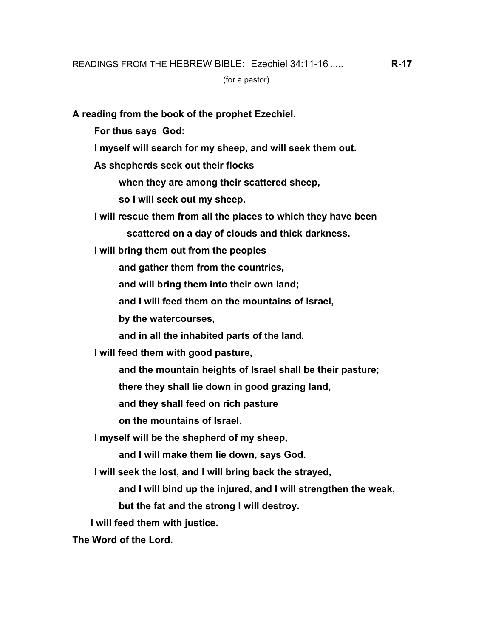(for a pastor)

**A reading from the book of the prophet Ezechiel.** 

**For thus says God:** 

**I myself will search for my sheep, and will seek them out.** 

**As shepherds seek out their flocks** 

 **when they are among their scattered sheep,** 

 **so I will seek out my sheep.** 

**I will rescue them from all the places to which they have been** 

 **scattered on a day of clouds and thick darkness.** 

**I will bring them out from the peoples** 

 **and gather them from the countries,** 

 **and will bring them into their own land;** 

 **and I will feed them on the mountains of Israel,** 

 **by the watercourses,** 

 **and in all the inhabited parts of the land.** 

**I will feed them with good pasture,** 

 **and the mountain heights of Israel shall be their pasture;** 

 **there they shall lie down in good grazing land,** 

 **and they shall feed on rich pasture** 

 **on the mountains of Israel.** 

**I myself will be the shepherd of my sheep,** 

 **and I will make them lie down, says God.** 

**I will seek the lost, and I will bring back the strayed,** 

 **and I will bind up the injured, and I will strengthen the weak,** 

 **but the fat and the strong I will destroy.** 

**I will feed them with justice.**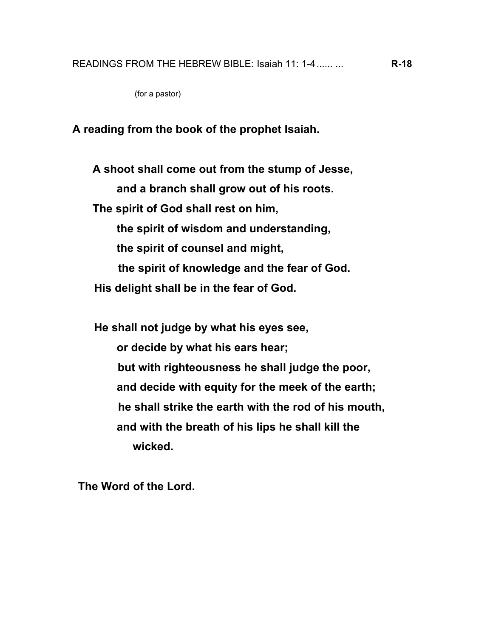(for a pastor)

**A reading from the book of the prophet Isaiah.** 

**A shoot shall come out from the stump of Jesse, and a branch shall grow out of his roots. The spirit of God shall rest on him, the spirit of wisdom and understanding, the spirit of counsel and might, the spirit of knowledge and the fear of God. His delight shall be in the fear of God.** 

**He shall not judge by what his eyes see, or decide by what his ears hear; but with righteousness he shall judge the poor, and decide with equity for the meek of the earth; he shall strike the earth with the rod of his mouth, and with the breath of his lips he shall kill the wicked.**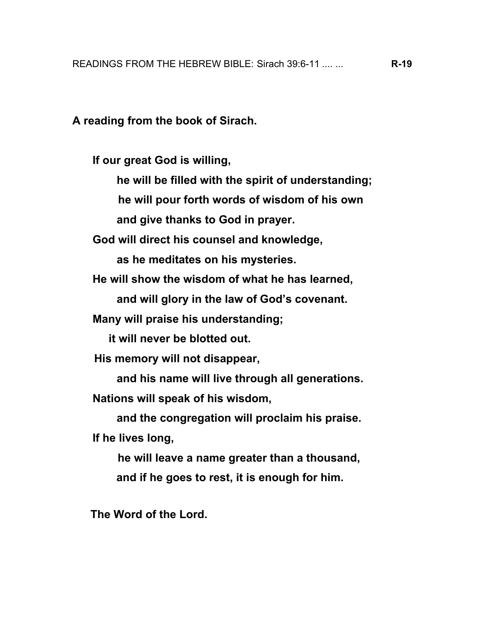**A reading from the book of Sirach.** 

**If our great God is willing,** 

**he will be filled with the spirit of understanding; he will pour forth words of wisdom of his own and give thanks to God in prayer.** 

**God will direct his counsel and knowledge,** 

**as he meditates on his mysteries.** 

**He will show the wisdom of what he has learned,** 

**and will glory in the law of God's covenant.** 

**Many will praise his understanding;** 

**it will never be blotted out.** 

**His memory will not disappear,** 

**and his name will live through all generations.** 

**Nations will speak of his wisdom,** 

**and the congregation will proclaim his praise. If he lives long,** 

 **he will leave a name greater than a thousand, and if he goes to rest, it is enough for him.**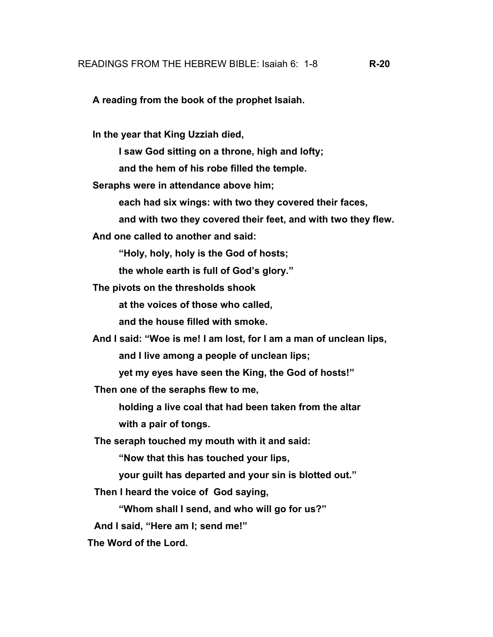**A reading from the book of the prophet Isaiah.** 

**In the year that King Uzziah died,** 

 **I saw God sitting on a throne, high and lofty;** 

 **and the hem of his robe filled the temple.** 

**Seraphs were in attendance above him;** 

 **each had six wings: with two they covered their faces,** 

 **and with two they covered their feet, and with two they flew.** 

**And one called to another and said:** 

 **"Holy, holy, holy is the God of hosts;** 

 **the whole earth is full of God's glory."** 

**The pivots on the thresholds shook** 

 **at the voices of those who called,** 

 **and the house filled with smoke.** 

**And I said: "Woe is me! I am lost, for I am a man of unclean lips, and I live among a people of unclean lips;** 

 **yet my eyes have seen the King, the God of hosts!"** 

**Then one of the seraphs flew to me,** 

 **holding a live coal that had been taken from the altar with a pair of tongs.** 

**The seraph touched my mouth with it and said:** 

 **"Now that this has touched your lips,** 

 **your guilt has departed and your sin is blotted out."** 

**Then I heard the voice of God saying,** 

 **"Whom shall I send, and who will go for us?"** 

**And I said, "Here am I; send me!"**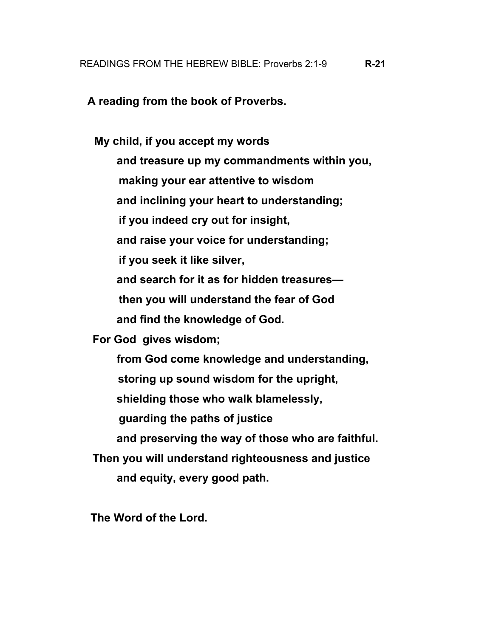**A reading from the book of Proverbs.** 

**My child, if you accept my words** 

**and treasure up my commandments within you,** 

**making your ear attentive to wisdom** 

**and inclining your heart to understanding;** 

**if you indeed cry out for insight,** 

**and raise your voice for understanding;** 

**if you seek it like silver,** 

**and search for it as for hidden treasures—** 

**then you will understand the fear of God** 

**and find the knowledge of God.** 

**For God gives wisdom;** 

**from God come knowledge and understanding,** 

 **storing up sound wisdom for the upright,** 

**shielding those who walk blamelessly,** 

**guarding the paths of justice** 

**and preserving the way of those who are faithful.** 

**Then you will understand righteousness and justice and equity, every good path.**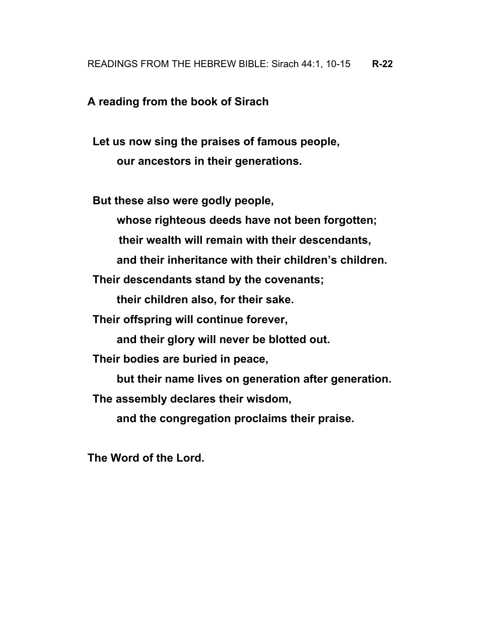## **A reading from the book of Sirach**

**Let us now sing the praises of famous people, our ancestors in their generations.** 

**But these also were godly people,** 

**whose righteous deeds have not been forgotten;** 

**their wealth will remain with their descendants,** 

**and their inheritance with their children's children.**

**Their descendants stand by the covenants;** 

**their children also, for their sake.** 

**Their offspring will continue forever,** 

**and their glory will never be blotted out.** 

**Their bodies are buried in peace,** 

**but their name lives on generation after generation.** 

**The assembly declares their wisdom,** 

**and the congregation proclaims their praise.**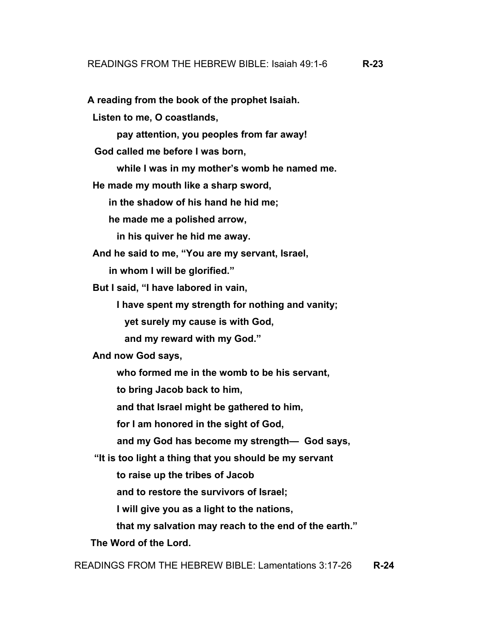**A reading from the book of the prophet Isaiah. Listen to me, O coastlands, pay attention, you peoples from far away! God called me before I was born, while I was in my mother's womb he named me. He made my mouth like a sharp sword, in the shadow of his hand he hid me; he made me a polished arrow, in his quiver he hid me away. And he said to me, "You are my servant, Israel, in whom I will be glorified." But I said, "I have labored in vain, I have spent my strength for nothing and vanity; yet surely my cause is with God, and my reward with my God." And now God says, who formed me in the womb to be his servant, to bring Jacob back to him, and that Israel might be gathered to him, for I am honored in the sight of God, and my God has become my strength— God says, "It is too light a thing that you should be my servant to raise up the tribes of Jacob and to restore the survivors of Israel; I will give you as a light to the nations, that my salvation may reach to the end of the earth." The Word of the Lord.**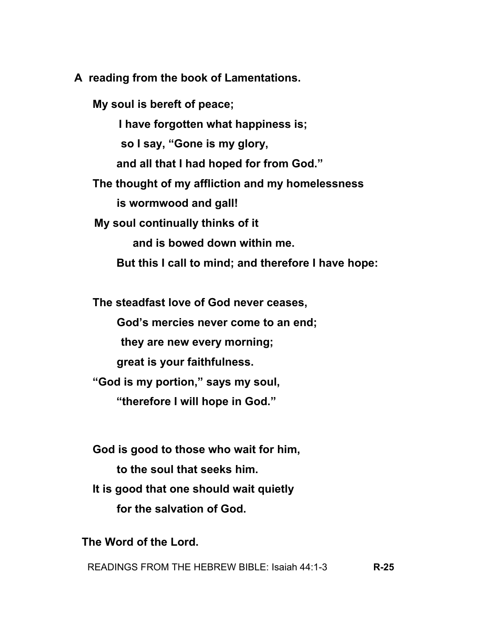**A reading from the book of Lamentations.** 

**My soul is bereft of peace; I have forgotten what happiness is; so I say, "Gone is my glory, and all that I had hoped for from God." The thought of my affliction and my homelessness is wormwood and gall! My soul continually thinks of it and is bowed down within me. But this I call to mind; and therefore I have hope:** 

**The steadfast love of God never ceases,**

**God's mercies never come to an end;** 

**they are new every morning;** 

**great is your faithfulness.** 

**"God is my portion," says my soul,** 

**"therefore I will hope in God."** 

**God is good to those who wait for him, to the soul that seeks him. It is good that one should wait quietly for the salvation of God.** 

**The Word of the Lord.** 

READINGS FROM THE HEBREW BIBLE: Isaiah 44:1-3 **R-25**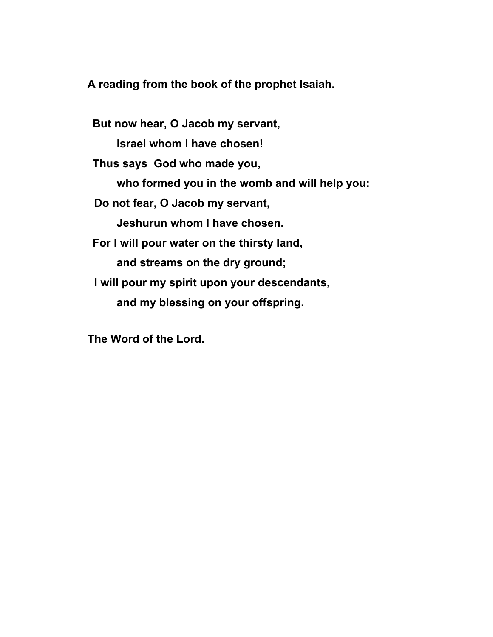**A reading from the book of the prophet Isaiah.** 

**But now hear, O Jacob my servant, Israel whom I have chosen! Thus says God who made you, who formed you in the womb and will help you: Do not fear, O Jacob my servant, Jeshurun whom I have chosen. For I will pour water on the thirsty land, and streams on the dry ground; I will pour my spirit upon your descendants, and my blessing on your offspring.**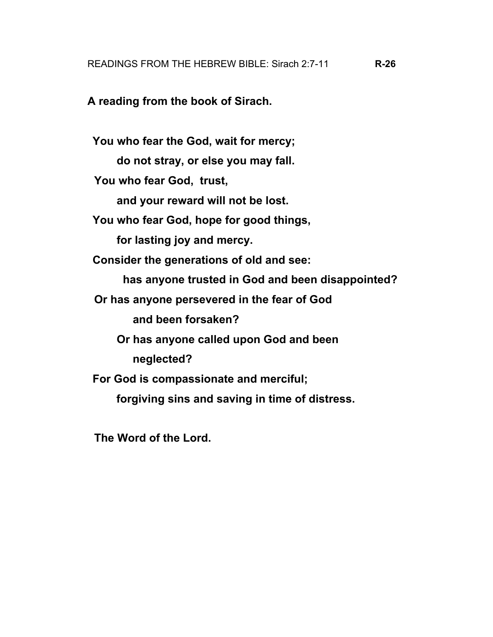**A reading from the book of Sirach.** 

**You who fear the God, wait for mercy; do not stray, or else you may fall. You who fear God, trust, and your reward will not be lost. You who fear God, hope for good things, for lasting joy and mercy. Consider the generations of old and see: has anyone trusted in God and been disappointed? Or has anyone persevered in the fear of God and been forsaken? Or has anyone called upon God and been neglected? For God is compassionate and merciful; forgiving sins and saving in time of distress.**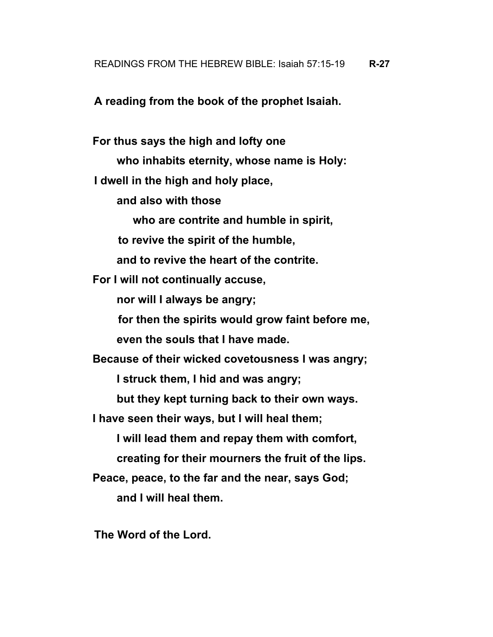### **A reading from the book of the prophet Isaiah.**

**For thus says the high and lofty one** 

**who inhabits eternity, whose name is Holy:** 

**I dwell in the high and holy place,** 

**and also with those** 

 **who are contrite and humble in spirit,** 

 **to revive the spirit of the humble,** 

**and to revive the heart of the contrite.** 

**For I will not continually accuse,** 

**nor will I always be angry;** 

 **for then the spirits would grow faint before me,** 

**even the souls that I have made.** 

**Because of their wicked covetousness I was angry;** 

**I struck them, I hid and was angry;** 

**but they kept turning back to their own ways.** 

**I have seen their ways, but I will heal them;** 

**I will lead them and repay them with comfort,** 

**creating for their mourners the fruit of the lips.**

**Peace, peace, to the far and the near, says God; and I will heal them.**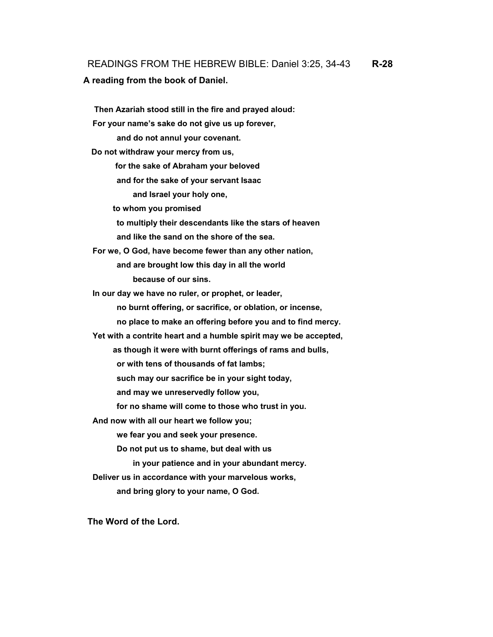READINGS FROM THE HEBREW BIBLE: Daniel 3:25, 34-43 **R-28** 

**A reading from the book of Daniel.** 

**Then Azariah stood still in the fire and prayed aloud: For your name's sake do not give us up forever, and do not annul your covenant. Do not withdraw your mercy from us, for the sake of Abraham your beloved and for the sake of your servant Isaac and Israel your holy one, to whom you promised to multiply their descendants like the stars of heaven and like the sand on the shore of the sea. For we, O God, have become fewer than any other nation, and are brought low this day in all the world because of our sins. In our day we have no ruler, or prophet, or leader, no burnt offering, or sacrifice, or oblation, or incense, no place to make an offering before you and to find mercy. Yet with a contrite heart and a humble spirit may we be accepted, as though it were with burnt offerings of rams and bulls, or with tens of thousands of fat lambs; such may our sacrifice be in your sight today, and may we unreservedly follow you, for no shame will come to those who trust in you. And now with all our heart we follow you; we fear you and seek your presence. Do not put us to shame, but deal with us in your patience and in your abundant mercy. Deliver us in accordance with your marvelous works, and bring glory to your name, O God.**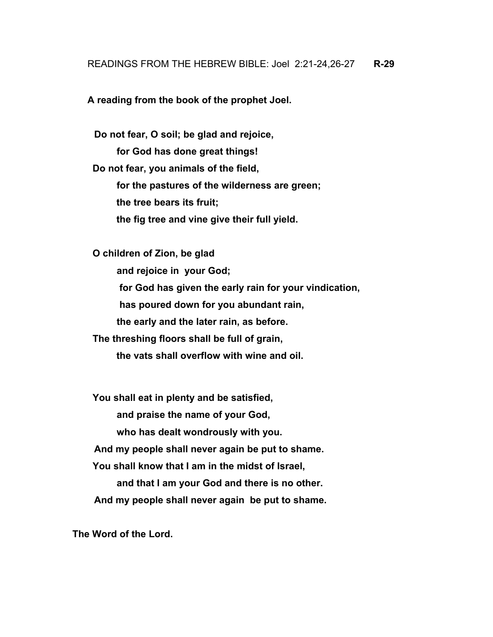**A reading from the book of the prophet Joel.** 

**Do not fear, O soil; be glad and rejoice, for God has done great things! Do not fear, you animals of the field, for the pastures of the wilderness are green; the tree bears its fruit; the fig tree and vine give their full yield.** 

**O children of Zion, be glad and rejoice in your God; for God has given the early rain for your vindication, has poured down for you abundant rain, the early and the later rain, as before. The threshing floors shall be full of grain,** 

**the vats shall overflow with wine and oil.** 

**You shall eat in plenty and be satisfied, and praise the name of your God, who has dealt wondrously with you. And my people shall never again be put to shame. You shall know that I am in the midst of Israel, and that I am your God and there is no other. And my people shall never again be put to shame.**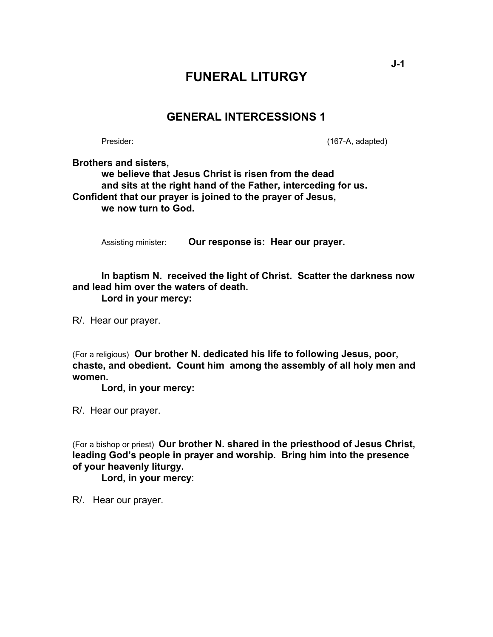## **FUNERAL LITURGY**

## **GENERAL INTERCESSIONS 1**

Presider: (167-A, adapted)

**Brothers and sisters, we believe that Jesus Christ is risen from the dead and sits at the right hand of the Father, interceding for us. Confident that our prayer is joined to the prayer of Jesus, we now turn to God.** 

Assisting minister: **Our response is: Hear our prayer.** 

#### **In baptism N. received the light of Christ. Scatter the darkness now and lead him over the waters of death. Lord in your mercy:**

R/. Hear our prayer.

(For a religious) **Our brother N. dedicated his life to following Jesus, poor, chaste, and obedient. Count him among the assembly of all holy men and women.** 

 **Lord, in your mercy:** 

R/. Hear our prayer.

(For a bishop or priest) **Our brother N. shared in the priesthood of Jesus Christ, leading God's people in prayer and worship. Bring him into the presence of your heavenly liturgy.** 

 **Lord, in your mercy**:

R/. Hear our prayer.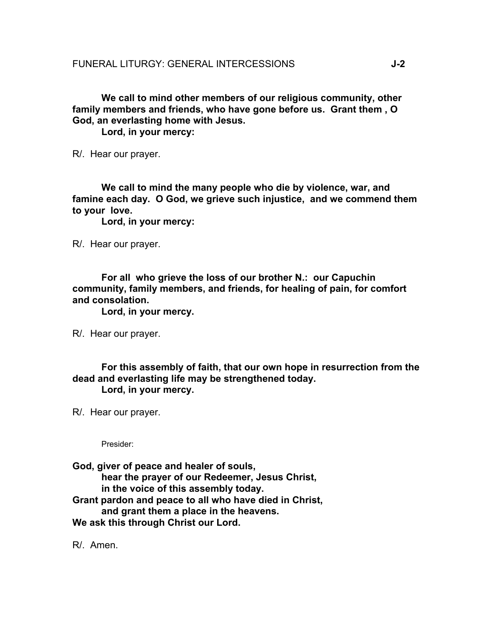**We call to mind other members of our religious community, other family members and friends, who have gone before us. Grant them , O God, an everlasting home with Jesus.** 

 **Lord, in your mercy:** 

R/. Hear our prayer.

 **We call to mind the many people who die by violence, war, and famine each day. O God, we grieve such injustice, and we commend them to your love.** 

 **Lord, in your mercy:** 

R/. Hear our prayer.

 **For all who grieve the loss of our brother N.: our Capuchin community, family members, and friends, for healing of pain, for comfort and consolation.** 

 **Lord, in your mercy.** 

R/. Hear our prayer.

 **For this assembly of faith, that our own hope in resurrection from the dead and everlasting life may be strengthened today. Lord, in your mercy.** 

R/. Hear our prayer.

Presider:

**God, giver of peace and healer of souls, hear the prayer of our Redeemer, Jesus Christ, in the voice of this assembly today. Grant pardon and peace to all who have died in Christ, and grant them a place in the heavens. We ask this through Christ our Lord.** 

R/. Amen.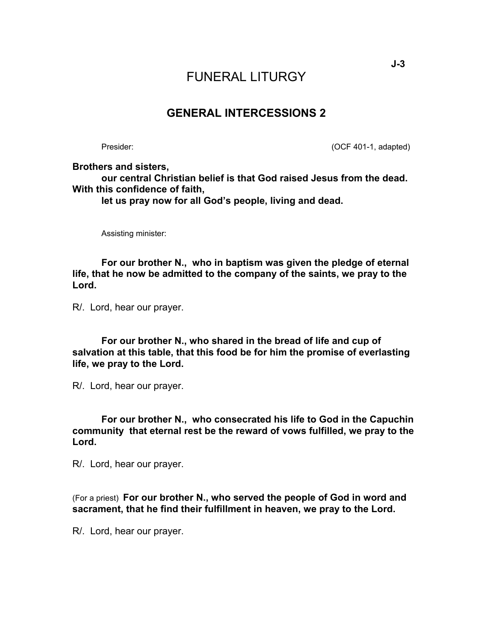## FUNERAL LITURGY

#### **GENERAL INTERCESSIONS 2**

Presider: (OCF 401-1, adapted)

**Brothers and sisters, our central Christian belief is that God raised Jesus from the dead. With this confidence of faith, let us pray now for all God's people, living and dead.** 

Assisting minister:

 **For our brother N., who in baptism was given the pledge of eternal life, that he now be admitted to the company of the saints, we pray to the Lord.** 

R/. Lord, hear our prayer.

 **For our brother N., who shared in the bread of life and cup of salvation at this table, that this food be for him the promise of everlasting life, we pray to the Lord.** 

R/. Lord, hear our prayer.

 **For our brother N., who consecrated his life to God in the Capuchin community that eternal rest be the reward of vows fulfilled, we pray to the Lord.** 

R/. Lord, hear our prayer.

(For a priest) **For our brother N., who served the people of God in word and sacrament, that he find their fulfillment in heaven, we pray to the Lord.**

R/. Lord, hear our prayer.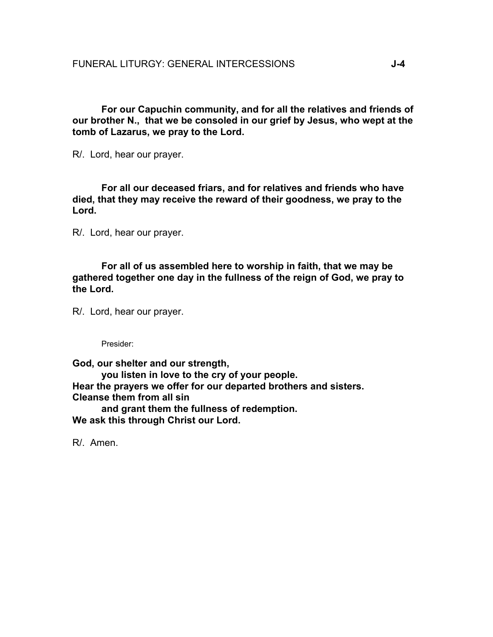**For our Capuchin community, and for all the relatives and friends of our brother N., that we be consoled in our grief by Jesus, who wept at the tomb of Lazarus, we pray to the Lord.** 

R/. Lord, hear our prayer.

 **For all our deceased friars, and for relatives and friends who have died, that they may receive the reward of their goodness, we pray to the Lord.** 

R/. Lord, hear our prayer.

 **For all of us assembled here to worship in faith, that we may be gathered together one day in the fullness of the reign of God, we pray to the Lord.** 

R/. Lord, hear our prayer.

Presider:

**God, our shelter and our strength, you listen in love to the cry of your people. Hear the prayers we offer for our departed brothers and sisters. Cleanse them from all sin and grant them the fullness of redemption. We ask this through Christ our Lord.** 

R/. Amen.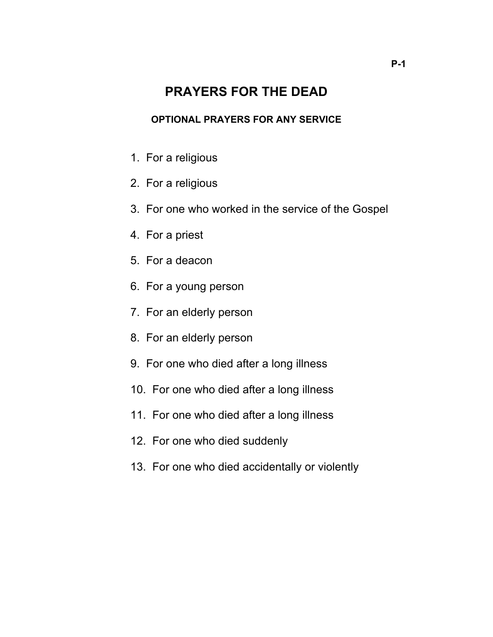# **PRAYERS FOR THE DEAD**

#### **OPTIONAL PRAYERS FOR ANY SERVICE**

- 1. For a religious
- 2. For a religious
- 3. For one who worked in the service of the Gospel
- 4. For a priest
- 5. For a deacon
- 6. For a young person
- 7. For an elderly person
- 8. For an elderly person
- 9. For one who died after a long illness
- 10. For one who died after a long illness
- 11. For one who died after a long illness
- 12. For one who died suddenly
- 13. For one who died accidentally or violently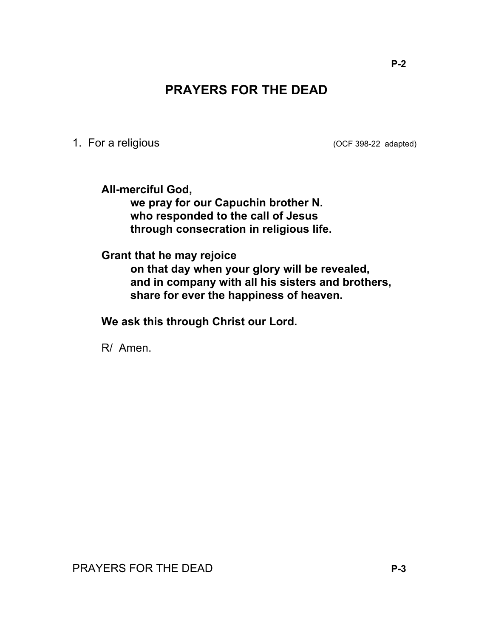## **PRAYERS FOR THE DEAD**

1. For a religious (OCF 398-22 adapted)

 **All-merciful God, we pray for our Capuchin brother N. who responded to the call of Jesus through consecration in religious life.** 

 **Grant that he may rejoice** 

 **on that day when your glory will be revealed, and in company with all his sisters and brothers, share for ever the happiness of heaven.** 

 **We ask this through Christ our Lord.** 

R/ Amen.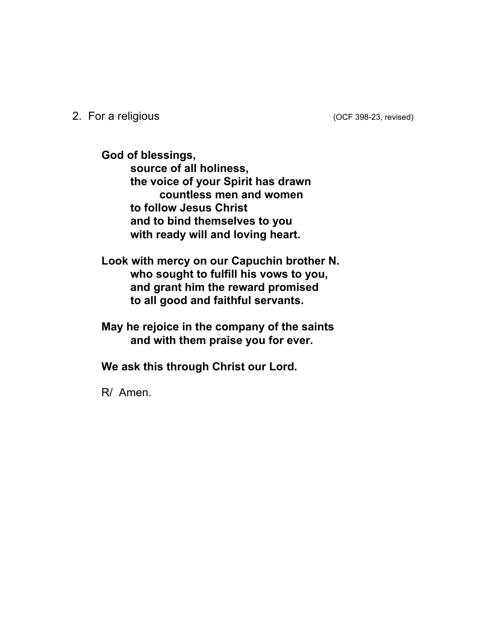**God of blessings, source of all holiness, the voice of your Spirit has drawn countless men and women to follow Jesus Christ and to bind themselves to you with ready will and loving heart.** 

 **Look with mercy on our Capuchin brother N. who sought to fulfill his vows to you, and grant him the reward promised to all good and faithful servants.** 

 **May he rejoice in the company of the saints and with them praise you for ever.** 

 **We ask this through Christ our Lord.** 

R/ Amen.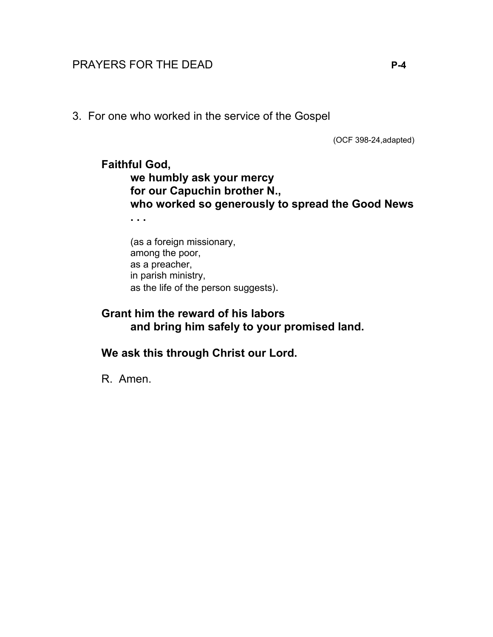## PRAYERS FOR THE DEAD **P-4**

3. For one who worked in the service of the Gospel

(OCF 398-24,adapted)

## **Faithful God,**

## **we humbly ask your mercy for our Capuchin brother N., who worked so generously to spread the Good News . . .**

 (as a foreign missionary, among the poor, as a preacher, in parish ministry, as the life of the person suggests).

## **Grant him the reward of his labors and bring him safely to your promised land.**

## **We ask this through Christ our Lord.**

R. Amen.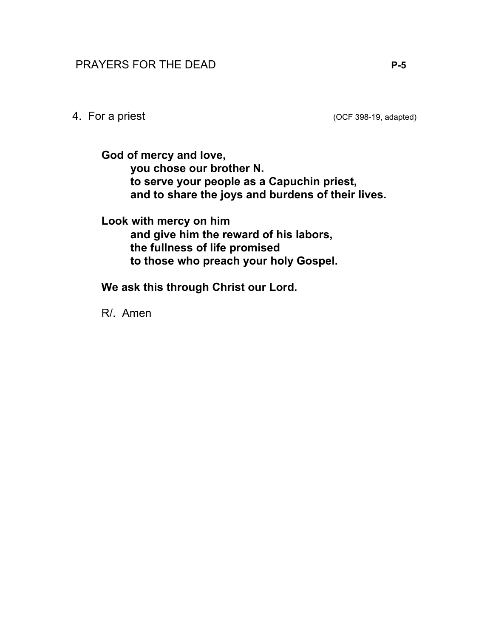4. For a priest (OCF 398-19, adapted)

 **God of mercy and love, you chose our brother N. to serve your people as a Capuchin priest, and to share the joys and burdens of their lives.** 

 **Look with mercy on him and give him the reward of his labors, the fullness of life promised to those who preach your holy Gospel.** 

 **We ask this through Christ our Lord.** 

R/. Amen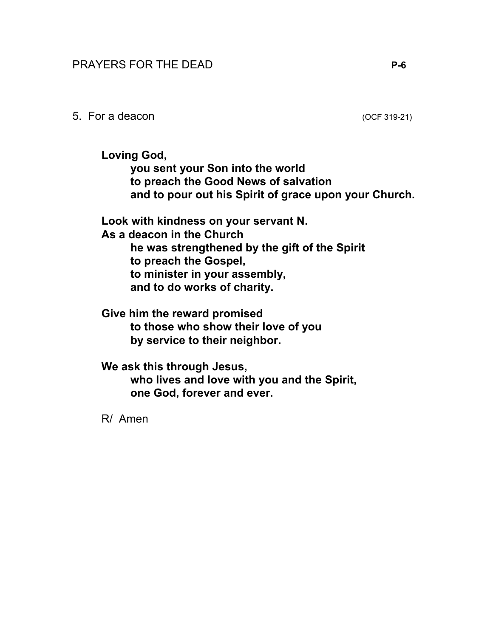**Loving God,** 

 **you sent your Son into the world to preach the Good News of salvation and to pour out his Spirit of grace upon your Church.** 

 **Look with kindness on your servant N.** 

 **As a deacon in the Church** 

 **he was strengthened by the gift of the Spirit to preach the Gospel, to minister in your assembly, and to do works of charity.** 

 **Give him the reward promised to those who show their love of you by service to their neighbor.** 

 **We ask this through Jesus,** 

 **who lives and love with you and the Spirit, one God, forever and ever.** 

R/ Amen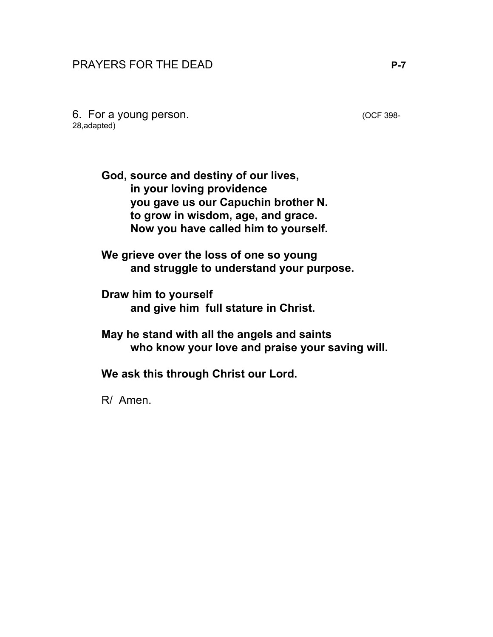## PRAYERS FOR THE DEAD **P-7**

6. For a young person. The same state of the state of the state of the state of the state of the state of the state of the state of the state of the state of the state of the state of the state of the state of the state of 28,adapted)

 **God, source and destiny of our lives, in your loving providence you gave us our Capuchin brother N. to grow in wisdom, age, and grace. Now you have called him to yourself.** 

 **We grieve over the loss of one so young and struggle to understand your purpose.** 

 **Draw him to yourself and give him full stature in Christ.** 

 **May he stand with all the angels and saints who know your love and praise your saving will.** 

 **We ask this through Christ our Lord.** 

R/ Amen.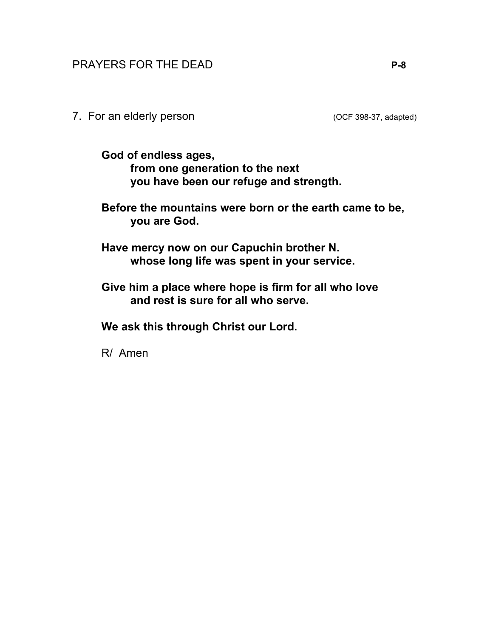7. For an elderly person and the same control of the state (OCF 398-37, adapted)

 **God of endless ages, from one generation to the next you have been our refuge and strength.** 

 **Before the mountains were born or the earth came to be, you are God.** 

 **Have mercy now on our Capuchin brother N. whose long life was spent in your service.** 

 **Give him a place where hope is firm for all who love and rest is sure for all who serve.** 

 **We ask this through Christ our Lord.**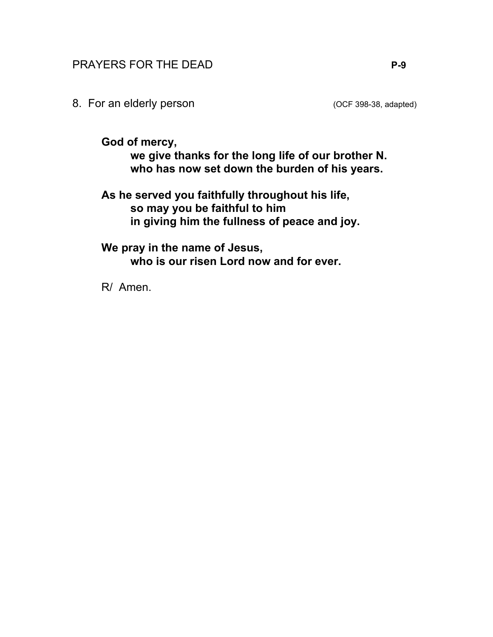8. For an elderly person example that the control of the control of the control of the control of the control of the control of the control of the control of the control of the control of the control of the control of the

### **God of mercy,**

 **we give thanks for the long life of our brother N. who has now set down the burden of his years.** 

 **As he served you faithfully throughout his life, so may you be faithful to him in giving him the fullness of peace and joy.** 

 **We pray in the name of Jesus, who is our risen Lord now and for ever.**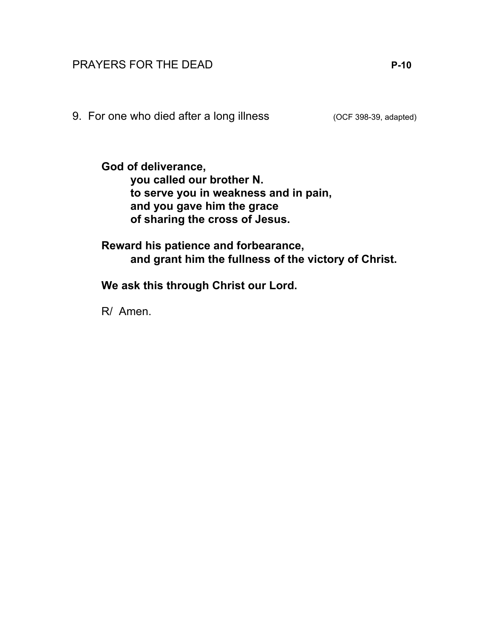**God of deliverance, you called our brother N. to serve you in weakness and in pain, and you gave him the grace of sharing the cross of Jesus.** 

 **Reward his patience and forbearance, and grant him the fullness of the victory of Christ.** 

 **We ask this through Christ our Lord.**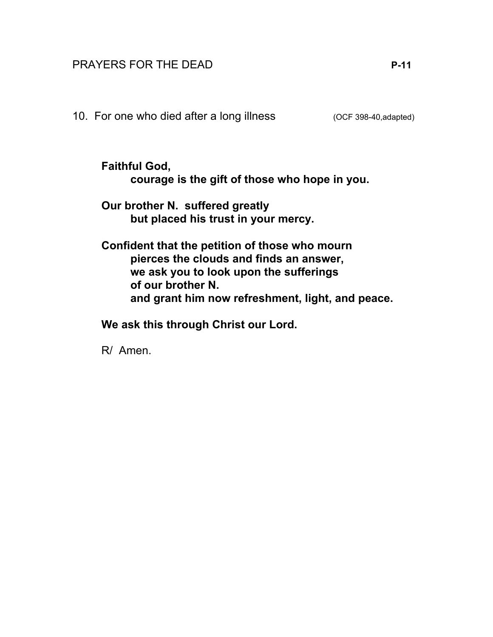10. For one who died after a long illness (OCF 398-40,adapted)

 **Faithful God, courage is the gift of those who hope in you.** 

 **Our brother N. suffered greatly but placed his trust in your mercy.** 

 **Confident that the petition of those who mourn pierces the clouds and finds an answer, we ask you to look upon the sufferings of our brother N. and grant him now refreshment, light, and peace.** 

 **We ask this through Christ our Lord.**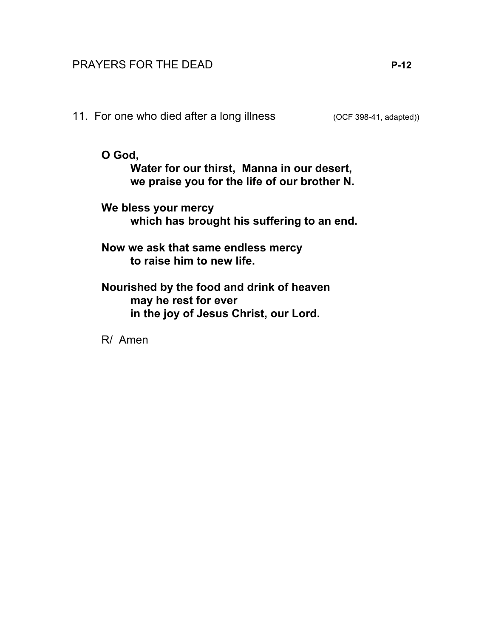11. For one who died after a long illness (OCF 398-41, adapted))

### **O God,**

 **Water for our thirst, Manna in our desert, we praise you for the life of our brother N.** 

 **We bless your mercy which has brought his suffering to an end.** 

 **Now we ask that same endless mercy to raise him to new life.** 

 **Nourished by the food and drink of heaven may he rest for ever in the joy of Jesus Christ, our Lord.**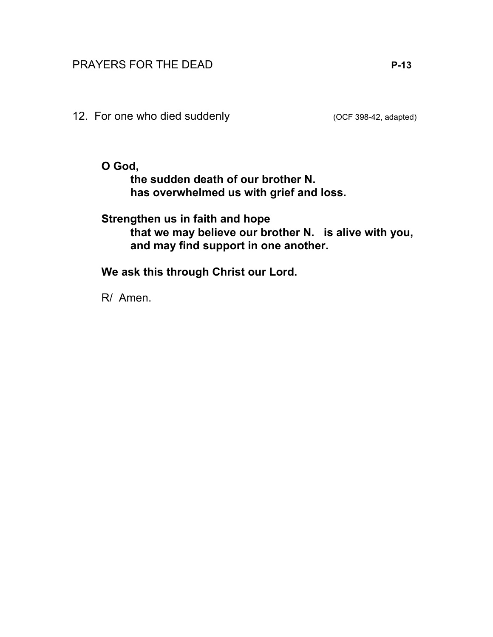**O God,** 

 **the sudden death of our brother N. has overwhelmed us with grief and loss.** 

# **Strengthen us in faith and hope that we may believe our brother N. is alive with you, and may find support in one another.**

 **We ask this through Christ our Lord.**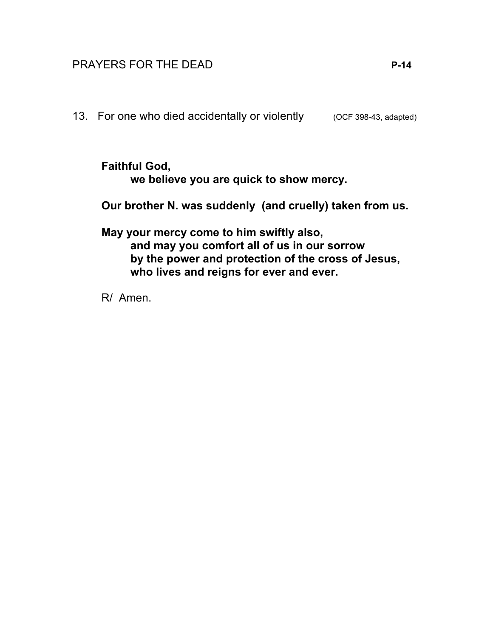13. For one who died accidentally or violently (OCF 398-43, adapted)

 **Faithful God, we believe you are quick to show mercy.** 

 **Our brother N. was suddenly (and cruelly) taken from us.** 

 **May your mercy come to him swiftly also, and may you comfort all of us in our sorrow by the power and protection of the cross of Jesus, who lives and reigns for ever and ever.**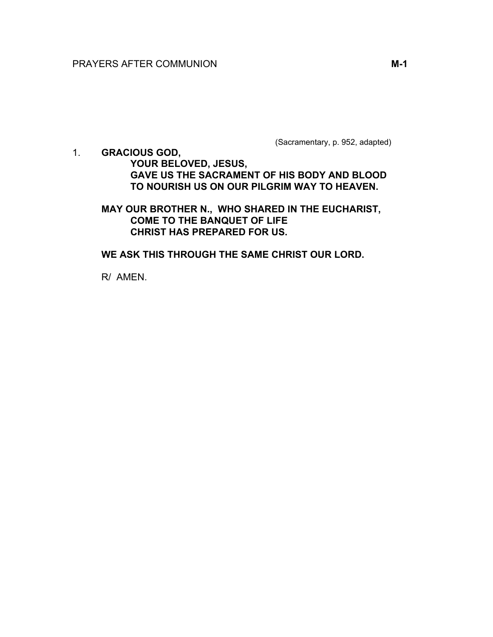(Sacramentary, p. 952, adapted) 1. **GRACIOUS GOD, YOUR BELOVED, JESUS, GAVE US THE SACRAMENT OF HIS BODY AND BLOOD TO NOURISH US ON OUR PILGRIM WAY TO HEAVEN.** 

 **MAY OUR BROTHER N., WHO SHARED IN THE EUCHARIST, COME TO THE BANQUET OF LIFE CHRIST HAS PREPARED FOR US.** 

 **WE ASK THIS THROUGH THE SAME CHRIST OUR LORD.**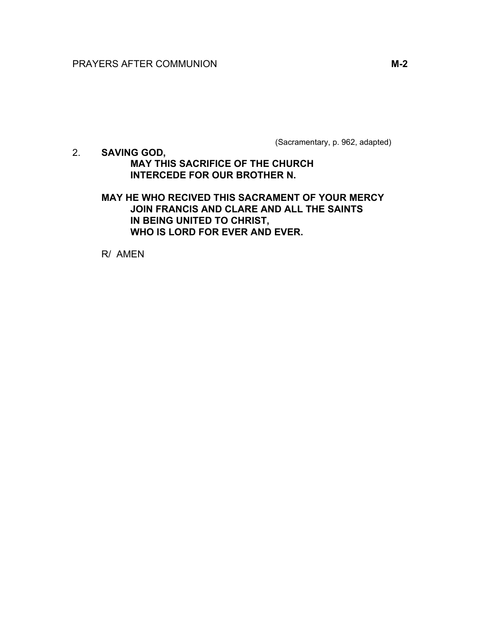**EXECUTE:** SAVING GOD. **SAVING GOD.** *SAVING GOD.* 2. **SAVING GOD, MAY THIS SACRIFICE OF THE CHURCH INTERCEDE FOR OUR BROTHER N.** 

#### **MAY HE WHO RECIVED THIS SACRAMENT OF YOUR MERCY JOIN FRANCIS AND CLARE AND ALL THE SAINTS IN BEING UNITED TO CHRIST, WHO IS LORD FOR EVER AND EVER.**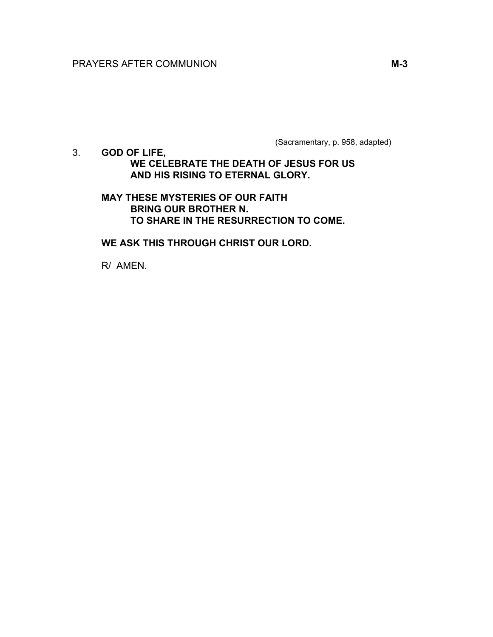**3. GOD OF LIFE. COO COO COO COO COO COO COO COO COO COO COO COO COO COO COO COO COO COO COO COO COO COO COO COO COO COO COO COO COO COO COO COO COO C** 3. **GOD OF LIFE, WE CELEBRATE THE DEATH OF JESUS FOR US AND HIS RISING TO ETERNAL GLORY.** 

 **MAY THESE MYSTERIES OF OUR FAITH BRING OUR BROTHER N. TO SHARE IN THE RESURRECTION TO COME.** 

 **WE ASK THIS THROUGH CHRIST OUR LORD.**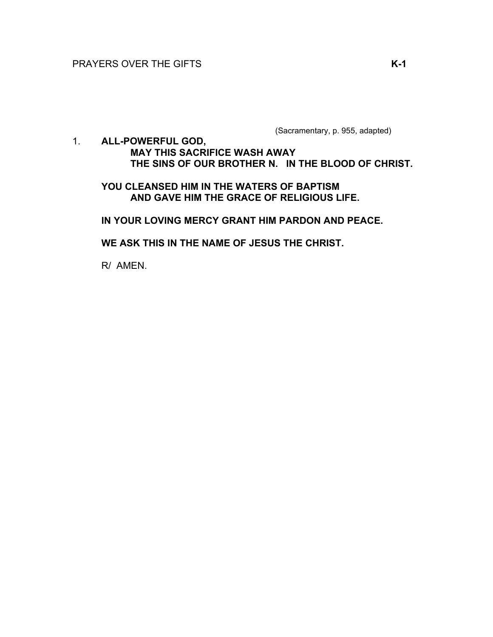(Sacramentary, p. 955, adapted)

1. **ALL-POWERFUL GOD, MAY THIS SACRIFICE WASH AWAY THE SINS OF OUR BROTHER N. IN THE BLOOD OF CHRIST.** 

 **YOU CLEANSED HIM IN THE WATERS OF BAPTISM AND GAVE HIM THE GRACE OF RELIGIOUS LIFE.** 

 **IN YOUR LOVING MERCY GRANT HIM PARDON AND PEACE.** 

 **WE ASK THIS IN THE NAME OF JESUS THE CHRIST.**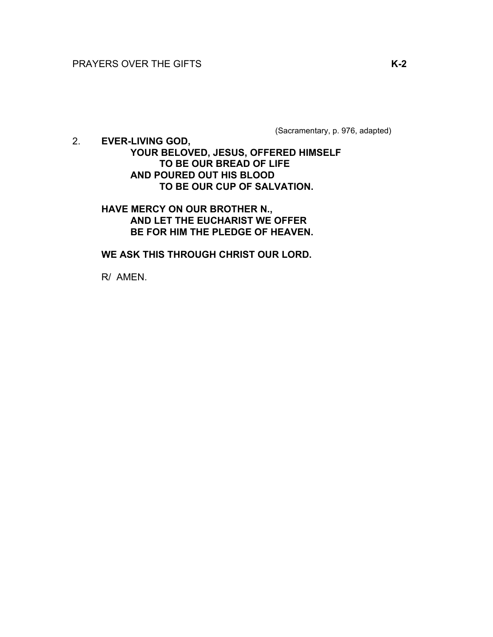(Sacramentary, p. 976, adapted)

2. **EVER-LIVING GOD, YOUR BELOVED, JESUS, OFFERED HIMSELF TO BE OUR BREAD OF LIFE AND POURED OUT HIS BLOOD TO BE OUR CUP OF SALVATION.** 

> **HAVE MERCY ON OUR BROTHER N., AND LET THE EUCHARIST WE OFFER BE FOR HIM THE PLEDGE OF HEAVEN.**

> **WE ASK THIS THROUGH CHRIST OUR LORD.**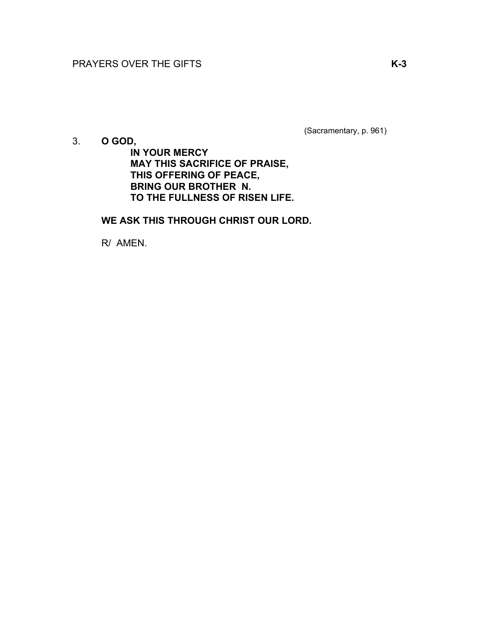(Sacramentary, p. 961)

3. **O GOD,** 

 **IN YOUR MERCY MAY THIS SACRIFICE OF PRAISE, THIS OFFERING OF PEACE, BRING OUR BROTHER N. TO THE FULLNESS OF RISEN LIFE.** 

 **WE ASK THIS THROUGH CHRIST OUR LORD.**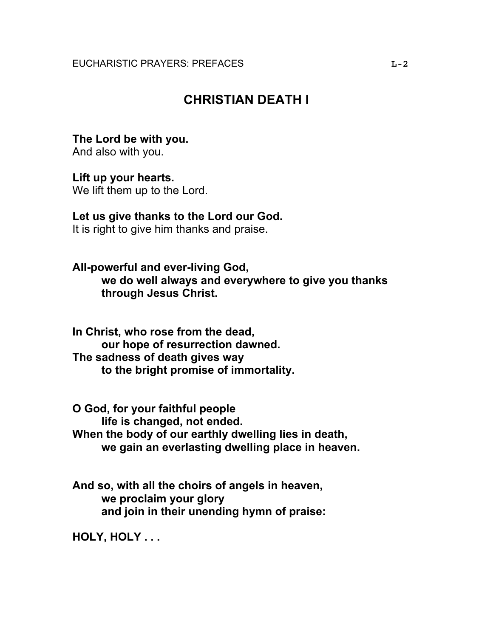# **CHRISTIAN DEATH I**

**The Lord be with you.** And also with you.

**Lift up your hearts.**  We lift them up to the Lord.

**Let us give thanks to the Lord our God.**  It is right to give him thanks and praise.

**All-powerful and ever-living God, we do well always and everywhere to give you thanks through Jesus Christ.** 

**In Christ, who rose from the dead, our hope of resurrection dawned. The sadness of death gives way to the bright promise of immortality.** 

**O God, for your faithful people life is changed, not ended. When the body of our earthly dwelling lies in death, we gain an everlasting dwelling place in heaven.** 

**And so, with all the choirs of angels in heaven, we proclaim your glory and join in their unending hymn of praise:**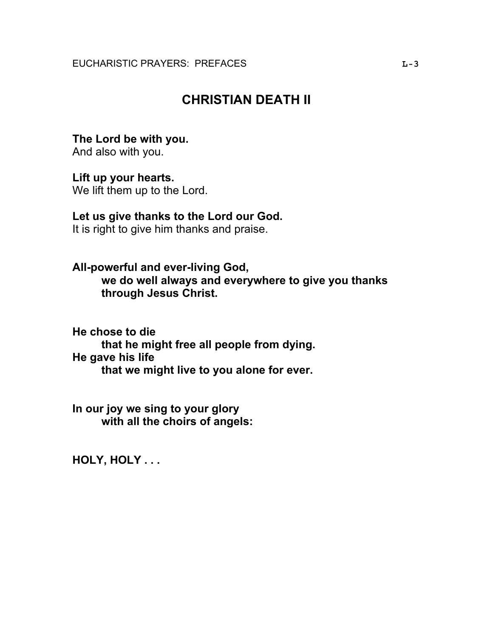# **CHRISTIAN DEATH II**

**The Lord be with you.**  And also with you.

**Lift up your hearts.** We lift them up to the Lord.

**Let us give thanks to the Lord our God.**  It is right to give him thanks and praise.

**All-powerful and ever-living God, we do well always and everywhere to give you thanks through Jesus Christ.** 

**He chose to die that he might free all people from dying. He gave his life that we might live to you alone for ever.** 

**In our joy we sing to your glory with all the choirs of angels:**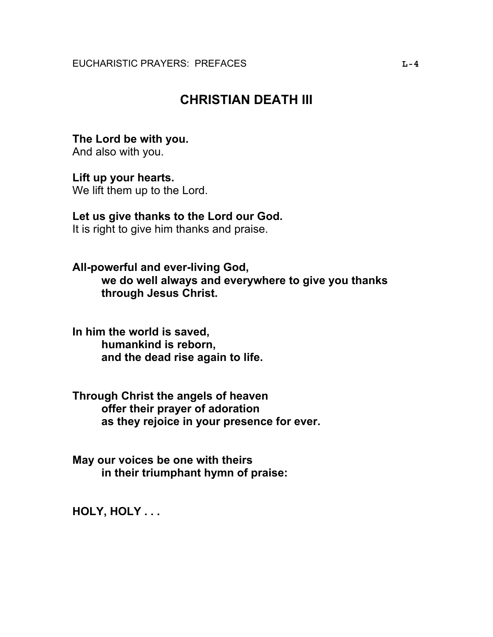#### EUCHARISTIC PRAYERS: PREFACES **L-4**

# **CHRISTIAN DEATH III**

**The Lord be with you.**  And also with you.

**Lift up your hearts.** We lift them up to the Lord.

**Let us give thanks to the Lord our God.**  It is right to give him thanks and praise.

**All-powerful and ever-living God, we do well always and everywhere to give you thanks through Jesus Christ.** 

**In him the world is saved, humankind is reborn, and the dead rise again to life.** 

**Through Christ the angels of heaven offer their prayer of adoration as they rejoice in your presence for ever.** 

**May our voices be one with theirs in their triumphant hymn of praise:**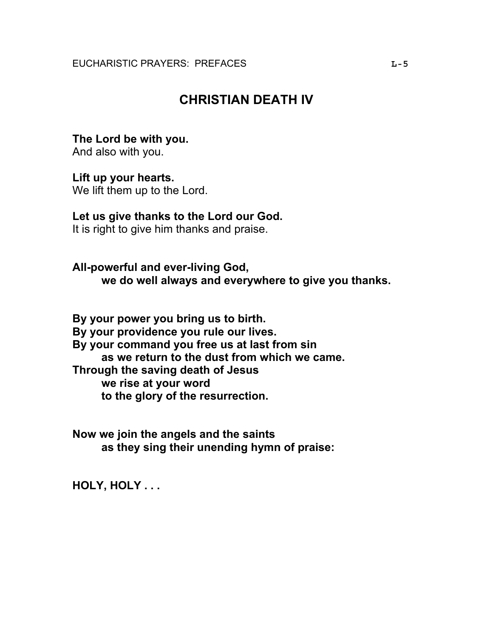# **CHRISTIAN DEATH IV**

**The Lord be with you.**  And also with you.

**Lift up your hearts.** We lift them up to the Lord.

**Let us give thanks to the Lord our God.**  It is right to give him thanks and praise.

**All-powerful and ever-living God,** 

 **we do well always and everywhere to give you thanks.** 

**By your power you bring us to birth. By your providence you rule our lives. By your command you free us at last from sin as we return to the dust from which we came. Through the saving death of Jesus we rise at your word to the glory of the resurrection.** 

**Now we join the angels and the saints as they sing their unending hymn of praise:**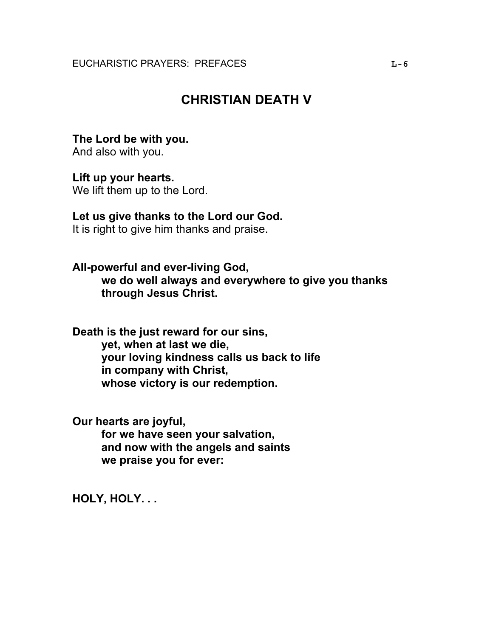# **CHRISTIAN DEATH V**

**The Lord be with you.**  And also with you.

**Lift up your hearts.** We lift them up to the Lord.

**Let us give thanks to the Lord our God.**  It is right to give him thanks and praise.

**All-powerful and ever-living God, we do well always and everywhere to give you thanks through Jesus Christ.** 

**Death is the just reward for our sins, yet, when at last we die, your loving kindness calls us back to life in company with Christ, whose victory is our redemption.** 

**Our hearts are joyful, for we have seen your salvation, and now with the angels and saints we praise you for ever:**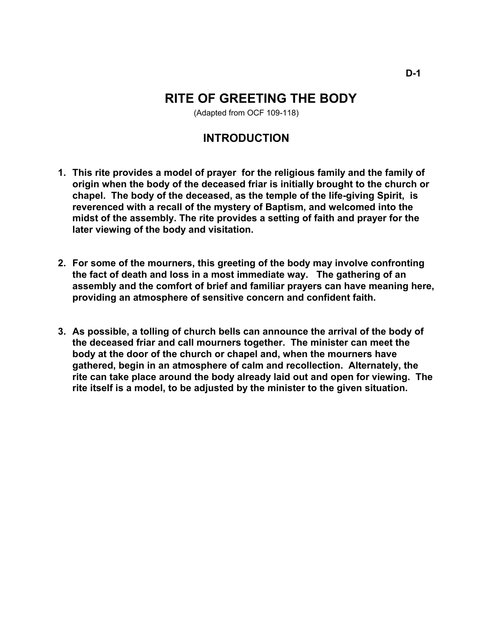# **RITE OF GREETING THE BODY**

(Adapted from OCF 109-118)

### **INTRODUCTION**

- **1. This rite provides a model of prayer for the religious family and the family of origin when the body of the deceased friar is initially brought to the church or chapel. The body of the deceased, as the temple of the life-giving Spirit, is reverenced with a recall of the mystery of Baptism, and welcomed into the midst of the assembly. The rite provides a setting of faith and prayer for the later viewing of the body and visitation.**
- **2. For some of the mourners, this greeting of the body may involve confronting the fact of death and loss in a most immediate way. The gathering of an assembly and the comfort of brief and familiar prayers can have meaning here, providing an atmosphere of sensitive concern and confident faith.**
- **3. As possible, a tolling of church bells can announce the arrival of the body of the deceased friar and call mourners together. The minister can meet the body at the door of the church or chapel and, when the mourners have gathered, begin in an atmosphere of calm and recollection. Alternately, the rite can take place around the body already laid out and open for viewing. The rite itself is a model, to be adjusted by the minister to the given situation.**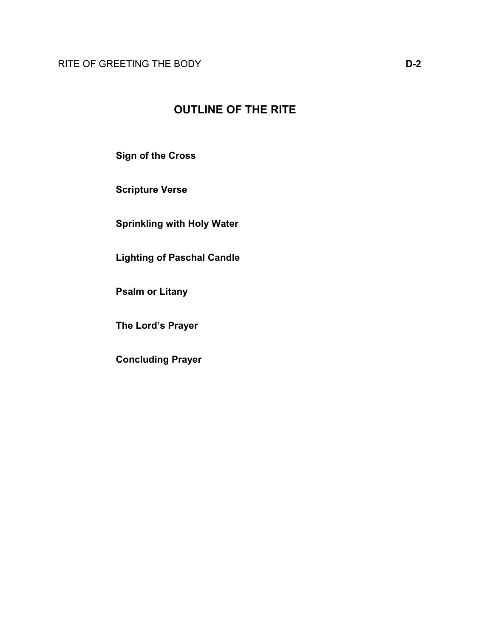# **OUTLINE OF THE RITE**

 **Sign of the Cross** 

 **Scripture Verse** 

 **Sprinkling with Holy Water** 

 **Lighting of Paschal Candle** 

 **Psalm or Litany** 

 **The Lord's Prayer** 

 **Concluding Prayer**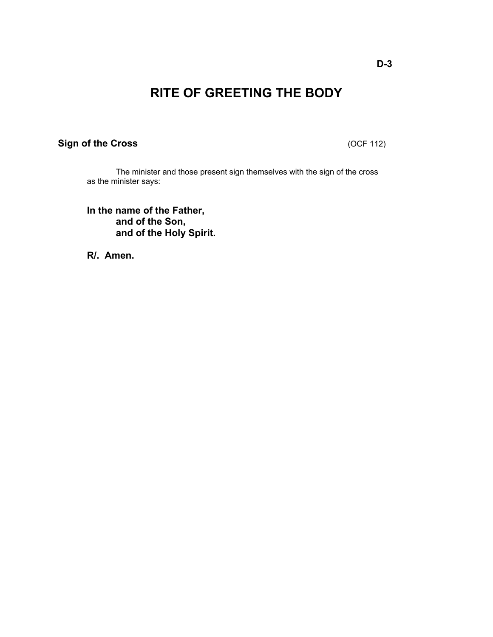# **RITE OF GREETING THE BODY**

## **Sign of the Cross** (OCF 112)

 The minister and those present sign themselves with the sign of the cross as the minister says:

**In the name of the Father, and of the Son, and of the Holy Spirit.**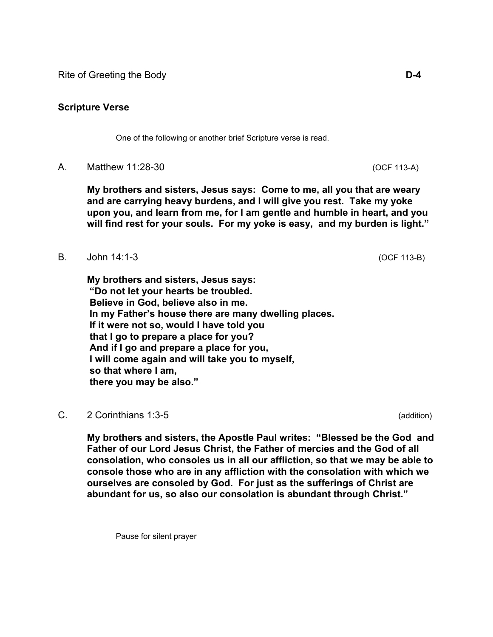Rite of Greeting the Body **D-4** 

#### **Scripture Verse**

One of the following or another brief Scripture verse is read.

A. Matthew 11:28-30 (OCF 113-A)

**My brothers and sisters, Jesus says: Come to me, all you that are weary and are carrying heavy burdens, and I will give you rest. Take my yoke upon you, and learn from me, for I am gentle and humble in heart, and you will find rest for your souls. For my yoke is easy, and my burden is light."** 

B. John 14:1-3 (OCF 113-B)

**My brothers and sisters, Jesus says: "Do not let your hearts be troubled. Believe in God, believe also in me. In my Father's house there are many dwelling places. If it were not so, would I have told you that I go to prepare a place for you? And if I go and prepare a place for you, I will come again and will take you to myself, so that where I am, there you may be also."** 

C. 2 Corinthians 1:3-5 (addition)

**My brothers and sisters, the Apostle Paul writes: "Blessed be the God and Father of our Lord Jesus Christ, the Father of mercies and the God of all consolation, who consoles us in all our affliction, so that we may be able to console those who are in any affliction with the consolation with which we ourselves are consoled by God. For just as the sufferings of Christ are abundant for us, so also our consolation is abundant through Christ."** 

Pause for silent prayer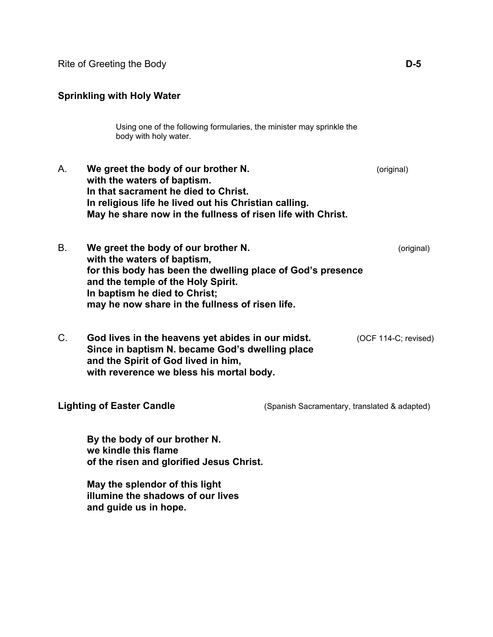Rite of Greeting the Body **D-5** 

#### **Sprinkling with Holy Water**

Using one of the following formularies, the minister may sprinkle the body with holy water.

- A. **We greet the body of our brother N.** (original)  **with the waters of baptism. In that sacrament he died to Christ. In religious life he lived out his Christian calling. May he share now in the fullness of risen life with Christ.**
- B. **We greet the body of our brother N. Example 20 and Section** (original)  **with the waters of baptism, for this body has been the dwelling place of God's presence and the temple of the Holy Spirit. In baptism he died to Christ; may he now share in the fullness of risen life.**
- C. **God lives in the heavens yet abides in our midst.** (OCF 114-C; revised)  **Since in baptism N. became God's dwelling place and the Spirit of God lived in him, with reverence we bless his mortal body.**

**Lighting of Easter Candle Candle** (Spanish Sacramentary, translated & adapted)

**By the body of our brother N. we kindle this flame of the risen and glorified Jesus Christ.** 

 **May the splendor of this light illumine the shadows of our lives and guide us in hope.**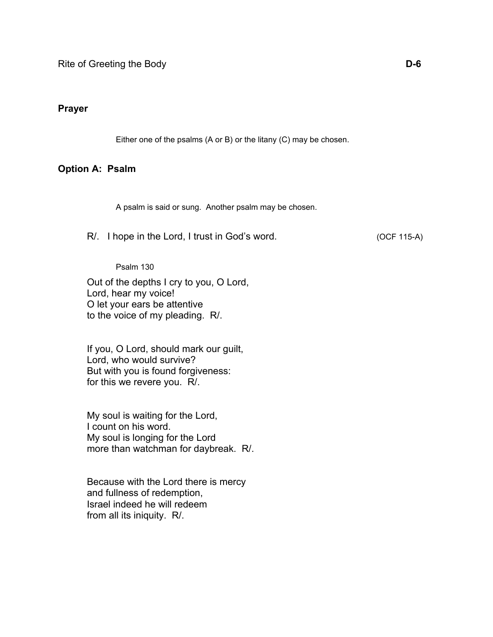#### **Prayer**

Either one of the psalms (A or B) or the litany (C) may be chosen.

#### **Option A: Psalm**

A psalm is said or sung. Another psalm may be chosen.

R/. I hope in the Lord, I trust in God's word. (OCF 115-A)

#### Psalm 130

 Out of the depths I cry to you, O Lord, Lord, hear my voice! O let your ears be attentive to the voice of my pleading. R/.

 If you, O Lord, should mark our guilt, Lord, who would survive? But with you is found forgiveness: for this we revere you. R/.

 My soul is waiting for the Lord, I count on his word. My soul is longing for the Lord more than watchman for daybreak. R/.

 Because with the Lord there is mercy and fullness of redemption, Israel indeed he will redeem from all its iniquity. R/.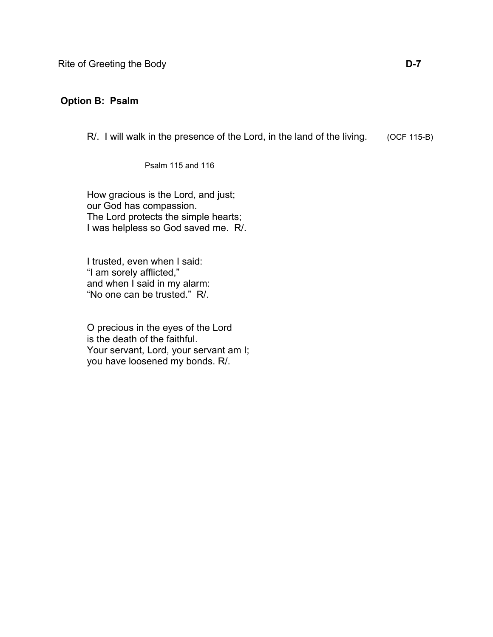#### **Option B: Psalm**

R/. I will walk in the presence of the Lord, in the land of the living. (OCF 115-B)

Psalm 115 and 116

 How gracious is the Lord, and just; our God has compassion. The Lord protects the simple hearts; I was helpless so God saved me. R/.

 I trusted, even when I said: "I am sorely afflicted," and when I said in my alarm: "No one can be trusted." R/.

 O precious in the eyes of the Lord is the death of the faithful. Your servant, Lord, your servant am I; you have loosened my bonds. R/.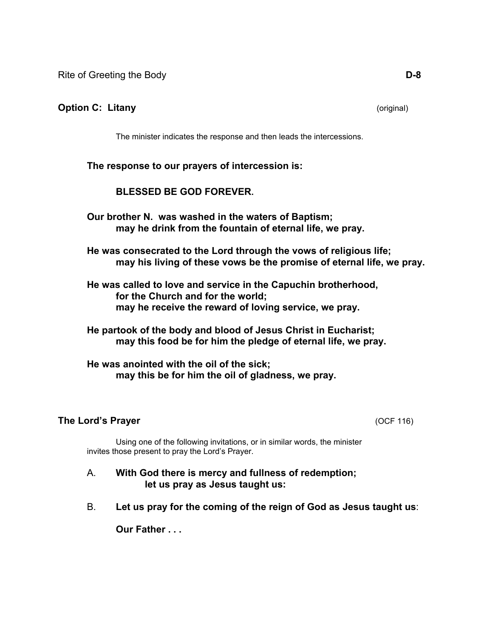Rite of Greeting the Body **D-8** 

#### **Option C: Litany C: Compared Circuit Compared Circuit Compared Circuit Compared Circuit Compared Circuit Compared Circuit Compared Circuit Compared Circuit Compared Circuit Compared Circuit Compared Circuit Circuit Circ**

The minister indicates the response and then leads the intercessions.

#### **The response to our prayers of intercession is:**

#### **BLESSED BE GOD FOREVER.**

**Our brother N. was washed in the waters of Baptism; may he drink from the fountain of eternal life, we pray.** 

**He was consecrated to the Lord through the vows of religious life; may his living of these vows be the promise of eternal life, we pray.** 

 **He was called to love and service in the Capuchin brotherhood, for the Church and for the world; may he receive the reward of loving service, we pray.** 

 **He partook of the body and blood of Jesus Christ in Eucharist; may this food be for him the pledge of eternal life, we pray.** 

 **He was anointed with the oil of the sick; may this be for him the oil of gladness, we pray.** 

#### **The Lord's Prayer**  (OCF 116)

 Using one of the following invitations, or in similar words, the minister invites those present to pray the Lord's Prayer.

#### A. **With God there is mercy and fullness of redemption; let us pray as Jesus taught us:**

B. **Let us pray for the coming of the reign of God as Jesus taught us**:

**Our Father . . .**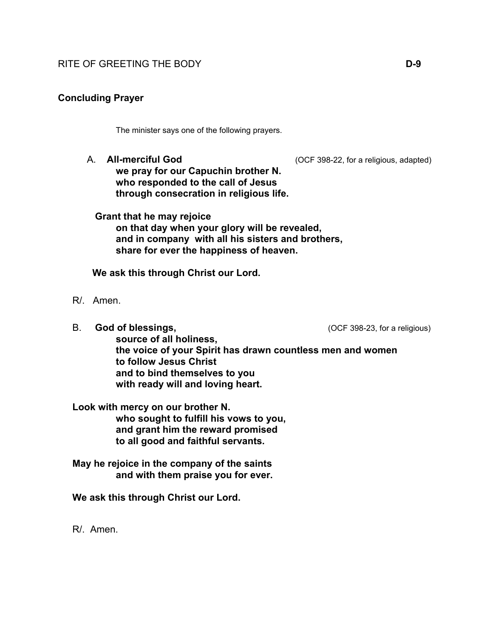#### **Concluding Prayer**

The minister says one of the following prayers.

 **we pray for our Capuchin brother N. who responded to the call of Jesus through consecration in religious life.** 

 **Grant that he may rejoice on that day when your glory will be revealed, and in company with all his sisters and brothers, share for ever the happiness of heaven.** 

 **We ask this through Christ our Lord.** 

- R/. Amen.
- B. **God of blessings,** (OCF 398-23, for a religious) **source of all holiness, the voice of your Spirit has drawn countless men and women to follow Jesus Christ and to bind themselves to you with ready will and loving heart.**

**Look with mercy on our brother N. who sought to fulfill his vows to you, and grant him the reward promised to all good and faithful servants.** 

**May he rejoice in the company of the saints and with them praise you for ever.** 

**We ask this through Christ our Lord.** 

R/. Amen.

A. **All-merciful God** (OCF 398-22, for a religious, adapted)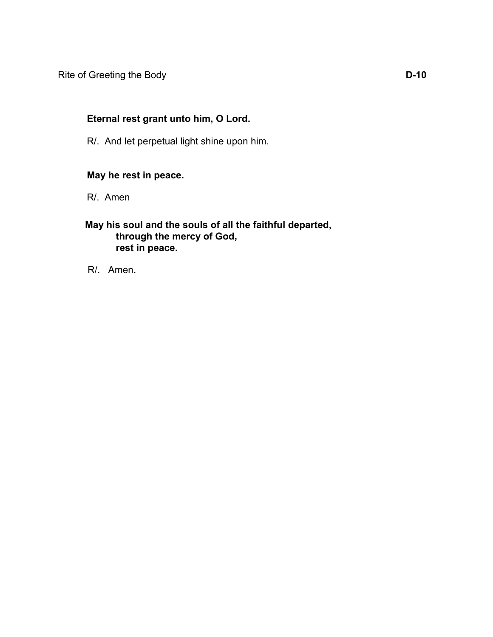Rite of Greeting the Body **D-10** 

#### **Eternal rest grant unto him, O Lord.**

R/. And let perpetual light shine upon him.

### **May he rest in peace.**

R/. Amen

#### **May his soul and the souls of all the faithful departed, through the mercy of God, rest in peace.**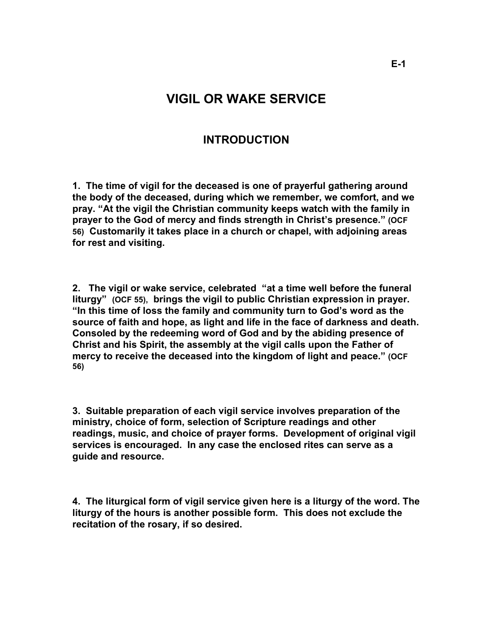## **VIGIL OR WAKE SERVICE**

### **INTRODUCTION**

**1. The time of vigil for the deceased is one of prayerful gathering around the body of the deceased, during which we remember, we comfort, and we pray. "At the vigil the Christian community keeps watch with the family in prayer to the God of mercy and finds strength in Christ's presence." (OCF 56) Customarily it takes place in a church or chapel, with adjoining areas for rest and visiting.** 

**2. The vigil or wake service, celebrated "at a time well before the funeral liturgy" (OCF 55), brings the vigil to public Christian expression in prayer. "In this time of loss the family and community turn to God's word as the source of faith and hope, as light and life in the face of darkness and death. Consoled by the redeeming word of God and by the abiding presence of Christ and his Spirit, the assembly at the vigil calls upon the Father of mercy to receive the deceased into the kingdom of light and peace." (OCF 56)** 

**3. Suitable preparation of each vigil service involves preparation of the ministry, choice of form, selection of Scripture readings and other readings, music, and choice of prayer forms. Development of original vigil services is encouraged. In any case the enclosed rites can serve as a guide and resource.** 

**4. The liturgical form of vigil service given here is a liturgy of the word. The liturgy of the hours is another possible form. This does not exclude the recitation of the rosary, if so desired.**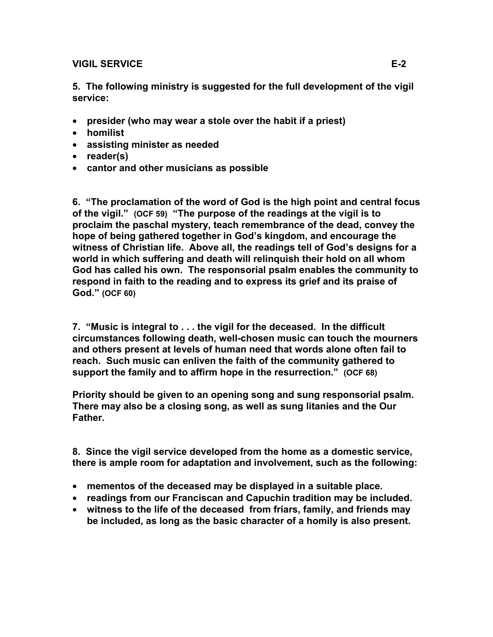#### **VIGIL SERVICE** E-2

**5. The following ministry is suggested for the full development of the vigil service:** 

- **presider (who may wear a stole over the habit if a priest)**
- **homilist**
- **assisting minister as needed**
- **reader(s)**
- **cantor and other musicians as possible**

**6. "The proclamation of the word of God is the high point and central focus of the vigil." (OCF 59) "The purpose of the readings at the vigil is to proclaim the paschal mystery, teach remembrance of the dead, convey the hope of being gathered together in God's kingdom, and encourage the witness of Christian life. Above all, the readings tell of God's designs for a world in which suffering and death will relinquish their hold on all whom God has called his own. The responsorial psalm enables the community to respond in faith to the reading and to express its grief and its praise of God." (OCF 60)** 

**7. "Music is integral to . . . the vigil for the deceased. In the difficult circumstances following death, well-chosen music can touch the mourners and others present at levels of human need that words alone often fail to reach. Such music can enliven the faith of the community gathered to support the family and to affirm hope in the resurrection." (OCF 68)** 

**Priority should be given to an opening song and sung responsorial psalm. There may also be a closing song, as well as sung litanies and the Our Father.** 

**8. Since the vigil service developed from the home as a domestic service, there is ample room for adaptation and involvement, such as the following:** 

- **mementos of the deceased may be displayed in a suitable place.**
- **readings from our Franciscan and Capuchin tradition may be included.**
- **witness to the life of the deceased from friars, family, and friends may be included, as long as the basic character of a homily is also present.**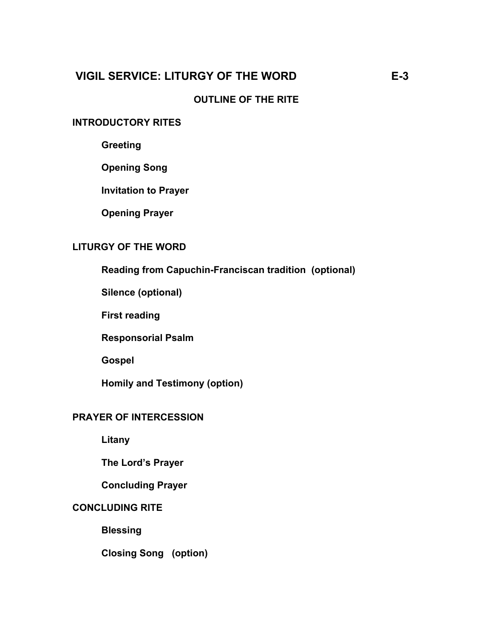# **VIGIL SERVICE: LITURGY OF THE WORD E-3**

#### **OUTLINE OF THE RITE**

#### **INTRODUCTORY RITES**

 **Greeting** 

 **Opening Song** 

 **Invitation to Prayer** 

 **Opening Prayer** 

#### **LITURGY OF THE WORD**

 **Reading from Capuchin-Franciscan tradition (optional)** 

 **Silence (optional)** 

 **First reading** 

 **Responsorial Psalm** 

 **Gospel** 

 **Homily and Testimony (option)** 

#### **PRAYER OF INTERCESSION**

 **Litany** 

 **The Lord's Prayer** 

#### **Concluding Prayer**

#### **CONCLUDING RITE**

 **Blessing** 

 **Closing Song (option)**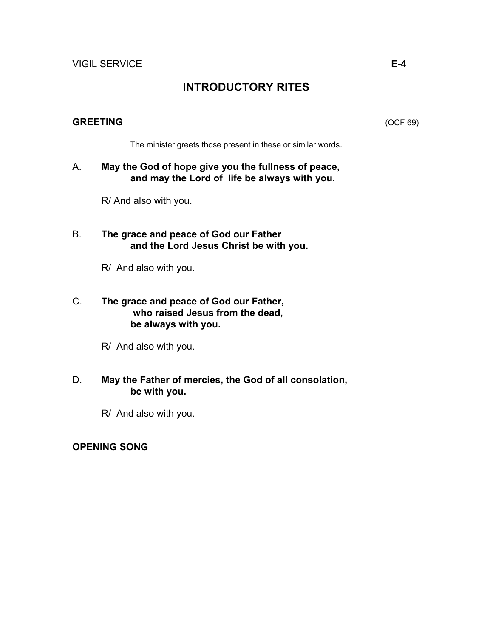## **INTRODUCTORY RITES**

#### **GREETING** (OCF 69)

The minister greets those present in these or similar words.

#### A. **May the God of hope give you the fullness of peace, and may the Lord of life be always with you.**

R/ And also with you.

#### B. **The grace and peace of God our Father and the Lord Jesus Christ be with you.**

R/ And also with you.

#### C. **The grace and peace of God our Father, who raised Jesus from the dead, be always with you.**

R/ And also with you.

#### D. **May the Father of mercies, the God of all consolation, be with you.**

R/ And also with you.

#### **OPENING SONG**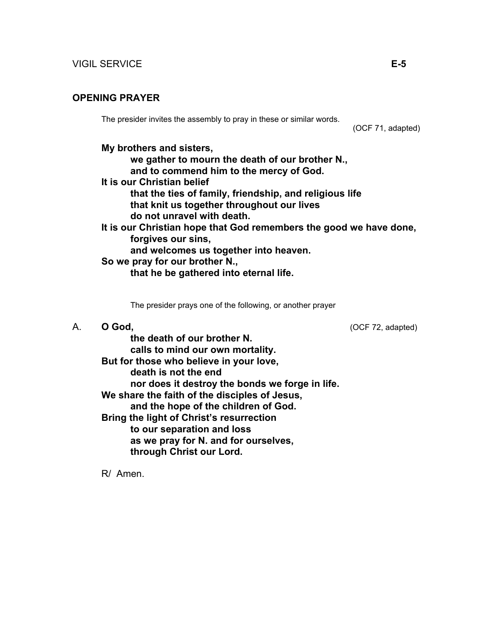#### **OPENING PRAYER**

The presider invites the assembly to pray in these or similar words.

(OCF 71, adapted)

| My brothers and sisters,                                           |
|--------------------------------------------------------------------|
| we gather to mourn the death of our brother N.,                    |
| and to commend him to the mercy of God.                            |
| It is our Christian belief                                         |
| that the ties of family, friendship, and religious life            |
| that knit us together throughout our lives                         |
| do not unravel with death.                                         |
| It is our Christian hope that God remembers the good we have done, |
| forgives our sins,                                                 |
| and welcomes us together into heaven.                              |
| So we pray for our brother N.,                                     |
| that he be gathered into eternal life.                             |
|                                                                    |

The presider prays one of the following, or another prayer

A. **O God,** (OCF 72, adapted)

 **the death of our brother N. calls to mind our own mortality. But for those who believe in your love, death is not the end nor does it destroy the bonds we forge in life. We share the faith of the disciples of Jesus, and the hope of the children of God. Bring the light of Christ's resurrection to our separation and loss as we pray for N. and for ourselves, through Christ our Lord.**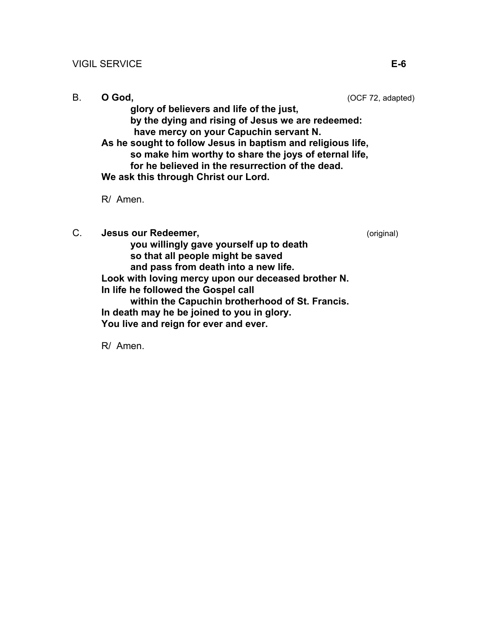| В. | O God,                                                      | (OCF 72, adapted) |  |
|----|-------------------------------------------------------------|-------------------|--|
|    | glory of believers and life of the just,                    |                   |  |
|    | by the dying and rising of Jesus we are redeemed:           |                   |  |
|    | have mercy on your Capuchin servant N.                      |                   |  |
|    | As he sought to follow Jesus in baptism and religious life, |                   |  |
|    | so make him worthy to share the joys of eternal life,       |                   |  |
|    | for he believed in the resurrection of the dead.            |                   |  |
|    | We ask this through Christ our Lord.                        |                   |  |
|    |                                                             |                   |  |

R/ Amen.

C. **Jesus our Redeemer, C.** (original)  **you willingly gave yourself up to death so that all people might be saved and pass from death into a new life. Look with loving mercy upon our deceased brother N. In life he followed the Gospel call within the Capuchin brotherhood of St. Francis. In death may he be joined to you in glory. You live and reign for ever and ever.**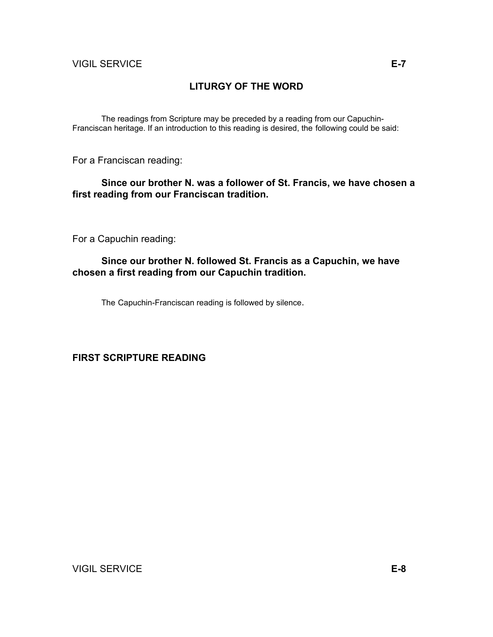### **LITURGY OF THE WORD**

 The readings from Scripture may be preceded by a reading from our Capuchin-Franciscan heritage. If an introduction to this reading is desired, the following could be said:

For a Franciscan reading:

 **Since our brother N. was a follower of St. Francis, we have chosen a first reading from our Franciscan tradition.** 

For a Capuchin reading:

#### **Since our brother N. followed St. Francis as a Capuchin, we have chosen a first reading from our Capuchin tradition.**

The Capuchin-Franciscan reading is followed by silence.

**FIRST SCRIPTURE READING**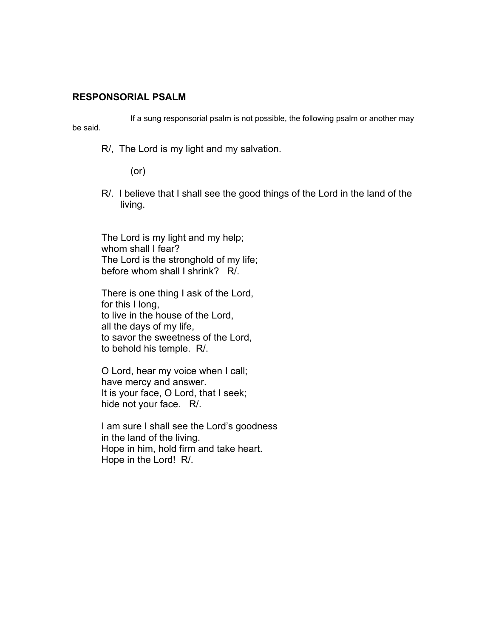#### **RESPONSORIAL PSALM**

 If a sung responsorial psalm is not possible, the following psalm or another may be said.

R/, The Lord is my light and my salvation.

(or)

 R/. I believe that I shall see the good things of the Lord in the land of the living.

 The Lord is my light and my help; whom shall I fear? The Lord is the stronghold of my life; before whom shall I shrink? R/.

 There is one thing I ask of the Lord, for this I long, to live in the house of the Lord, all the days of my life, to savor the sweetness of the Lord, to behold his temple. R/.

 O Lord, hear my voice when I call; have mercy and answer. It is your face, O Lord, that I seek; hide not your face. R/.

 I am sure I shall see the Lord's goodness in the land of the living. Hope in him, hold firm and take heart. Hope in the Lord! R/.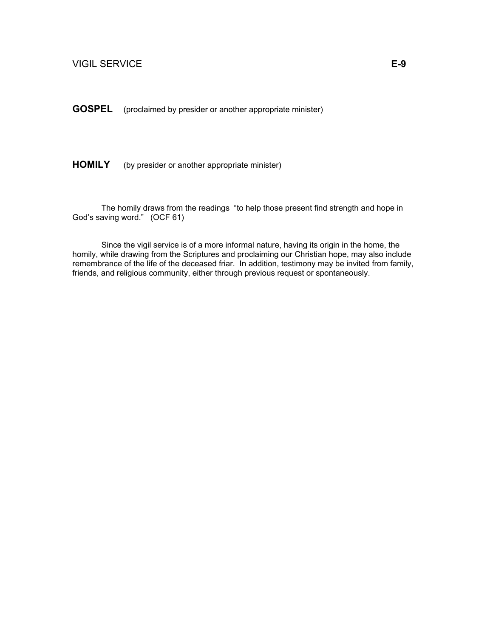**GOSPEL** (proclaimed by presider or another appropriate minister)

**HOMILY** (by presider or another appropriate minister)

 The homily draws from the readings "to help those present find strength and hope in God's saving word." (OCF 61)

 Since the vigil service is of a more informal nature, having its origin in the home, the homily, while drawing from the Scriptures and proclaiming our Christian hope, may also include remembrance of the life of the deceased friar. In addition, testimony may be invited from family, friends, and religious community, either through previous request or spontaneously.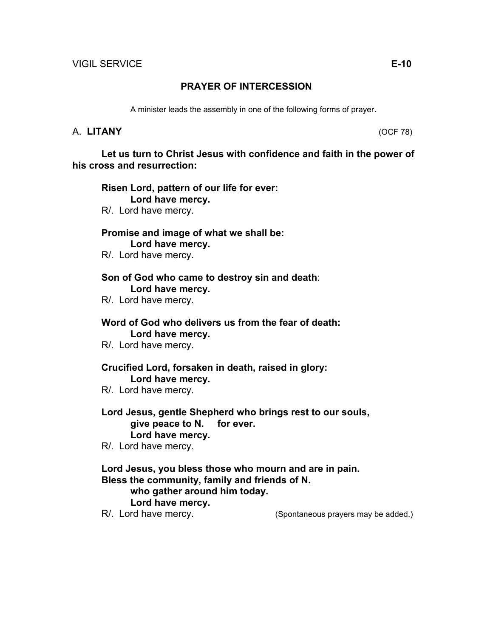## **PRAYER OF INTERCESSION**

A minister leads the assembly in one of the following forms of prayer.

### A. **LITANY** (OCF 78)

 **Let us turn to Christ Jesus with confidence and faith in the power of his cross and resurrection:** 

## **Risen Lord, pattern of our life for ever: Lord have mercy.**

R/. Lord have mercy.

# **Promise and image of what we shall be: Lord have mercy.**

R/. Lord have mercy.

# **Son of God who came to destroy sin and death**:

- **Lord have mercy.**
- R/. Lord have mercy.

# **Word of God who delivers us from the fear of death: Lord have mercy.**

R/. Lord have mercy.

#### **Crucified Lord, forsaken in death, raised in glory: Lord have mercy.**

- R/. Lord have mercy.
- **Lord Jesus, gentle Shepherd who brings rest to our souls, give peace to N. for ever. Lord have mercy.**
- R/. Lord have mercy.

#### **Lord Jesus, you bless those who mourn and are in pain. Bless the community, family and friends of N.**

# **who gather around him today.**

# **Lord have mercy.**

R/. Lord have mercy. (Spontaneous prayers may be added.)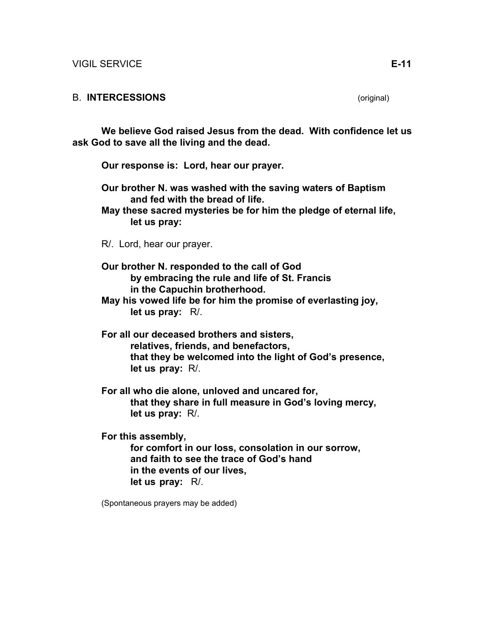**We believe God raised Jesus from the dead. With confidence let us ask God to save all the living and the dead.** 

 **Our response is: Lord, hear our prayer.** 

 **Our brother N. was washed with the saving waters of Baptism and fed with the bread of life.** 

 **May these sacred mysteries be for him the pledge of eternal life, let us pray:** 

R/. Lord, hear our prayer.

 **Our brother N. responded to the call of God by embracing the rule and life of St. Francis in the Capuchin brotherhood.** 

 **May his vowed life be for him the promise of everlasting joy, let us pray:** R/.

 **For all our deceased brothers and sisters, relatives, friends, and benefactors, that they be welcomed into the light of God's presence, let us pray:** R/.

 **For all who die alone, unloved and uncared for, that they share in full measure in God's loving mercy, let us pray:** R/.

 **For this assembly,** 

 **for comfort in our loss, consolation in our sorrow, and faith to see the trace of God's hand in the events of our lives, let us pray:** R/.

(Spontaneous prayers may be added)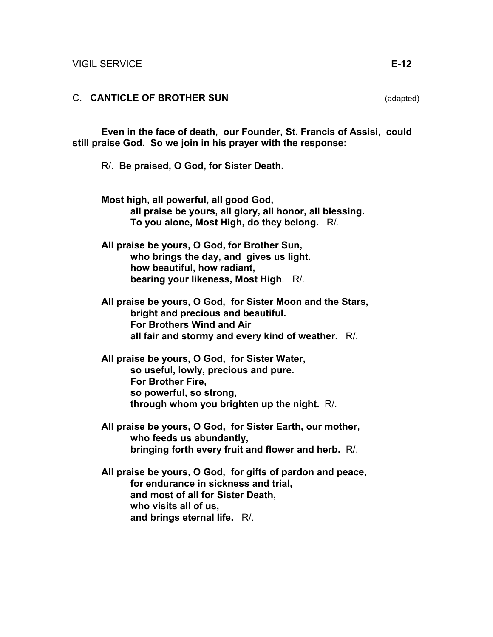**Even in the face of death, our Founder, St. Francis of Assisi, could still praise God. So we join in his prayer with the response:** 

R/. **Be praised, O God, for Sister Death.** 

 **Most high, all powerful, all good God, all praise be yours, all glory, all honor, all blessing. To you alone, Most High, do they belong.** R/.  **All praise be yours, O God, for Brother Sun, who brings the day, and gives us light. how beautiful, how radiant, bearing your likeness, Most High**. R/.  **All praise be yours, O God, for Sister Moon and the Stars, bright and precious and beautiful. For Brothers Wind and Air all fair and stormy and every kind of weather.** R/.  **All praise be yours, O God, for Sister Water, so useful, lowly, precious and pure. For Brother Fire, so powerful, so strong,** 

 **All praise be yours, O God, for Sister Earth, our mother, who feeds us abundantly, bringing forth every fruit and flower and herb.** R/.

 **through whom you brighten up the night.** R/.

 **All praise be yours, O God, for gifts of pardon and peace, for endurance in sickness and trial, and most of all for Sister Death, who visits all of us, and brings eternal life.** R/.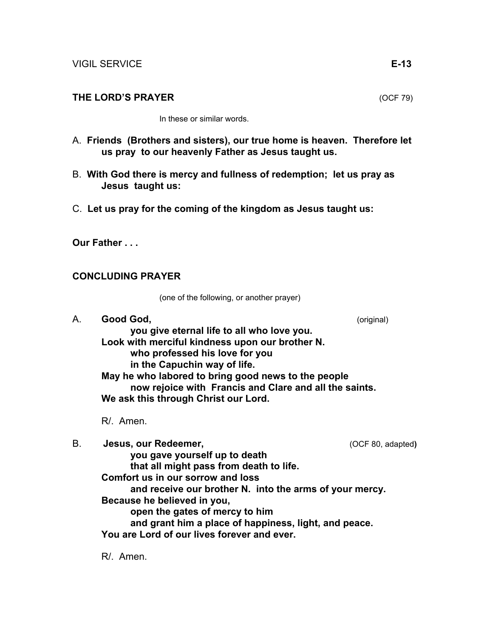### **THE LORD'S PRAYER** (OCF 79)

In these or similar words.

- A. **Friends (Brothers and sisters), our true home is heaven. Therefore let us pray to our heavenly Father as Jesus taught us.**
- B. **With God there is mercy and fullness of redemption; let us pray as Jesus taught us:**
- C. **Let us pray for the coming of the kingdom as Jesus taught us:**

**Our Father . . .** 

### **CONCLUDING PRAYER**

(one of the following, or another prayer)

A. **Good God,** (original)  **you give eternal life to all who love you. Look with merciful kindness upon our brother N. who professed his love for you in the Capuchin way of life. May he who labored to bring good news to the people now rejoice with Francis and Clare and all the saints. We ask this through Christ our Lord.** 

R/. Amen.

B. **Jesus, our Redeemer, Example 20. adapted** (OCF 80, adapted)  **you gave yourself up to death that all might pass from death to life. Comfort us in our sorrow and loss and receive our brother N. into the arms of your mercy. Because he believed in you, open the gates of mercy to him and grant him a place of happiness, light, and peace. You are Lord of our lives forever and ever.** 

R/. Amen.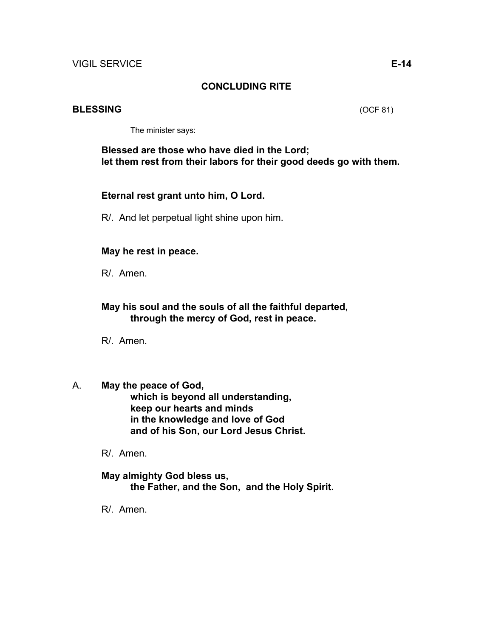### **CONCLUDING RITE**

### **BLESSING** (OCF 81)

The minister says:

## **Blessed are those who have died in the Lord; let them rest from their labors for their good deeds go with them.**

# **Eternal rest grant unto him, O Lord.**

R/. And let perpetual light shine upon him.

### **May he rest in peace.**

R/. Amen.

# **May his soul and the souls of all the faithful departed, through the mercy of God, rest in peace.**

R/. Amen.

# A. **May the peace of God, which is beyond all understanding, keep our hearts and minds in the knowledge and love of God and of his Son, our Lord Jesus Christ.**

R/. Amen.

 **May almighty God bless us, the Father, and the Son, and the Holy Spirit.** 

R/. Amen.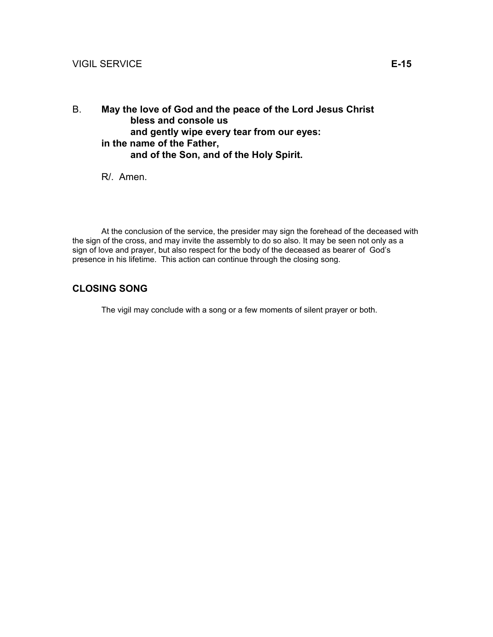# B. **May the love of God and the peace of the Lord Jesus Christ bless and console us and gently wipe every tear from our eyes: in the name of the Father, and of the Son, and of the Holy Spirit.**

#### R/. Amen.

 At the conclusion of the service, the presider may sign the forehead of the deceased with the sign of the cross, and may invite the assembly to do so also. It may be seen not only as a sign of love and prayer, but also respect for the body of the deceased as bearer of God's presence in his lifetime. This action can continue through the closing song.

# **CLOSING SONG**

The vigil may conclude with a song or a few moments of silent prayer or both.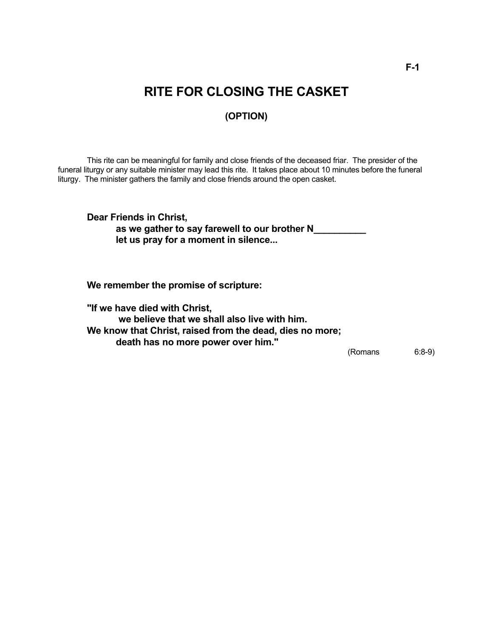# **RITE FOR CLOSING THE CASKET**

## **(OPTION)**

 This rite can be meaningful for family and close friends of the deceased friar. The presider of the funeral liturgy or any suitable minister may lead this rite. It takes place about 10 minutes before the funeral liturgy. The minister gathers the family and close friends around the open casket.

**Dear Friends in Christ, as we gather to say farewell to our brother N\_\_\_\_\_\_\_\_\_\_ let us pray for a moment in silence...** 

 **We remember the promise of scripture:** 

 **"If we have died with Christ, we believe that we shall also live with him. We know that Christ, raised from the dead, dies no more; death has no more power over him."** 

(Romans 6:8-9)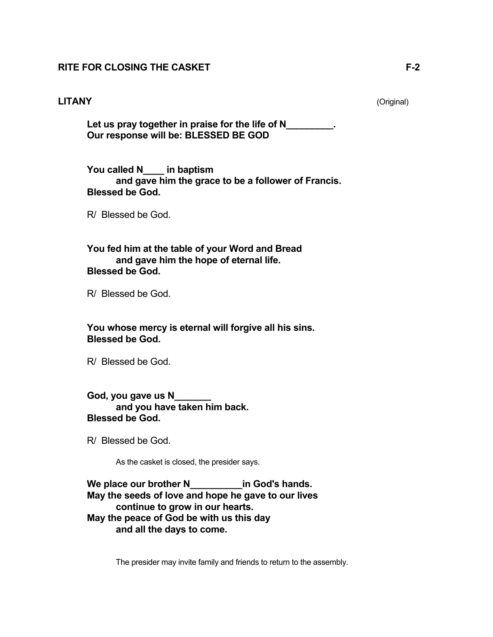#### **RITE FOR CLOSING THE CASKET F-2 F-2**

#### **LITANY** (Original)

Let us pray together in praise for the life of N  **Our response will be: BLESSED BE GOD** 

#### **You called N\_\_\_\_ in baptism and gave him the grace to be a follower of Francis. Blessed be God.**

R/ Blessed be God.

### **You fed him at the table of your Word and Bread and gave him the hope of eternal life. Blessed be God.**

R/ Blessed be God.

#### **You whose mercy is eternal will forgive all his sins. Blessed be God.**

R/ Blessed be God.

#### **God, you gave us N\_\_\_\_\_\_\_ and you have taken him back. Blessed be God.**

R/ Blessed be God.

As the casket is closed, the presider says.

 **We place our brother N\_\_\_\_\_\_\_\_\_\_in God's hands. May the seeds of love and hope he gave to our lives continue to grow in our hearts. May the peace of God be with us this day and all the days to come.** 

The presider may invite family and friends to return to the assembly.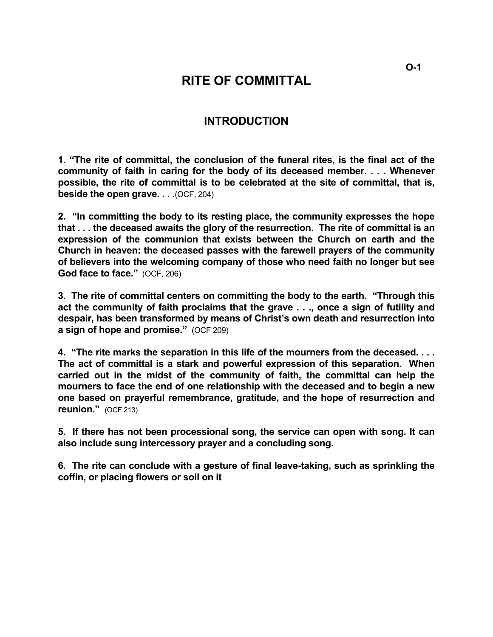# **RITE OF COMMITTAL**

# **INTRODUCTION**

**1. "The rite of committal, the conclusion of the funeral rites, is the final act of the community of faith in caring for the body of its deceased member. . . . Whenever possible, the rite of committal is to be celebrated at the site of committal, that is, beside the open grave. . . .**(OCF, 204)

**2. "In committing the body to its resting place, the community expresses the hope that . . . the deceased awaits the glory of the resurrection. The rite of committal is an expression of the communion that exists between the Church on earth and the Church in heaven: the deceased passes with the farewell prayers of the community of believers into the welcoming company of those who need faith no longer but see God face to face."** (OCF, 206)

**3. The rite of committal centers on committing the body to the earth. "Through this act the community of faith proclaims that the grave . . ., once a sign of futility and despair, has been transformed by means of Christ's own death and resurrection into a sign of hope and promise."** (OCF 209)

**4. "The rite marks the separation in this life of the mourners from the deceased. . . . The act of committal is a stark and powerful expression of this separation. When carried out in the midst of the community of faith, the committal can help the mourners to face the end of one relationship with the deceased and to begin a new one based on prayerful remembrance, gratitude, and the hope of resurrection and reunion."** (OCF 213)

**5. If there has not been processional song, the service can open with song. It can also include sung intercessory prayer and a concluding song.** 

**6. The rite can conclude with a gesture of final leave-taking, such as sprinkling the coffin, or placing flowers or soil on it**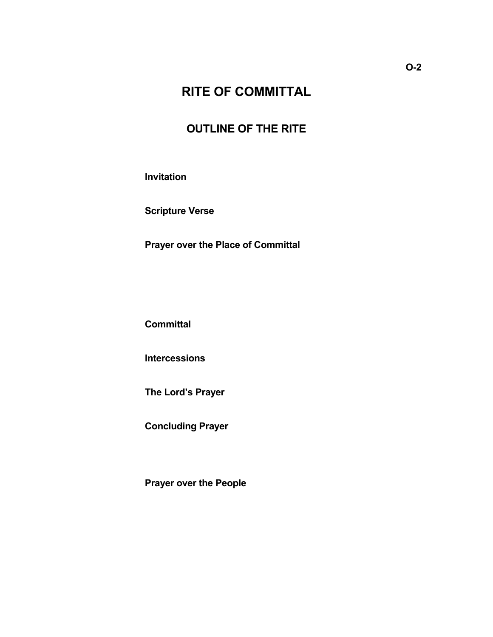# **RITE OF COMMITTAL**

# **OUTLINE OF THE RITE**

# **Invitation**

 **Scripture Verse** 

 **Prayer over the Place of Committal** 

 **Committal** 

 **Intercessions** 

 **The Lord's Prayer** 

 **Concluding Prayer** 

 **Prayer over the People**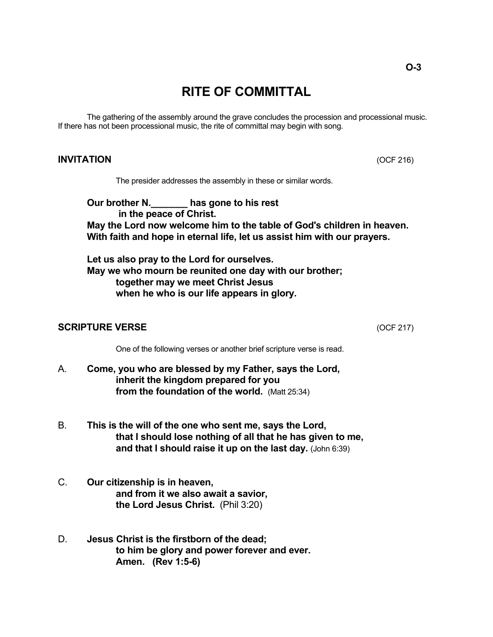# **RITE OF COMMITTAL**

 The gathering of the assembly around the grave concludes the procession and processional music. If there has not been processional music, the rite of committal may begin with song.

#### **INVITATION** (OCF 216)

The presider addresses the assembly in these or similar words.

 **Our brother N.\_\_\_\_\_\_\_ has gone to his rest in the peace of Christ. May the Lord now welcome him to the table of God's children in heaven. With faith and hope in eternal life, let us assist him with our prayers.** 

 **Let us also pray to the Lord for ourselves. May we who mourn be reunited one day with our brother; together may we meet Christ Jesus when he who is our life appears in glory.** 

# **SCRIPTURE VERSE** (OCF 217)

One of the following verses or another brief scripture verse is read.

- A. **Come, you who are blessed by my Father, says the Lord, inherit the kingdom prepared for you from the foundation of the world.** (Matt 25:34)
- B. **This is the will of the one who sent me, says the Lord, that I should lose nothing of all that he has given to me, and that I should raise it up on the last day.** (John 6:39)
- C. **Our citizenship is in heaven, and from it we also await a savior, the Lord Jesus Christ.** (Phil 3:20)
- D. **Jesus Christ is the firstborn of the dead; to him be glory and power forever and ever. Amen. (Rev 1:5-6)**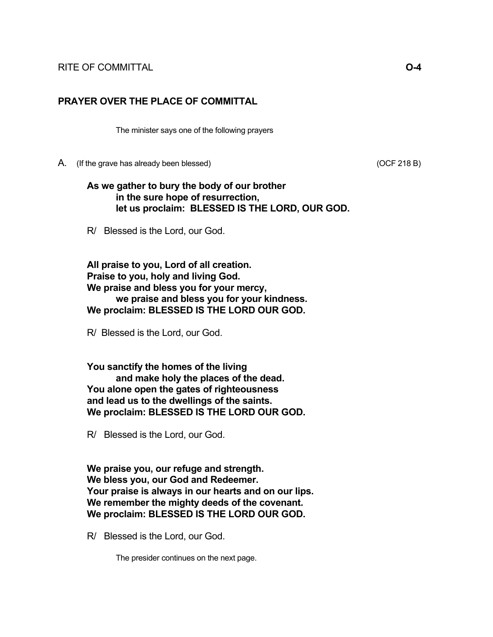# **PRAYER OVER THE PLACE OF COMMITTAL**

The minister says one of the following prayers

A. (If the grave has already been blessed) (OCF 218 B)

# **As we gather to bury the body of our brother in the sure hope of resurrection, let us proclaim: BLESSED IS THE LORD, OUR GOD.**

R/ Blessed is the Lord, our God.

 **All praise to you, Lord of all creation. Praise to you, holy and living God. We praise and bless you for your mercy, we praise and bless you for your kindness. We proclaim: BLESSED IS THE LORD OUR GOD.** 

R/ Blessed is the Lord, our God.

 **You sanctify the homes of the living and make holy the places of the dead. You alone open the gates of righteousness and lead us to the dwellings of the saints. We proclaim: BLESSED IS THE LORD OUR GOD.** 

R/ Blessed is the Lord, our God.

 **We praise you, our refuge and strength. We bless you, our God and Redeemer. Your praise is always in our hearts and on our lips. We remember the mighty deeds of the covenant. We proclaim: BLESSED IS THE LORD OUR GOD.** 

R/ Blessed is the Lord, our God.

The presider continues on the next page.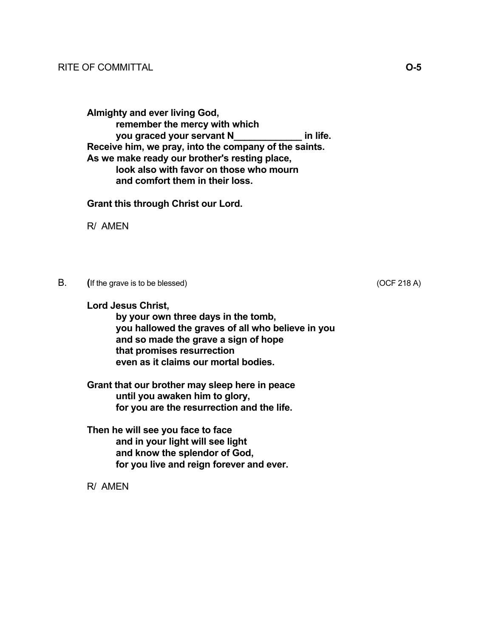**Almighty and ever living God, remember the mercy with which you graced your servant N\_\_\_\_\_\_\_\_\_\_\_\_\_ in life. Receive him, we pray, into the company of the saints. As we make ready our brother's resting place, look also with favor on those who mourn and comfort them in their loss.** 

 **Grant this through Christ our Lord.** 

R/ AMEN

B. **(**If the grave is to be blessed)(OCF 218 A)

 **Lord Jesus Christ,** 

 **by your own three days in the tomb, you hallowed the graves of all who believe in you and so made the grave a sign of hope that promises resurrection even as it claims our mortal bodies.** 

 **Grant that our brother may sleep here in peace until you awaken him to glory, for you are the resurrection and the life.** 

 **Then he will see you face to face and in your light will see light and know the splendor of God, for you live and reign forever and ever.** 

R/ AMEN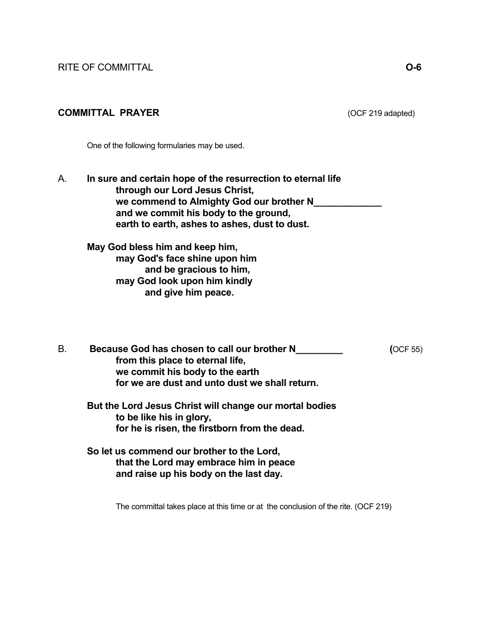RITE OF COMMITTAL **O-6** 

#### **COMMITTAL PRAYER** (OCF 219 adapted)

One of the following formularies may be used.

A. **In sure and certain hope of the resurrection to eternal life through our Lord Jesus Christ,**  we commend to Almighty God our brother N  **and we commit his body to the ground, earth to earth, ashes to ashes, dust to dust.** 

 **May God bless him and keep him, may God's face shine upon him and be gracious to him, may God look upon him kindly and give him peace.** 

B. **Because God has chosen to call our brother N\_\_\_\_\_\_\_\_\_ (**OCF 55)  **from this place to eternal life, we commit his body to the earth for we are dust and unto dust we shall return.** 

 **But the Lord Jesus Christ will change our mortal bodies to be like his in glory, for he is risen, the firstborn from the dead.** 

 **So let us commend our brother to the Lord, that the Lord may embrace him in peace and raise up his body on the last day.** 

The committal takes place at this time or at the conclusion of the rite. (OCF 219)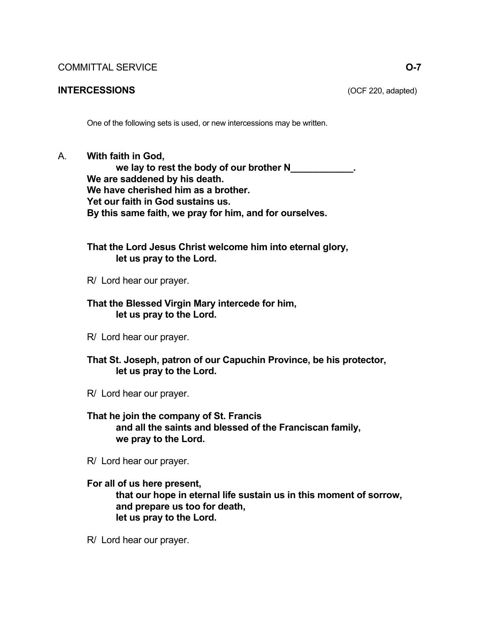## **INTERCESSIONS** (OCF 220, adapted)

One of the following sets is used, or new intercessions may be written.

A. **With faith in God,**  we lay to rest the body of our brother N  $\blacksquare$  **We are saddened by his death. We have cherished him as a brother. Yet our faith in God sustains us. By this same faith, we pray for him, and for ourselves.** 

# **That the Lord Jesus Christ welcome him into eternal glory, let us pray to the Lord.**

- R/ Lord hear our prayer.
- **That the Blessed Virgin Mary intercede for him, let us pray to the Lord.**
- R/ Lord hear our prayer.
- **That St. Joseph, patron of our Capuchin Province, be his protector, let us pray to the Lord.**
- R/ Lord hear our prayer.
- **That he join the company of St. Francis and all the saints and blessed of the Franciscan family, we pray to the Lord.**
- R/ Lord hear our prayer.

 **For all of us here present, that our hope in eternal life sustain us in this moment of sorrow, and prepare us too for death, let us pray to the Lord.** 

R/ Lord hear our prayer.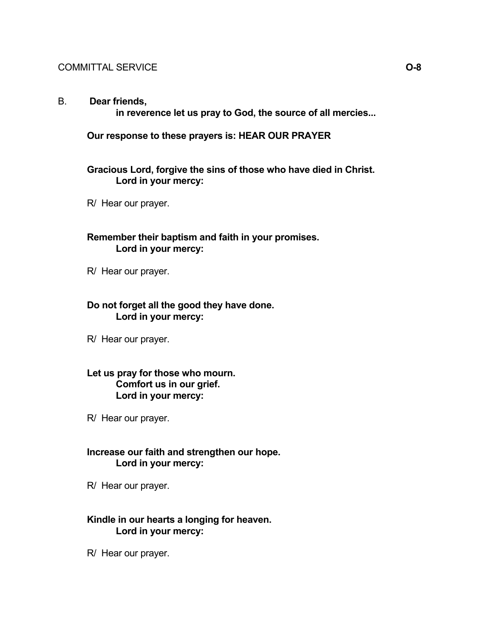#### B. **Dear friends,**

 **in reverence let us pray to God, the source of all mercies...** 

 **Our response to these prayers is: HEAR OUR PRAYER** 

# **Gracious Lord, forgive the sins of those who have died in Christ. Lord in your mercy:**

R/ Hear our prayer.

# **Remember their baptism and faith in your promises. Lord in your mercy:**

R/ Hear our prayer.

# **Do not forget all the good they have done. Lord in your mercy:**

R/ Hear our prayer.

# **Let us pray for those who mourn. Comfort us in our grief. Lord in your mercy:**

R/ Hear our prayer.

# **Increase our faith and strengthen our hope. Lord in your mercy:**

R/ Hear our prayer.

# **Kindle in our hearts a longing for heaven. Lord in your mercy:**

R/ Hear our prayer.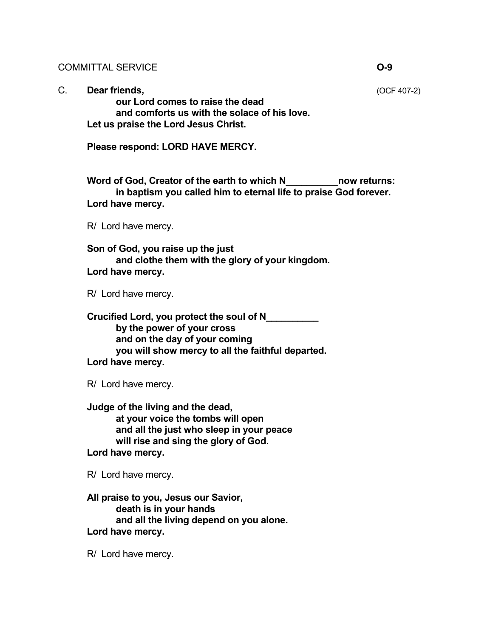| Let us praise the Lord Jesus Christ.                                                                                                                                                  |
|---------------------------------------------------------------------------------------------------------------------------------------------------------------------------------------|
| Please respond: LORD HAVE MERCY.                                                                                                                                                      |
| Word of God, Creator of the earth to which N mow returns:<br>in baptism you called him to eternal life to praise God forever.<br>Lord have mercy.                                     |
| R/ Lord have mercy.                                                                                                                                                                   |
| Son of God, you raise up the just<br>and clothe them with the glory of your kingdom.<br>Lord have mercy.                                                                              |
| R/ Lord have mercy.                                                                                                                                                                   |
| Crucified Lord, you protect the soul of N____<br>by the power of your cross<br>and on the day of your coming<br>you will show mercy to all the faithful departed.<br>Lord have mercy. |
| R/ Lord have mercy.                                                                                                                                                                   |
| Judge of the living and the dead,<br>at your voice the tombs will open<br>and all the just who sleep in your peace<br>will rise and sing the glory of God.                            |

C. **Dear friends,** (OCF 407-2)

 **our Lord comes to raise the dead** 

 **and comforts us with the solace of his love.** 

 **Lord have mercy.** 

R/ Lord have mercy.

 **All praise to you, Jesus our Savior, death is in your hands and all the living depend on you alone. Lord have mercy.** 

R/ Lord have mercy.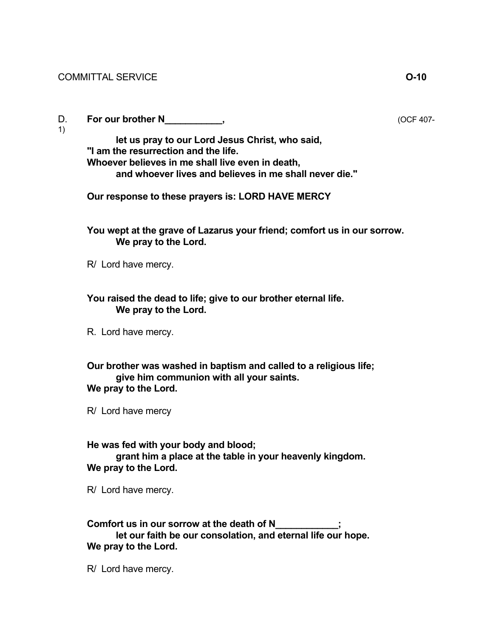D. **For our brother N\_\_\_\_\_\_\_\_\_\_\_,**  $(OCF 407-$ 1)

 **let us pray to our Lord Jesus Christ, who said, "I am the resurrection and the life. Whoever believes in me shall live even in death, and whoever lives and believes in me shall never die."** 

 **Our response to these prayers is: LORD HAVE MERCY** 

 **You wept at the grave of Lazarus your friend; comfort us in our sorrow. We pray to the Lord.** 

R/ Lord have mercy.

# **You raised the dead to life; give to our brother eternal life. We pray to the Lord.**

R. Lord have mercy.

 **Our brother was washed in baptism and called to a religious life; give him communion with all your saints. We pray to the Lord.** 

R/ Lord have mercy

# **He was fed with your body and blood; grant him a place at the table in your heavenly kingdom. We pray to the Lord.**

R/ Lord have mercy.

 **Comfort us in our sorrow at the death of N\_\_\_\_\_\_\_\_\_\_\_\_; let our faith be our consolation, and eternal life our hope. We pray to the Lord.** 

R/ Lord have mercy.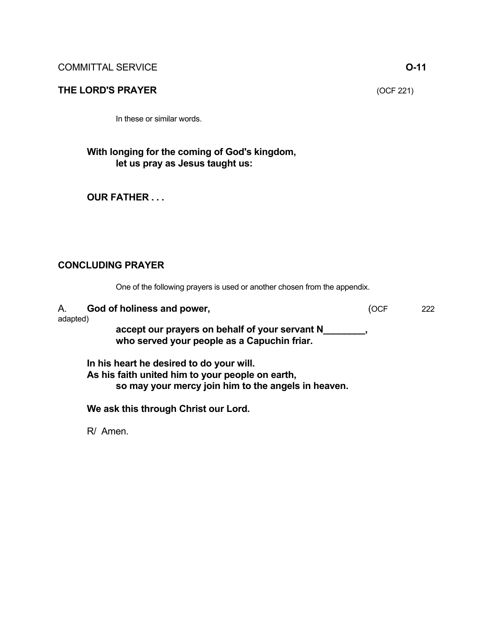# **THE LORD'S PRAYER** (OCF 221)

In these or similar words.

# **With longing for the coming of God's kingdom, let us pray as Jesus taught us:**

 **OUR FATHER . . .** 

# **CONCLUDING PRAYER**

One of the following prayers is used or another chosen from the appendix.

# A. God of holiness and power,  $OCF$  222 adapted)  **accept our prayers on behalf of your servant N\_\_\_\_\_\_\_\_, who served your people as a Capuchin friar.**

 **In his heart he desired to do your will. As his faith united him to your people on earth, so may your mercy join him to the angels in heaven.** 

 **We ask this through Christ our Lord.** 

R/ Amen.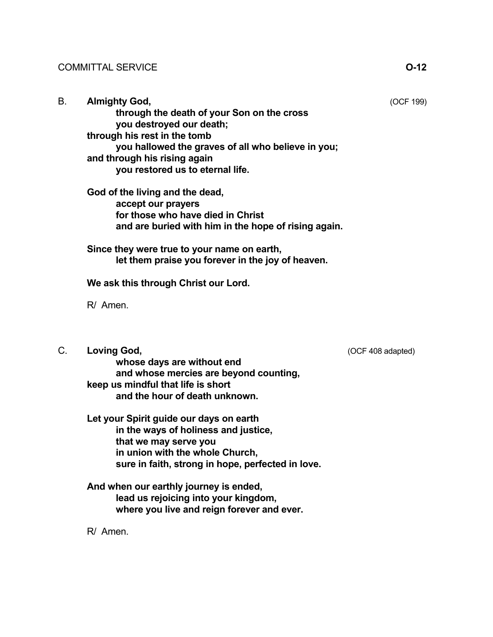| В. | <b>Almighty God,</b>                                                               | (OCF 199) |
|----|------------------------------------------------------------------------------------|-----------|
|    | through the death of your Son on the cross<br>you destroyed our death;             |           |
|    | through his rest in the tomb                                                       |           |
|    | you hallowed the graves of all who believe in you;<br>and through his rising again |           |
|    | you restored us to eternal life.                                                   |           |
|    | God of the living and the dead,                                                    |           |
|    |                                                                                    |           |

 **accept our prayers for those who have died in Christ and are buried with him in the hope of rising again.** 

 **Since they were true to your name on earth, let them praise you forever in the joy of heaven.** 

 **We ask this through Christ our Lord.** 

R/ Amen.

C. **Loving God,** (OCF 408 adapted)

 **whose days are without end and whose mercies are beyond counting, keep us mindful that life is short and the hour of death unknown.** 

 **Let your Spirit guide our days on earth in the ways of holiness and justice, that we may serve you in union with the whole Church, sure in faith, strong in hope, perfected in love.** 

 **And when our earthly journey is ended, lead us rejoicing into your kingdom, where you live and reign forever and ever.** 

R/ Amen.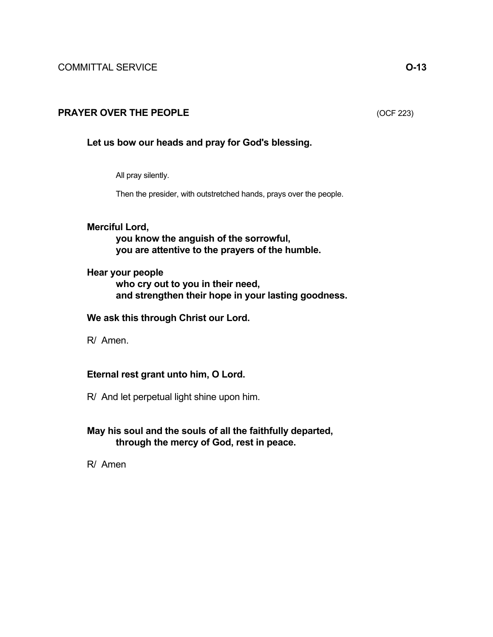#### **PRAYER OVER THE PEOPLE** (OCF 223)

### **Let us bow our heads and pray for God's blessing.**

All pray silently.

Then the presider, with outstretched hands, prays over the people.

## **Merciful Lord,**

 **you know the anguish of the sorrowful, you are attentive to the prayers of the humble.** 

#### **Hear your people**

 **who cry out to you in their need, and strengthen their hope in your lasting goodness.** 

#### **We ask this through Christ our Lord.**

R/ Amen.

#### **Eternal rest grant unto him, O Lord.**

R/ And let perpetual light shine upon him.

### **May his soul and the souls of all the faithfully departed, through the mercy of God, rest in peace.**

R/ Amen